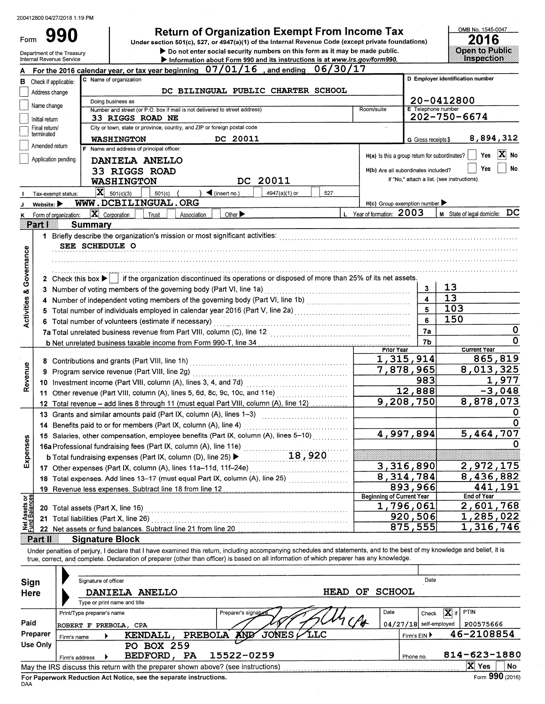Form 990

# Return of Organization Exempt From Income Tax<br>Under section 501(c), 527, or 4947(a)(1) of the Internal Revenue Code (except private foundations)

Do not enter social security numbers on this form as it may be made public. Information about Form 990 and its instructions is at www.irs.gov/form990.

OMB No. 1545-0047 2016 Open to Public<br>Inspection

| Department of the Treasury |  |
|----------------------------|--|
| nternal Revenue Service    |  |

|                                                                                   |                                 | For the 2016 calendar year, or tax year beginning $07/01/16$ , and ending $06/30/17$                                                                                                                                                                                                                                     |                                     |                         |                                                                                                          |  |  |  |  |  |  |  |  |
|-----------------------------------------------------------------------------------|---------------------------------|--------------------------------------------------------------------------------------------------------------------------------------------------------------------------------------------------------------------------------------------------------------------------------------------------------------------------|-------------------------------------|-------------------------|----------------------------------------------------------------------------------------------------------|--|--|--|--|--|--|--|--|
| в                                                                                 |                                 | D Employer identification number<br>C Name of organization<br>Check if applicable:                                                                                                                                                                                                                                       |                                     |                         |                                                                                                          |  |  |  |  |  |  |  |  |
|                                                                                   | Address change                  | DC BILINGUAL PUBLIC CHARTER SCHOOL                                                                                                                                                                                                                                                                                       |                                     |                         |                                                                                                          |  |  |  |  |  |  |  |  |
|                                                                                   | Name change                     | Doing business as                                                                                                                                                                                                                                                                                                        |                                     |                         | 20-0412800                                                                                               |  |  |  |  |  |  |  |  |
|                                                                                   |                                 | Number and street (or P.O. box if mail is not delivered to street address)<br>Room/suite<br><b>33 RIGGS ROAD NE</b>                                                                                                                                                                                                      |                                     | E Telephone number      | 202-750-6674                                                                                             |  |  |  |  |  |  |  |  |
|                                                                                   | Initial return<br>Final return/ | City or town, state or province, country, and ZIP or foreign postal code<br>$\sim$                                                                                                                                                                                                                                       |                                     |                         |                                                                                                          |  |  |  |  |  |  |  |  |
|                                                                                   | terminated                      | 8,894,312<br>DC 20011<br><b>WASHINGTON</b>                                                                                                                                                                                                                                                                               |                                     |                         |                                                                                                          |  |  |  |  |  |  |  |  |
| G Gross receipts \$<br>Amended return<br>F Name and address of principal officer: |                                 |                                                                                                                                                                                                                                                                                                                          |                                     |                         |                                                                                                          |  |  |  |  |  |  |  |  |
|                                                                                   |                                 | Application pending<br>DANIELA ANELLO                                                                                                                                                                                                                                                                                    |                                     |                         | X No<br>Yes<br>$H(a)$ is this a group return for subordinates? $\begin{array}{ c c } \hline \end{array}$ |  |  |  |  |  |  |  |  |
|                                                                                   |                                 |                                                                                                                                                                                                                                                                                                                          | H(b) Are all subordinates included? |                         | No<br>Yes                                                                                                |  |  |  |  |  |  |  |  |
|                                                                                   |                                 | <b>33 RIGGS ROAD</b><br>DC 20011                                                                                                                                                                                                                                                                                         |                                     |                         | If "No," attach a list. (see instructions)                                                               |  |  |  |  |  |  |  |  |
|                                                                                   |                                 | <b>WASHINGTON</b>                                                                                                                                                                                                                                                                                                        |                                     |                         |                                                                                                          |  |  |  |  |  |  |  |  |
|                                                                                   |                                 | $ \mathbf{X} $ 501(c)(3)<br>$\sum$ (insert no.)<br>4947(a)(1) or<br>501(c)<br>527<br>Tax-exempt status:                                                                                                                                                                                                                  |                                     |                         |                                                                                                          |  |  |  |  |  |  |  |  |
|                                                                                   | Website: $\blacktriangleright$  | WWW.DCBILINGUAL.ORG                                                                                                                                                                                                                                                                                                      | $H(c)$ Group exemption number       |                         |                                                                                                          |  |  |  |  |  |  |  |  |
| ĸ                                                                                 |                                 | L Year of formation: 2003<br>$\mathbf{X}$ Corporation<br>Other ><br>Trust<br>Association<br>Form of organization:                                                                                                                                                                                                        |                                     |                         | $M$ State of legal domicile: $DC$                                                                        |  |  |  |  |  |  |  |  |
|                                                                                   | i 27 Tal                        | <b>Summary</b>                                                                                                                                                                                                                                                                                                           |                                     |                         |                                                                                                          |  |  |  |  |  |  |  |  |
|                                                                                   |                                 |                                                                                                                                                                                                                                                                                                                          |                                     |                         |                                                                                                          |  |  |  |  |  |  |  |  |
|                                                                                   |                                 | SEE SCHEDULE O                                                                                                                                                                                                                                                                                                           |                                     |                         |                                                                                                          |  |  |  |  |  |  |  |  |
|                                                                                   |                                 |                                                                                                                                                                                                                                                                                                                          |                                     |                         |                                                                                                          |  |  |  |  |  |  |  |  |
|                                                                                   |                                 |                                                                                                                                                                                                                                                                                                                          |                                     |                         |                                                                                                          |  |  |  |  |  |  |  |  |
| Governance                                                                        |                                 | 2 Check this box ▶   if the organization discontinued its operations or disposed of more than 25% of its net assets.                                                                                                                                                                                                     |                                     |                         |                                                                                                          |  |  |  |  |  |  |  |  |
| øð                                                                                |                                 | 3 Number of voting members of the governing body (Part VI, line 1a)                                                                                                                                                                                                                                                      |                                     | 3                       | 13                                                                                                       |  |  |  |  |  |  |  |  |
| <b>Activities</b>                                                                 |                                 | 4 Number of independent voting members of the governing body (Part VI, line 1b) [11] [11] Number of independent voting members of the governing body (Part VI, line 1b)                                                                                                                                                  |                                     | $\overline{\mathbf{4}}$ | 13                                                                                                       |  |  |  |  |  |  |  |  |
|                                                                                   | 5.                              |                                                                                                                                                                                                                                                                                                                          |                                     | $\overline{\mathbf{5}}$ | 103                                                                                                      |  |  |  |  |  |  |  |  |
|                                                                                   |                                 | 6 Total number of volunteers (estimate if necessary)                                                                                                                                                                                                                                                                     |                                     | 6                       | 150                                                                                                      |  |  |  |  |  |  |  |  |
|                                                                                   |                                 |                                                                                                                                                                                                                                                                                                                          |                                     | 7а                      | 0                                                                                                        |  |  |  |  |  |  |  |  |
|                                                                                   |                                 |                                                                                                                                                                                                                                                                                                                          |                                     | 7b                      | 0                                                                                                        |  |  |  |  |  |  |  |  |
|                                                                                   |                                 |                                                                                                                                                                                                                                                                                                                          | Prior Year<br>1,315,914             |                         | <b>Current Year</b><br>865,819                                                                           |  |  |  |  |  |  |  |  |
|                                                                                   |                                 |                                                                                                                                                                                                                                                                                                                          | 7,878,965                           |                         | 8,013,325                                                                                                |  |  |  |  |  |  |  |  |
| Revenue                                                                           |                                 | 9 Program service revenue (Part VIII, line 2g)                                                                                                                                                                                                                                                                           |                                     | 983                     | 1,977                                                                                                    |  |  |  |  |  |  |  |  |
|                                                                                   |                                 | 10 Investment income (Part VIII, column (A), lines 3, 4, and 7d)                                                                                                                                                                                                                                                         |                                     | 12,888                  | $-3,048$                                                                                                 |  |  |  |  |  |  |  |  |
|                                                                                   |                                 | 11 Other revenue (Part VIII, column (A), lines 5, 6d, 8c, 9c, 10c, and 11e) [[[[[[[[[[[[[[[[[[[[[[[[[[[[[[[[[                                                                                                                                                                                                            | 9,208,750                           |                         | 8,878,073                                                                                                |  |  |  |  |  |  |  |  |
|                                                                                   |                                 | 12 Total revenue - add lines 8 through 11 (must equal Part VIII, column (A), line 12)                                                                                                                                                                                                                                    |                                     |                         |                                                                                                          |  |  |  |  |  |  |  |  |
|                                                                                   |                                 | 13 Grants and similar amounts paid (Part IX, column (A), lines 1-3)<br><u> 1986 - Johann Stoff, martin fransk kanton (d. 1986)</u>                                                                                                                                                                                       |                                     |                         |                                                                                                          |  |  |  |  |  |  |  |  |
|                                                                                   |                                 | 14 Benefits paid to or for members (Part IX, column (A), line 4)                                                                                                                                                                                                                                                         | 4,997,894                           |                         | 5,464,707                                                                                                |  |  |  |  |  |  |  |  |
|                                                                                   |                                 | 15 Salaries, other compensation, employee benefits (Part IX, column (A), lines 5-10)                                                                                                                                                                                                                                     |                                     |                         |                                                                                                          |  |  |  |  |  |  |  |  |
| Expenses                                                                          |                                 | 16a Professional fundraising fees (Part IX, column (A), line 11e)                                                                                                                                                                                                                                                        |                                     |                         |                                                                                                          |  |  |  |  |  |  |  |  |
|                                                                                   |                                 | 18,920<br><b>b</b> Total fundraising expenses (Part IX, column (D), line 25) $\blacktriangleright$                                                                                                                                                                                                                       |                                     |                         |                                                                                                          |  |  |  |  |  |  |  |  |
|                                                                                   |                                 | 17 Other expenses (Part IX, column (A), lines 11a-11d, 11f-24e)                                                                                                                                                                                                                                                          | 3,316,890                           |                         | 2,972,175                                                                                                |  |  |  |  |  |  |  |  |
|                                                                                   |                                 | 18 Total expenses. Add lines 13-17 (must equal Part IX, column (A), line 25) [[[[[[[[[[[[[[[[[[[[[[[[[[[[[[[[                                                                                                                                                                                                            | 8,314,784                           |                         | 8,436,882                                                                                                |  |  |  |  |  |  |  |  |
|                                                                                   |                                 | 19 Revenue less expenses. Subtract line 18 from line 12                                                                                                                                                                                                                                                                  | <b>Beginning of Current Year</b>    | 893,966                 | 441,191<br>End of Year                                                                                   |  |  |  |  |  |  |  |  |
|                                                                                   |                                 |                                                                                                                                                                                                                                                                                                                          | 1,796,061                           |                         | 2,601,768                                                                                                |  |  |  |  |  |  |  |  |
| Net Assets or<br>Fund Balances                                                    | 20                              |                                                                                                                                                                                                                                                                                                                          |                                     | 920,506                 | 1,285,022                                                                                                |  |  |  |  |  |  |  |  |
|                                                                                   | 21                              |                                                                                                                                                                                                                                                                                                                          |                                     | 875,555                 | 1,316,746                                                                                                |  |  |  |  |  |  |  |  |
|                                                                                   |                                 | 22 Net assets or fund balances. Subtract line 21 from line 20 [11] [22 Net assets or fund balances. Subtract line 21 from line 20                                                                                                                                                                                        |                                     |                         |                                                                                                          |  |  |  |  |  |  |  |  |
|                                                                                   | Part II                         | <b>Signature Block</b>                                                                                                                                                                                                                                                                                                   |                                     |                         |                                                                                                          |  |  |  |  |  |  |  |  |
|                                                                                   |                                 | Under penalties of perjury, I declare that I have examined this return, including accompanying schedules and statements, and to the best of my knowledge and belief, it is<br>true, correct, and complete. Declaration of preparer (other than officer) is based on all information of which preparer has any knowledge. |                                     |                         |                                                                                                          |  |  |  |  |  |  |  |  |
|                                                                                   |                                 |                                                                                                                                                                                                                                                                                                                          |                                     |                         |                                                                                                          |  |  |  |  |  |  |  |  |
| Sinn                                                                              |                                 | Signature of officer                                                                                                                                                                                                                                                                                                     |                                     | Date                    |                                                                                                          |  |  |  |  |  |  |  |  |

| Sign     |                            | Signature of officer |                                                                                                                                                                                                                                |                |                      |                            |             |    |               | <b>Dalc</b>              |                                    |                   |
|----------|----------------------------|----------------------|--------------------------------------------------------------------------------------------------------------------------------------------------------------------------------------------------------------------------------|----------------|----------------------|----------------------------|-------------|----|---------------|--------------------------|------------------------------------|-------------------|
| Here     |                            |                      | DANIELA ANELLO                                                                                                                                                                                                                 |                |                      |                            | <b>HEAD</b> | OF | <b>SCHOOL</b> |                          |                                    |                   |
|          |                            |                      | Type or print name and title                                                                                                                                                                                                   |                |                      |                            |             |    |               |                          |                                    |                   |
|          | Print/Type preparer's name |                      |                                                                                                                                                                                                                                |                | Preparer's signature |                            |             |    | Date          | Check                    | $\overline{\mathbf{X}}$<br>if PTIN |                   |
| Paid     | <b>ROBERT F</b>            |                      | PREBOLA, CPA                                                                                                                                                                                                                   |                |                      | $\boldsymbol{\mathcal{M}}$ |             | Ch |               | $04/27/18$ self-employed |                                    | P00575666         |
| Preparer | Firm's name                |                      | KENDALL                                                                                                                                                                                                                        | <b>PREBOLA</b> | <b>AND</b>           | JONES <i>L</i> LLC         |             |    |               | Firm's EIN ▶             | 46-2108854                         |                   |
| Use Only |                            |                      | PO BOX 259                                                                                                                                                                                                                     |                |                      |                            |             |    |               |                          |                                    |                   |
|          | Firm's address             |                      | <b>BEDFORD</b>                                                                                                                                                                                                                 | PA             | 15522-0259           |                            |             |    |               | Phone no.                | 814-623-1880                       |                   |
|          |                            |                      | May the IRS discuss this return with the preparer shown above? (see instructions)                                                                                                                                              |                |                      |                            |             |    |               |                          | $\mathbf{x}$                       | No<br><b>Yes</b>  |
|          |                            |                      | the comment of the contract of the comment of the comment of the comment of the comment of the comment of the comment of the comment of the comment of the comment of the comment of the comment of the comment of the comment |                |                      |                            |             |    |               |                          |                                    | $\sim$ 000 $\sim$ |

For Paperwork Reduction Act Notice, see the separate instructions.<br>DAA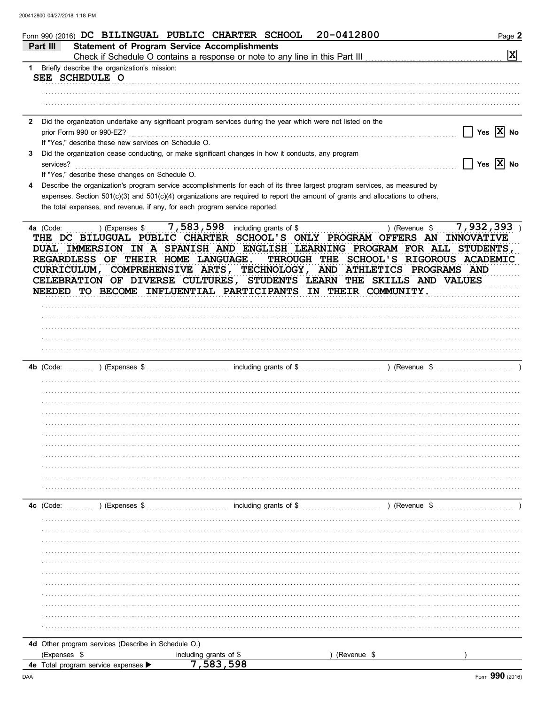|   | 20-0412800<br>Form 990 (2016) DC BILINGUAL PUBLIC CHARTER SCHOOL                                                                                                                                                                                                                                                                                                                                                                                            | Page 2                             |
|---|-------------------------------------------------------------------------------------------------------------------------------------------------------------------------------------------------------------------------------------------------------------------------------------------------------------------------------------------------------------------------------------------------------------------------------------------------------------|------------------------------------|
|   | <b>Statement of Program Service Accomplishments</b><br>Part III                                                                                                                                                                                                                                                                                                                                                                                             |                                    |
|   |                                                                                                                                                                                                                                                                                                                                                                                                                                                             | $\mathbf{x}$                       |
|   | 1 Briefly describe the organization's mission:<br>SEE SCHEDULE O                                                                                                                                                                                                                                                                                                                                                                                            |                                    |
|   |                                                                                                                                                                                                                                                                                                                                                                                                                                                             |                                    |
|   |                                                                                                                                                                                                                                                                                                                                                                                                                                                             |                                    |
|   |                                                                                                                                                                                                                                                                                                                                                                                                                                                             |                                    |
| 2 | Did the organization undertake any significant program services during the year which were not listed on the                                                                                                                                                                                                                                                                                                                                                |                                    |
|   | prior Form 990 or 990-EZ?                                                                                                                                                                                                                                                                                                                                                                                                                                   | $\Box$ Yes $\boxed{\mathbf{X}}$ No |
|   | If "Yes," describe these new services on Schedule O.                                                                                                                                                                                                                                                                                                                                                                                                        |                                    |
| 3 | Did the organization cease conducting, or make significant changes in how it conducts, any program                                                                                                                                                                                                                                                                                                                                                          |                                    |
|   | services?                                                                                                                                                                                                                                                                                                                                                                                                                                                   | $\Box$ Yes $\boxed{\mathbf{X}}$ No |
| 4 | If "Yes," describe these changes on Schedule O.<br>Describe the organization's program service accomplishments for each of its three largest program services, as measured by                                                                                                                                                                                                                                                                               |                                    |
|   | expenses. Section 501(c)(3) and 501(c)(4) organizations are required to report the amount of grants and allocations to others,                                                                                                                                                                                                                                                                                                                              |                                    |
|   | the total expenses, and revenue, if any, for each program service reported.                                                                                                                                                                                                                                                                                                                                                                                 |                                    |
|   |                                                                                                                                                                                                                                                                                                                                                                                                                                                             |                                    |
|   | THE DC BILUGUAL PUBLIC CHARTER SCHOOL'S ONLY PROGRAM OFFERS AN INNOVATIVE<br>DUAL IMMERSION IN A SPANISH AND ENGLISH LEARNING PROGRAM FOR ALL STUDENTS,<br>REGARDLESS OF THEIR HOME LANGUAGE.<br>THROUGH THE SCHOOL'S RIGOROUS ACADEMIC<br>CURRICULUM, COMPREHENSIVE ARTS, TECHNOLOGY, AND ATHLETICS PROGRAMS AND<br>CELEBRATION OF DIVERSE CULTURES, STUDENTS LEARN THE SKILLS AND VALUES<br>NEEDED TO BECOME INFLUENTIAL PARTICIPANTS IN THEIR COMMUNITY. |                                    |
|   | ) (Expenses $\frac{1}{2}$ [2010] (Expenses $\frac{1}{2}$ [2010] $\frac{1}{2}$ including grants of $\frac{1}{2}$ [2010] (Revenue $\frac{1}{2}$ [2010] (Revenue $\frac{1}{2}$ [2010] (Revenue $\frac{1}{2}$ [2010] (Revenue $\frac{1}{2}$ [2010] (Revenue $\frac{1$<br><b>4b</b> (Code:                                                                                                                                                                       |                                    |
|   |                                                                                                                                                                                                                                                                                                                                                                                                                                                             |                                    |
|   |                                                                                                                                                                                                                                                                                                                                                                                                                                                             |                                    |
|   |                                                                                                                                                                                                                                                                                                                                                                                                                                                             |                                    |
|   |                                                                                                                                                                                                                                                                                                                                                                                                                                                             |                                    |
|   |                                                                                                                                                                                                                                                                                                                                                                                                                                                             |                                    |
|   |                                                                                                                                                                                                                                                                                                                                                                                                                                                             |                                    |
|   |                                                                                                                                                                                                                                                                                                                                                                                                                                                             |                                    |
|   |                                                                                                                                                                                                                                                                                                                                                                                                                                                             |                                    |
|   |                                                                                                                                                                                                                                                                                                                                                                                                                                                             |                                    |
|   | including grants of \$<br>4c (Code:<br>) (Expenses \$<br>) (Revenue \$                                                                                                                                                                                                                                                                                                                                                                                      |                                    |
|   |                                                                                                                                                                                                                                                                                                                                                                                                                                                             |                                    |
|   |                                                                                                                                                                                                                                                                                                                                                                                                                                                             |                                    |
|   |                                                                                                                                                                                                                                                                                                                                                                                                                                                             |                                    |
|   |                                                                                                                                                                                                                                                                                                                                                                                                                                                             |                                    |
|   |                                                                                                                                                                                                                                                                                                                                                                                                                                                             |                                    |
|   |                                                                                                                                                                                                                                                                                                                                                                                                                                                             |                                    |
|   |                                                                                                                                                                                                                                                                                                                                                                                                                                                             |                                    |
|   |                                                                                                                                                                                                                                                                                                                                                                                                                                                             |                                    |
|   |                                                                                                                                                                                                                                                                                                                                                                                                                                                             |                                    |
|   |                                                                                                                                                                                                                                                                                                                                                                                                                                                             |                                    |
|   |                                                                                                                                                                                                                                                                                                                                                                                                                                                             |                                    |
|   | 4d Other program services (Describe in Schedule O.)                                                                                                                                                                                                                                                                                                                                                                                                         |                                    |
|   | (Expenses \$<br>including grants of \$<br>(Revenue \$                                                                                                                                                                                                                                                                                                                                                                                                       |                                    |
|   | 7,583,598<br>4e Total program service expenses ▶                                                                                                                                                                                                                                                                                                                                                                                                            |                                    |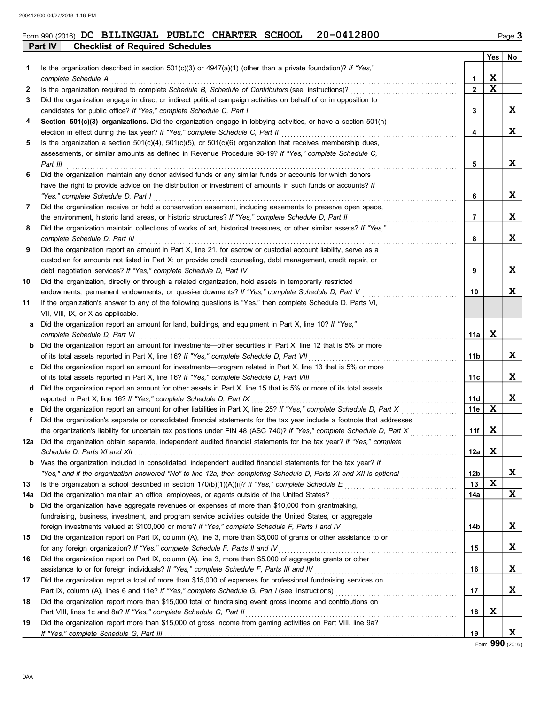## **Part IV Checklist of Required Schedules** Form 990 (2016) DC BILINGUAL PUBLIC CHARTER SCHOOL 20-0412800

|     |                                                                                                                                                                                                                             |                 | Yes         | No |
|-----|-----------------------------------------------------------------------------------------------------------------------------------------------------------------------------------------------------------------------------|-----------------|-------------|----|
| 1   | Is the organization described in section $501(c)(3)$ or $4947(a)(1)$ (other than a private foundation)? If "Yes,"                                                                                                           |                 |             |    |
|     | complete Schedule A                                                                                                                                                                                                         | 1               | X           |    |
| 2   | Is the organization required to complete Schedule B, Schedule of Contributors (see instructions)?                                                                                                                           | $\mathbf{2}$    | X           |    |
| 3   | Did the organization engage in direct or indirect political campaign activities on behalf of or in opposition to                                                                                                            |                 |             |    |
|     | candidates for public office? If "Yes," complete Schedule C, Part I                                                                                                                                                         | 3               |             | X  |
| 4   | Section 501(c)(3) organizations. Did the organization engage in lobbying activities, or have a section 501(h)                                                                                                               |                 |             |    |
|     | election in effect during the tax year? If "Yes," complete Schedule C, Part II                                                                                                                                              | 4               |             | X  |
| 5   | Is the organization a section $501(c)(4)$ , $501(c)(5)$ , or $501(c)(6)$ organization that receives membership dues,                                                                                                        |                 |             |    |
|     | assessments, or similar amounts as defined in Revenue Procedure 98-19? If "Yes," complete Schedule C,                                                                                                                       |                 |             |    |
|     | Part III                                                                                                                                                                                                                    | 5               |             | X  |
| 6   | Did the organization maintain any donor advised funds or any similar funds or accounts for which donors                                                                                                                     |                 |             |    |
|     | have the right to provide advice on the distribution or investment of amounts in such funds or accounts? If                                                                                                                 |                 |             |    |
|     | "Yes," complete Schedule D, Part I                                                                                                                                                                                          | 6               |             | X  |
| 7   | Did the organization receive or hold a conservation easement, including easements to preserve open space,                                                                                                                   |                 |             | X  |
|     | the environment, historic land areas, or historic structures? If "Yes," complete Schedule D, Part II<br>Did the organization maintain collections of works of art, historical treasures, or other similar assets? If "Yes," | 7               |             |    |
| 8   | complete Schedule D, Part III                                                                                                                                                                                               | 8               |             | X  |
| 9   | Did the organization report an amount in Part X, line 21, for escrow or custodial account liability, serve as a                                                                                                             |                 |             |    |
|     | custodian for amounts not listed in Part X; or provide credit counseling, debt management, credit repair, or                                                                                                                |                 |             |    |
|     | debt negotiation services? If "Yes," complete Schedule D, Part IV                                                                                                                                                           | 9               |             | X  |
| 10  | Did the organization, directly or through a related organization, hold assets in temporarily restricted                                                                                                                     |                 |             |    |
|     | endowments, permanent endowments, or quasi-endowments? If "Yes," complete Schedule D, Part V                                                                                                                                | 10              |             | X  |
| 11  | If the organization's answer to any of the following questions is "Yes," then complete Schedule D, Parts VI,                                                                                                                |                 |             |    |
|     | VII, VIII, IX, or X as applicable.                                                                                                                                                                                          |                 |             |    |
| a   | Did the organization report an amount for land, buildings, and equipment in Part X, line 10? If "Yes,"                                                                                                                      |                 |             |    |
|     | complete Schedule D, Part VI                                                                                                                                                                                                | 11a             | X           |    |
| b   | Did the organization report an amount for investments—other securities in Part X, line 12 that is 5% or more                                                                                                                |                 |             |    |
|     | of its total assets reported in Part X, line 16? If "Yes," complete Schedule D, Part VII                                                                                                                                    | 11b             |             | X  |
| c   | Did the organization report an amount for investments—program related in Part X, line 13 that is 5% or more                                                                                                                 |                 |             |    |
|     | of its total assets reported in Part X, line 16? If "Yes," complete Schedule D, Part VIII                                                                                                                                   | 11с             |             | X  |
| d   | Did the organization report an amount for other assets in Part X, line 15 that is 5% or more of its total assets                                                                                                            |                 |             |    |
|     | reported in Part X, line 16? If "Yes," complete Schedule D, Part IX                                                                                                                                                         | 11d             |             | X  |
| е   | Did the organization report an amount for other liabilities in Part X, line 25? If "Yes," complete Schedule D, Part X                                                                                                       | 11e             | X           |    |
| f   | Did the organization's separate or consolidated financial statements for the tax year include a footnote that addresses                                                                                                     |                 |             |    |
|     | the organization's liability for uncertain tax positions under FIN 48 (ASC 740)? If "Yes," complete Schedule D, Part X                                                                                                      | 11f             | X           |    |
| 12a | Did the organization obtain separate, independent audited financial statements for the tax year? If "Yes," complete                                                                                                         |                 |             |    |
|     | Schedule D, Parts XI and XII                                                                                                                                                                                                | 12a             | $\mathbf x$ |    |
| b   | Was the organization included in consolidated, independent audited financial statements for the tax year? If                                                                                                                |                 |             |    |
|     | "Yes," and if the organization answered "No" to line 12a, then completing Schedule D, Parts XI and XII is optional                                                                                                          | 12 <sub>b</sub> |             | X  |
| 13  |                                                                                                                                                                                                                             | 13              | $\mathbf x$ |    |
| 14a | Did the organization maintain an office, employees, or agents outside of the United States?                                                                                                                                 | 14a             |             | X  |
| b   | Did the organization have aggregate revenues or expenses of more than \$10,000 from grantmaking,                                                                                                                            |                 |             |    |
|     | fundraising, business, investment, and program service activities outside the United States, or aggregate                                                                                                                   |                 |             |    |
|     | foreign investments valued at \$100,000 or more? If "Yes," complete Schedule F, Parts I and IV                                                                                                                              | 14b             |             | X  |
| 15  | Did the organization report on Part IX, column (A), line 3, more than \$5,000 of grants or other assistance to or                                                                                                           |                 |             |    |
|     | for any foreign organization? If "Yes," complete Schedule F, Parts II and IV                                                                                                                                                | 15              |             | X  |
| 16  | Did the organization report on Part IX, column (A), line 3, more than \$5,000 of aggregate grants or other                                                                                                                  |                 |             |    |
|     | assistance to or for foreign individuals? If "Yes," complete Schedule F, Parts III and IV                                                                                                                                   | 16              |             | X  |
| 17  | Did the organization report a total of more than \$15,000 of expenses for professional fundraising services on                                                                                                              |                 |             |    |
|     |                                                                                                                                                                                                                             | 17              |             | X  |
| 18  | Did the organization report more than \$15,000 total of fundraising event gross income and contributions on                                                                                                                 |                 |             |    |
|     | Part VIII, lines 1c and 8a? If "Yes," complete Schedule G, Part II                                                                                                                                                          | 18              | X           |    |
| 19  | Did the organization report more than \$15,000 of gross income from gaming activities on Part VIII, line 9a?                                                                                                                |                 |             |    |
|     |                                                                                                                                                                                                                             | 19              |             | X  |

Form **990** (2016)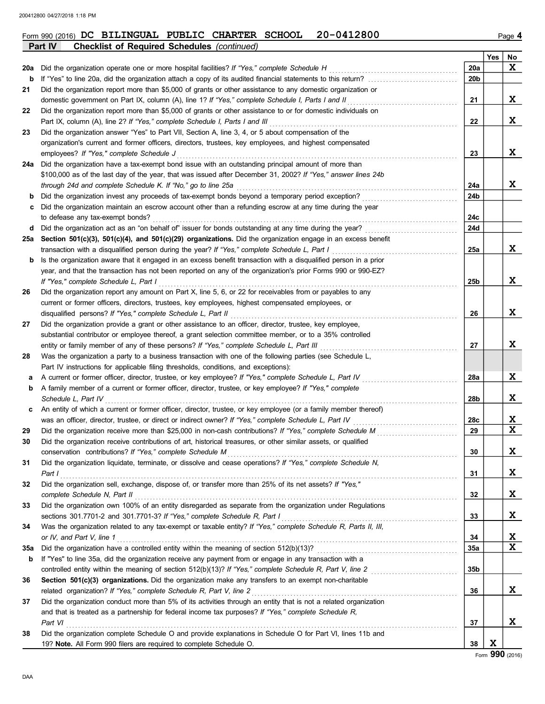|            | <b>Checklist of Required Schedules (continued)</b><br><b>Part IV</b>                                                                                                                             |                 |     |             |
|------------|--------------------------------------------------------------------------------------------------------------------------------------------------------------------------------------------------|-----------------|-----|-------------|
|            |                                                                                                                                                                                                  |                 | Yes | No          |
| 20a        | Did the organization operate one or more hospital facilities? If "Yes," complete Schedule H                                                                                                      | 20a             |     | X           |
| b          | If "Yes" to line 20a, did the organization attach a copy of its audited financial statements to this return?                                                                                     | 20 <sub>b</sub> |     |             |
| 21         | Did the organization report more than \$5,000 of grants or other assistance to any domestic organization or                                                                                      |                 |     |             |
|            | domestic government on Part IX, column (A), line 1? If "Yes," complete Schedule I, Parts I and II                                                                                                | 21              |     | X           |
| 22         | Did the organization report more than \$5,000 of grants or other assistance to or for domestic individuals on                                                                                    |                 |     |             |
|            | Part IX, column (A), line 2? If "Yes," complete Schedule I, Parts I and III                                                                                                                      | 22              |     | X           |
| 23         | Did the organization answer "Yes" to Part VII, Section A, line 3, 4, or 5 about compensation of the                                                                                              |                 |     |             |
|            | organization's current and former officers, directors, trustees, key employees, and highest compensated                                                                                          |                 |     |             |
|            | employees? If "Yes," complete Schedule J                                                                                                                                                         | 23              |     | X           |
| 24a        | Did the organization have a tax-exempt bond issue with an outstanding principal amount of more than                                                                                              |                 |     |             |
|            | \$100,000 as of the last day of the year, that was issued after December 31, 2002? If "Yes," answer lines 24b                                                                                    |                 |     |             |
|            | through 24d and complete Schedule K. If "No," go to line 25a                                                                                                                                     | 24a             |     | X           |
|            | Did the organization invest any proceeds of tax-exempt bonds beyond a temporary period exception?                                                                                                | 24b             |     |             |
| с          | Did the organization maintain an escrow account other than a refunding escrow at any time during the year                                                                                        |                 |     |             |
|            | to defease any tax-exempt bonds?                                                                                                                                                                 | 24c             |     |             |
| d          | Did the organization act as an "on behalf of" issuer for bonds outstanding at any time during the year?                                                                                          | 24d             |     |             |
| 25a        | Section 501(c)(3), 501(c)(4), and 501(c)(29) organizations. Did the organization engage in an excess benefit                                                                                     |                 |     |             |
|            | transaction with a disqualified person during the year? If "Yes," complete Schedule L, Part I                                                                                                    | 25a             |     | X           |
| b          | Is the organization aware that it engaged in an excess benefit transaction with a disqualified person in a prior                                                                                 |                 |     |             |
|            | year, and that the transaction has not been reported on any of the organization's prior Forms 990 or 990-EZ?                                                                                     |                 |     |             |
|            | If "Yes," complete Schedule L, Part I                                                                                                                                                            | 25b             |     | X           |
| 26         | Did the organization report any amount on Part X, line 5, 6, or 22 for receivables from or payables to any                                                                                       |                 |     |             |
|            | current or former officers, directors, trustees, key employees, highest compensated employees, or                                                                                                |                 |     |             |
|            | disqualified persons? If "Yes," complete Schedule L, Part II                                                                                                                                     | 26              |     | X           |
| 27         | Did the organization provide a grant or other assistance to an officer, director, trustee, key employee,                                                                                         |                 |     |             |
|            | substantial contributor or employee thereof, a grant selection committee member, or to a 35% controlled                                                                                          |                 |     | X           |
|            | entity or family member of any of these persons? If "Yes," complete Schedule L, Part III                                                                                                         | 27              |     |             |
| 28         | Was the organization a party to a business transaction with one of the following parties (see Schedule L,<br>Part IV instructions for applicable filing thresholds, conditions, and exceptions): |                 |     |             |
|            | A current or former officer, director, trustee, or key employee? If "Yes," complete Schedule L, Part IV                                                                                          | 28a             |     | X           |
| а<br>b     | A family member of a current or former officer, director, trustee, or key employee? If "Yes," complete                                                                                           |                 |     |             |
|            | Schedule L, Part IV                                                                                                                                                                              | 28b             |     | X           |
| c          | An entity of which a current or former officer, director, trustee, or key employee (or a family member thereof)                                                                                  |                 |     |             |
|            | was an officer, director, trustee, or direct or indirect owner? If "Yes," complete Schedule L, Part IV                                                                                           | 28c             |     | X           |
| 29         | Did the organization receive more than \$25,000 in non-cash contributions? If "Yes," complete Schedule M                                                                                         | 29              |     | $\mathbf x$ |
|            | Did the organization receive contributions of art, historical treasures, or other similar assets, or qualified                                                                                   |                 |     |             |
|            | conservation contributions? If "Yes," complete Schedule M                                                                                                                                        | 30              |     | X           |
| 31         | Did the organization liquidate, terminate, or dissolve and cease operations? If "Yes," complete Schedule N,                                                                                      |                 |     |             |
|            | Part I                                                                                                                                                                                           | 31              |     | X           |
| 32         | Did the organization sell, exchange, dispose of, or transfer more than 25% of its net assets? If "Yes,"                                                                                          |                 |     |             |
|            | complete Schedule N, Part II                                                                                                                                                                     | 32              |     | X           |
| 33         | Did the organization own 100% of an entity disregarded as separate from the organization under Regulations                                                                                       |                 |     |             |
|            | sections 301.7701-2 and 301.7701-3? If "Yes," complete Schedule R, Part I                                                                                                                        | 33              |     | X           |
| 34         | Was the organization related to any tax-exempt or taxable entity? If "Yes," complete Schedule R, Parts II, III,                                                                                  |                 |     |             |
|            | or IV, and Part V, line 1                                                                                                                                                                        | 34              |     | X           |
| <b>35a</b> | Did the organization have a controlled entity within the meaning of section 512(b)(13)?                                                                                                          | 35a             |     | X           |
| b          | If "Yes" to line 35a, did the organization receive any payment from or engage in any transaction with a                                                                                          |                 |     |             |
|            | controlled entity within the meaning of section 512(b)(13)? If "Yes," complete Schedule R, Part V, line 2                                                                                        | 35b             |     |             |
| 36         | Section 501(c)(3) organizations. Did the organization make any transfers to an exempt non-charitable                                                                                             |                 |     |             |
|            | related organization? If "Yes," complete Schedule R, Part V, line 2                                                                                                                              | 36              |     | X           |
| 37         | Did the organization conduct more than 5% of its activities through an entity that is not a related organization                                                                                 |                 |     |             |
|            | and that is treated as a partnership for federal income tax purposes? If "Yes," complete Schedule R,                                                                                             |                 |     |             |
|            | Part VI                                                                                                                                                                                          | 37              |     | X           |
| 38         | Did the organization complete Schedule O and provide explanations in Schedule O for Part VI, lines 11b and                                                                                       |                 |     |             |
|            | 19? Note. All Form 990 filers are required to complete Schedule O.                                                                                                                               | 38              | X   |             |
|            |                                                                                                                                                                                                  |                 |     | $QQ \cap R$ |

## Form 990 (2016) DC BILINGUAL PUBLIC CHARTER SCHOOL 20-0412800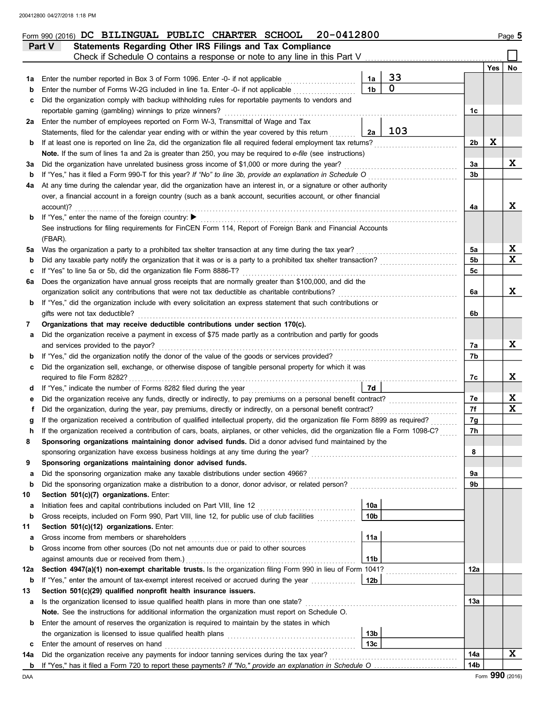|         | 20-0412800<br>Form 990 (2016) DC BILINGUAL PUBLIC CHARTER SCHOOL                                                                                            |                      |                   |                |     | Page 5 |
|---------|-------------------------------------------------------------------------------------------------------------------------------------------------------------|----------------------|-------------------|----------------|-----|--------|
|         | Statements Regarding Other IRS Filings and Tax Compliance<br>Part V                                                                                         |                      |                   |                |     |        |
|         | Check if Schedule O contains a response or note to any line in this Part V                                                                                  |                      |                   |                |     |        |
|         |                                                                                                                                                             |                      |                   |                | Yes | No     |
| 1а      | Enter the number reported in Box 3 of Form 1096. Enter -0- if not applicable                                                                                | 1a<br>1 <sub>b</sub> | 33<br>$\mathbf 0$ |                |     |        |
| b       | Enter the number of Forms W-2G included in line 1a. Enter -0- if not applicable                                                                             |                      |                   |                |     |        |
| с       | Did the organization comply with backup withholding rules for reportable payments to vendors and<br>reportable gaming (gambling) winnings to prize winners? |                      |                   |                |     |        |
|         | 2a Enter the number of employees reported on Form W-3, Transmittal of Wage and Tax                                                                          |                      |                   | 1c             |     |        |
|         | Statements, filed for the calendar year ending with or within the year covered by this return                                                               | 2a                   | 103               |                |     |        |
| b       | If at least one is reported on line 2a, did the organization file all required federal employment tax returns?                                              |                      |                   | 2b             | X   |        |
|         | Note. If the sum of lines 1a and 2a is greater than 250, you may be required to e-file (see instructions)                                                   |                      |                   |                |     |        |
| За      | Did the organization have unrelated business gross income of \$1,000 or more during the year?                                                               |                      |                   | За             |     | X      |
| b       | If "Yes," has it filed a Form 990-T for this year? If "No" to line 3b, provide an explanation in Schedule O                                                 |                      |                   | 3 <sub>b</sub> |     |        |
| 4a      | At any time during the calendar year, did the organization have an interest in, or a signature or other authority                                           |                      |                   |                |     |        |
|         | over, a financial account in a foreign country (such as a bank account, securities account, or other financial                                              |                      |                   |                |     |        |
|         | account)?                                                                                                                                                   |                      |                   | 4a             |     | X      |
| b       | If "Yes," enter the name of the foreign country: ▶                                                                                                          |                      |                   |                |     |        |
|         | See instructions for filing requirements for FinCEN Form 114, Report of Foreign Bank and Financial Accounts                                                 |                      |                   |                |     |        |
|         | (FBAR).                                                                                                                                                     |                      |                   |                |     |        |
| 5a      | Was the organization a party to a prohibited tax shelter transaction at any time during the tax year?                                                       |                      |                   | 5а             |     | X      |
| b       | Did any taxable party notify the organization that it was or is a party to a prohibited tax shelter transaction?                                            |                      |                   | 5 <sub>b</sub> |     | X      |
| с       | If "Yes" to line 5a or 5b, did the organization file Form 8886-T?                                                                                           |                      |                   | 5c             |     |        |
| 6a      | Does the organization have annual gross receipts that are normally greater than \$100,000, and did the                                                      |                      |                   |                |     |        |
|         | organization solicit any contributions that were not tax deductible as charitable contributions?                                                            |                      |                   | 6a             |     | X      |
| b       | If "Yes," did the organization include with every solicitation an express statement that such contributions or                                              |                      |                   |                |     |        |
|         | gifts were not tax deductible?                                                                                                                              |                      |                   | 6b             |     |        |
| 7       | Organizations that may receive deductible contributions under section 170(c).                                                                               |                      |                   |                |     |        |
| а       | Did the organization receive a payment in excess of \$75 made partly as a contribution and partly for goods                                                 |                      |                   |                |     |        |
|         | and services provided to the payor?                                                                                                                         |                      |                   | 7а             |     | X      |
| b       | If "Yes," did the organization notify the donor of the value of the goods or services provided?                                                             |                      |                   | 7b             |     |        |
| с       | Did the organization sell, exchange, or otherwise dispose of tangible personal property for which it was<br>required to file Form 8282?                     |                      |                   |                |     | X      |
| d       |                                                                                                                                                             | 7d                   |                   | 7c             |     |        |
|         | Did the organization receive any funds, directly or indirectly, to pay premiums on a personal benefit contract?                                             |                      |                   | 7е             |     | X      |
|         | Did the organization, during the year, pay premiums, directly or indirectly, on a personal benefit contract?                                                |                      |                   | 7f             |     | X      |
|         | If the organization received a contribution of qualified intellectual property, did the organization file Form 8899 as required?                            |                      |                   | 7g             |     |        |
| n       | If the organization received a contribution of cars, boats, airplanes, or other vehicles, did the organization file a Form 1098-C?                          |                      |                   | 7h             |     |        |
| 8       | Sponsoring organizations maintaining donor advised funds. Did a donor advised fund maintained by the                                                        |                      |                   |                |     |        |
|         | sponsoring organization have excess business holdings at any time during the year?                                                                          |                      |                   | 8              |     |        |
| 9       | Sponsoring organizations maintaining donor advised funds.                                                                                                   |                      |                   |                |     |        |
| а       | Did the sponsoring organization make any taxable distributions under section 4966?                                                                          |                      |                   | 9a             |     |        |
| b       | Did the sponsoring organization make a distribution to a donor, donor advisor, or related person?                                                           |                      |                   | 9b             |     |        |
| 10      | Section 501(c)(7) organizations. Enter:                                                                                                                     |                      |                   |                |     |        |
| а       | Initiation fees and capital contributions included on Part VIII, line 12                                                                                    | 10a                  |                   |                |     |        |
| b       | Gross receipts, included on Form 990, Part VIII, line 12, for public use of club facilities                                                                 | 10 <sub>b</sub>      |                   |                |     |        |
| 11      | Section 501(c)(12) organizations. Enter:                                                                                                                    |                      |                   |                |     |        |
| а       | Gross income from members or shareholders                                                                                                                   | 11a                  |                   |                |     |        |
| b       | Gross income from other sources (Do not net amounts due or paid to other sources                                                                            |                      |                   |                |     |        |
|         | against amounts due or received from them.)                                                                                                                 | 11 <sub>b</sub>      |                   |                |     |        |
| 12a     | Section 4947(a)(1) non-exempt charitable trusts. Is the organization filing Form 990 in lieu of Form 1041?                                                  |                      |                   | 12a            |     |        |
| b       | If "Yes," enter the amount of tax-exempt interest received or accrued during the year<br>Section 501(c)(29) qualified nonprofit health insurance issuers.   | 12b                  |                   |                |     |        |
| 13<br>а | Is the organization licensed to issue qualified health plans in more than one state?                                                                        |                      |                   | 13а            |     |        |
|         | Note. See the instructions for additional information the organization must report on Schedule O.                                                           |                      |                   |                |     |        |
| b       | Enter the amount of reserves the organization is required to maintain by the states in which                                                                |                      |                   |                |     |        |
|         |                                                                                                                                                             | 13 <sub>b</sub>      |                   |                |     |        |
| c       | Enter the amount of reserves on hand                                                                                                                        | 13 <sub>c</sub>      |                   |                |     |        |
| 14a     | Did the organization receive any payments for indoor tanning services during the tax year?                                                                  |                      |                   | 14a            |     | X      |
|         |                                                                                                                                                             |                      |                   | 14b            |     |        |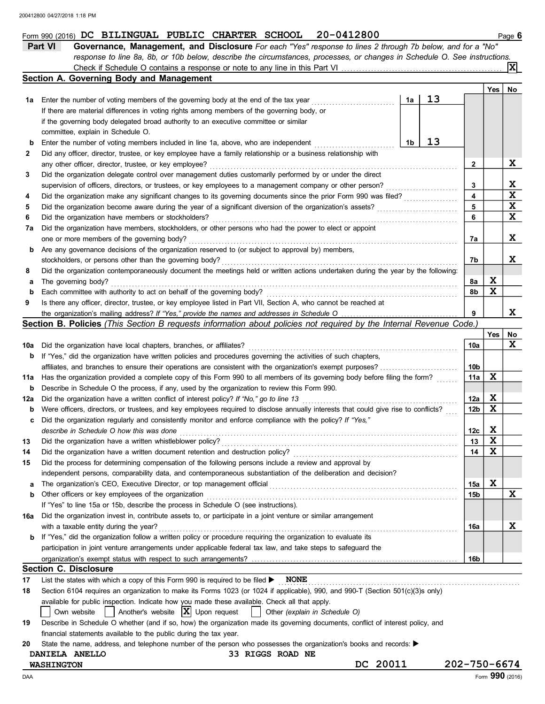|     | Part VI<br>Governance, Management, and Disclosure For each "Yes" response to lines 2 through 7b below, and for a "No"               |                 |                         |             |  |  |  |  |
|-----|-------------------------------------------------------------------------------------------------------------------------------------|-----------------|-------------------------|-------------|--|--|--|--|
|     | response to line 8a, 8b, or 10b below, describe the circumstances, processes, or changes in Schedule O. See instructions.           |                 |                         |             |  |  |  |  |
|     |                                                                                                                                     |                 |                         |             |  |  |  |  |
|     | Section A. Governing Body and Management                                                                                            |                 |                         |             |  |  |  |  |
|     |                                                                                                                                     |                 | Yes                     | No          |  |  |  |  |
| 1а  | 13<br>1a<br>Enter the number of voting members of the governing body at the end of the tax year                                     |                 |                         |             |  |  |  |  |
|     | If there are material differences in voting rights among members of the governing body, or                                          |                 |                         |             |  |  |  |  |
|     | if the governing body delegated broad authority to an executive committee or similar                                                |                 |                         |             |  |  |  |  |
|     | committee, explain in Schedule O.                                                                                                   |                 |                         |             |  |  |  |  |
| b   | 13<br>1b<br>Enter the number of voting members included in line 1a, above, who are independent                                      |                 |                         |             |  |  |  |  |
| 2   | Did any officer, director, trustee, or key employee have a family relationship or a business relationship with                      |                 |                         |             |  |  |  |  |
|     | any other officer, director, trustee, or key employee?                                                                              | $\mathbf{2}$    |                         | X           |  |  |  |  |
|     |                                                                                                                                     |                 |                         |             |  |  |  |  |
| 3   | Did the organization delegate control over management duties customarily performed by or under the direct                           |                 |                         |             |  |  |  |  |
|     | supervision of officers, directors, or trustees, or key employees to a management company or other person?                          | 3               |                         | X           |  |  |  |  |
| 4   | Did the organization make any significant changes to its governing documents since the prior Form 990 was filed?                    | 4               |                         | $\mathbf x$ |  |  |  |  |
| 5   | Did the organization become aware during the year of a significant diversion of the organization's assets?                          | 5               |                         | $\mathbf x$ |  |  |  |  |
| 6   | Did the organization have members or stockholders?                                                                                  | 6               |                         | X           |  |  |  |  |
| 7a  | Did the organization have members, stockholders, or other persons who had the power to elect or appoint                             |                 |                         |             |  |  |  |  |
|     | one or more members of the governing body?                                                                                          | 7а              |                         | X           |  |  |  |  |
| b   | Are any governance decisions of the organization reserved to (or subject to approval by) members,                                   |                 |                         |             |  |  |  |  |
|     | stockholders, or persons other than the governing body?                                                                             | 7b              |                         | X.          |  |  |  |  |
| 8   | Did the organization contemporaneously document the meetings held or written actions undertaken during the year by the following:   |                 |                         |             |  |  |  |  |
| а   | The governing body?                                                                                                                 | 8a              | X                       |             |  |  |  |  |
| b   | Each committee with authority to act on behalf of the governing body?                                                               | 8b              | $\mathbf x$             |             |  |  |  |  |
| 9   | Is there any officer, director, trustee, or key employee listed in Part VII, Section A, who cannot be reached at                    |                 |                         |             |  |  |  |  |
|     |                                                                                                                                     | 9               |                         | X           |  |  |  |  |
|     | Section B. Policies (This Section B requests information about policies not required by the Internal Revenue Code.)                 |                 |                         |             |  |  |  |  |
|     |                                                                                                                                     |                 |                         |             |  |  |  |  |
|     |                                                                                                                                     |                 | Yes                     | No          |  |  |  |  |
| 10a | Did the organization have local chapters, branches, or affiliates?                                                                  | 10a             |                         | X           |  |  |  |  |
| b   | If "Yes," did the organization have written policies and procedures governing the activities of such chapters,                      |                 |                         |             |  |  |  |  |
|     | affiliates, and branches to ensure their operations are consistent with the organization's exempt purposes?                         | 10 <sub>b</sub> |                         |             |  |  |  |  |
| 11a | Has the organization provided a complete copy of this Form 990 to all members of its governing body before filing the form?         | 11a             | X                       |             |  |  |  |  |
| b   | Describe in Schedule O the process, if any, used by the organization to review this Form 990.                                       |                 |                         |             |  |  |  |  |
| 12a | Did the organization have a written conflict of interest policy? If "No," go to line 13                                             | 12a             | X                       |             |  |  |  |  |
| b   | Were officers, directors, or trustees, and key employees required to disclose annually interests that could give rise to conflicts? | 12 <sub>b</sub> | $\mathbf x$             |             |  |  |  |  |
| с   | Did the organization regularly and consistently monitor and enforce compliance with the policy? If "Yes,"                           |                 |                         |             |  |  |  |  |
|     | describe in Schedule O how this was done                                                                                            | 12c             | X                       |             |  |  |  |  |
| 13  | Did the organization have a written whistleblower policy?                                                                           | 13              | $\overline{\mathbf{x}}$ |             |  |  |  |  |
| 14  | Did the organization have a written document retention and destruction policy?                                                      | 14              | X                       |             |  |  |  |  |
| 15  | Did the process for determining compensation of the following persons include a review and approval by                              |                 |                         |             |  |  |  |  |
|     |                                                                                                                                     |                 |                         |             |  |  |  |  |
|     | independent persons, comparability data, and contemporaneous substantiation of the deliberation and decision?                       |                 | X                       |             |  |  |  |  |
| а   | The organization's CEO, Executive Director, or top management official                                                              | 15a             |                         |             |  |  |  |  |
| b   | Other officers or key employees of the organization                                                                                 | 15 <sub>b</sub> |                         | X           |  |  |  |  |
|     | If "Yes" to line 15a or 15b, describe the process in Schedule O (see instructions).                                                 |                 |                         |             |  |  |  |  |
| 16a | Did the organization invest in, contribute assets to, or participate in a joint venture or similar arrangement                      |                 |                         |             |  |  |  |  |
|     | with a taxable entity during the year?                                                                                              | 16a             |                         | X           |  |  |  |  |
| b   | If "Yes," did the organization follow a written policy or procedure requiring the organization to evaluate its                      |                 |                         |             |  |  |  |  |
|     | participation in joint venture arrangements under applicable federal tax law, and take steps to safeguard the                       |                 |                         |             |  |  |  |  |
|     |                                                                                                                                     | 16b             |                         |             |  |  |  |  |
|     | <b>Section C. Disclosure</b>                                                                                                        |                 |                         |             |  |  |  |  |
| 17  | <b>NONE</b><br>List the states with which a copy of this Form 990 is required to be filed $\blacktriangleright$                     |                 |                         |             |  |  |  |  |
| 18  | Section 6104 requires an organization to make its Forms 1023 (or 1024 if applicable), 990, and 990-T (Section 501(c)(3)s only)      |                 |                         |             |  |  |  |  |
|     | available for public inspection. Indicate how you made these available. Check all that apply.                                       |                 |                         |             |  |  |  |  |
|     | Another's website $ X $ Upon request<br>Own website<br>Other (explain in Schedule O)                                                |                 |                         |             |  |  |  |  |
| 19  | Describe in Schedule O whether (and if so, how) the organization made its governing documents, conflict of interest policy, and     |                 |                         |             |  |  |  |  |
|     |                                                                                                                                     |                 |                         |             |  |  |  |  |
|     | financial statements available to the public during the tax year.                                                                   |                 |                         |             |  |  |  |  |
| 20  | State the name, address, and telephone number of the person who possesses the organization's books and records:                     |                 |                         |             |  |  |  |  |
|     | <b>33 RIGGS ROAD NE</b><br>DANIELA ANELLO                                                                                           |                 |                         |             |  |  |  |  |
|     | 20011<br>DC<br><b>WASHINGTON</b>                                                                                                    | 202-750-6674    |                         |             |  |  |  |  |
| DAA |                                                                                                                                     |                 | Form 990 (2016)         |             |  |  |  |  |

Form 990 (2016) DC BILINGUAL PUBLIC CHARTER SCHOOL 20-0412800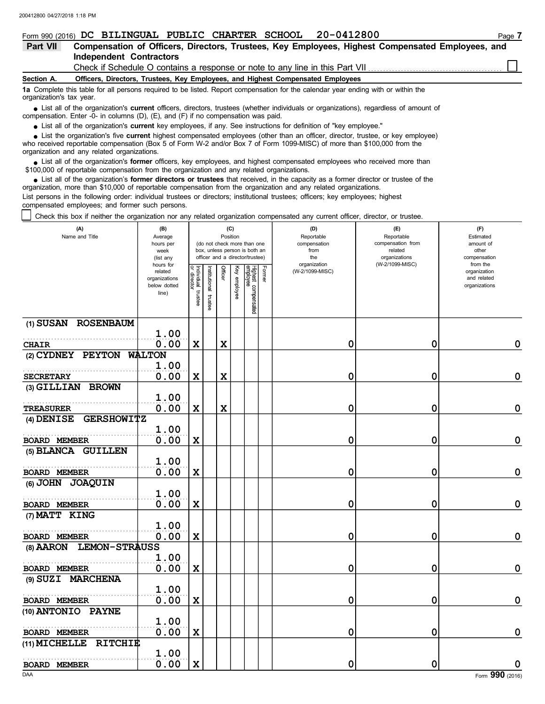|                          | Form 990 (2016) DC BILINGUAL PUBLIC CHARTER SCHOOL 20-0412800                                                                                                                                                             | Page 7 |  |  |  |  |  |  |  |  |  |
|--------------------------|---------------------------------------------------------------------------------------------------------------------------------------------------------------------------------------------------------------------------|--------|--|--|--|--|--|--|--|--|--|
| Part VII                 | Compensation of Officers, Directors, Trustees, Key Employees, Highest Compensated Employees, and                                                                                                                          |        |  |  |  |  |  |  |  |  |  |
|                          | <b>Independent Contractors</b>                                                                                                                                                                                            |        |  |  |  |  |  |  |  |  |  |
|                          | Check if Schedule O contains a response or note to any line in this Part VII                                                                                                                                              |        |  |  |  |  |  |  |  |  |  |
| Section A.               | Officers, Directors, Trustees, Key Employees, and Highest Compensated Employees                                                                                                                                           |        |  |  |  |  |  |  |  |  |  |
| organization's tax year. | 1a Complete this table for all persons required to be listed. Report compensation for the calendar year ending with or within the                                                                                         |        |  |  |  |  |  |  |  |  |  |
|                          | List all of the organization's current officers, directors, trustees (whether individuals or organizations), regardless of amount of<br>compensation. Enter -0- in columns (D), (E), and (F) if no compensation was paid. |        |  |  |  |  |  |  |  |  |  |

List all of the organization's **current** key employees, if any. See instructions for definition of "key employee."

■ List all of the organization's **current** key employees, if any. See instructions for definition of "key employee."<br>■ List the organization's five **current** highest compensated employees (other than an officer, director,

who received reportable compensation (Box 5 of Form W-2 and/or Box 7 of Form 1099-MISC) of more than \$100,000 from the organization and any related organizations.

■ List all of the organization's **former** officers, key employees, and highest compensated employees who received more than<br>00,000 of reportable compensation from the organization and any related organizations \$100,000 of reportable compensation from the organization and any related organizations.

• List all of the organization's **former directors or trustees** that received, in the capacity as a former director or trustee of the principle compensation from the organization and any related organizations organization, more than \$10,000 of reportable compensation from the organization and any related organizations. List persons in the following order: individual trustees or directors; institutional trustees; officers; key employees; highest compensated employees; and former such persons.

Check this box if neither the organization nor any related organization compensated any current officer, director, or trustee.

| (A)<br>Name and Title               | (B)<br>Average<br>hours per<br>week<br>(list any               |                                      |                          |             | (C)<br>Position | (do not check more than one<br>box, unless person is both an<br>officer and a director/trustee) |        | (D)<br>Reportable<br>compensation<br>from<br>the | (E)<br>Reportable<br>compensation from<br>related<br>organizations | (F)<br>Estimated<br>amount of<br>other<br>compensation   |  |
|-------------------------------------|----------------------------------------------------------------|--------------------------------------|--------------------------|-------------|-----------------|-------------------------------------------------------------------------------------------------|--------|--------------------------------------------------|--------------------------------------------------------------------|----------------------------------------------------------|--|
|                                     | hours for<br>related<br>organizations<br>below dotted<br>line) | Individual<br>or director<br>trustee | Institutional<br>trustee | Officer     | Key employee    | Highest compensated<br>employee                                                                 | Former | organization<br>(W-2/1099-MISC)                  | (W-2/1099-MISC)                                                    | from the<br>organization<br>and related<br>organizations |  |
| (1) SUSAN ROSENBAUM                 | 1.00                                                           |                                      |                          |             |                 |                                                                                                 |        |                                                  |                                                                    |                                                          |  |
| <b>CHAIR</b>                        | 0.00                                                           | $\mathbf x$                          |                          | $\mathbf x$ |                 |                                                                                                 |        | 0                                                | 0                                                                  | 0                                                        |  |
| (2) CYDNEY PEYTON WALTON            |                                                                |                                      |                          |             |                 |                                                                                                 |        |                                                  |                                                                    |                                                          |  |
|                                     | 1.00                                                           |                                      |                          |             |                 |                                                                                                 |        |                                                  |                                                                    |                                                          |  |
| <b>SECRETARY</b>                    | 0.00                                                           | $\mathbf x$                          |                          | $\mathbf x$ |                 |                                                                                                 |        | 0                                                | 0                                                                  | 0                                                        |  |
| (3) GILLIAN BROWN                   |                                                                |                                      |                          |             |                 |                                                                                                 |        |                                                  |                                                                    |                                                          |  |
|                                     | 1.00                                                           |                                      |                          |             |                 |                                                                                                 |        |                                                  |                                                                    |                                                          |  |
| <b>TREASURER</b>                    | 0.00                                                           | X                                    |                          | $\mathbf x$ |                 |                                                                                                 |        | 0                                                | 0                                                                  | 0                                                        |  |
| <b>GERSHOWITZ</b><br>$(4)$ DENISE   |                                                                |                                      |                          |             |                 |                                                                                                 |        |                                                  |                                                                    |                                                          |  |
|                                     | 1.00                                                           |                                      |                          |             |                 |                                                                                                 |        |                                                  |                                                                    |                                                          |  |
| <b>BOARD MEMBER</b>                 | 0.00                                                           | $\mathbf x$                          |                          |             |                 |                                                                                                 |        | 0                                                | 0                                                                  | $\mathbf 0$                                              |  |
| (5) BLANCA GUILLEN                  |                                                                |                                      |                          |             |                 |                                                                                                 |        |                                                  |                                                                    |                                                          |  |
|                                     | 1.00                                                           |                                      |                          |             |                 |                                                                                                 |        |                                                  |                                                                    |                                                          |  |
| <b>BOARD MEMBER</b>                 | 0.00                                                           | $\mathbf x$                          |                          |             |                 |                                                                                                 |        | 0                                                | 0                                                                  | $\mathbf 0$                                              |  |
| (6) JOHN JOAQUIN                    | 1.00                                                           |                                      |                          |             |                 |                                                                                                 |        |                                                  |                                                                    |                                                          |  |
| <b>BOARD MEMBER</b>                 | 0.00                                                           | $\mathbf x$                          |                          |             |                 |                                                                                                 |        | 0                                                | 0                                                                  | $\mathbf 0$                                              |  |
| (7) MATT KING                       |                                                                |                                      |                          |             |                 |                                                                                                 |        |                                                  |                                                                    |                                                          |  |
|                                     | 1.00                                                           |                                      |                          |             |                 |                                                                                                 |        |                                                  |                                                                    |                                                          |  |
| BOARD MEMBER                        | 0.00                                                           | $\mathbf x$                          |                          |             |                 |                                                                                                 |        | 0                                                | 0                                                                  | 0                                                        |  |
| <b>LEMON-STRAUSS</b><br>$(8)$ AARON |                                                                |                                      |                          |             |                 |                                                                                                 |        |                                                  |                                                                    |                                                          |  |
|                                     | 1.00                                                           |                                      |                          |             |                 |                                                                                                 |        |                                                  |                                                                    |                                                          |  |
| <b>BOARD MEMBER</b>                 | 0.00                                                           | $\mathbf x$                          |                          |             |                 |                                                                                                 |        | 0                                                | 0                                                                  | 0                                                        |  |
| (9) SUZI MARCHENA                   |                                                                |                                      |                          |             |                 |                                                                                                 |        |                                                  |                                                                    |                                                          |  |
|                                     | 1.00                                                           |                                      |                          |             |                 |                                                                                                 |        |                                                  |                                                                    |                                                          |  |
| <b>BOARD MEMBER</b>                 | 0.00                                                           | $\mathbf x$                          |                          |             |                 |                                                                                                 |        | 0                                                | 0                                                                  | $\pmb{0}$                                                |  |
| (10) ANTONIO PAYNE                  |                                                                |                                      |                          |             |                 |                                                                                                 |        |                                                  |                                                                    |                                                          |  |
|                                     | 1.00                                                           |                                      |                          |             |                 |                                                                                                 |        |                                                  |                                                                    |                                                          |  |
| <b>BOARD MEMBER</b>                 | 0.00                                                           | $\mathbf x$                          |                          |             |                 |                                                                                                 |        | 0                                                | 0                                                                  | 0                                                        |  |
| (11) MICHELLE<br><b>RITCHIE</b>     |                                                                |                                      |                          |             |                 |                                                                                                 |        |                                                  |                                                                    |                                                          |  |
|                                     | 1.00                                                           |                                      |                          |             |                 |                                                                                                 |        |                                                  |                                                                    |                                                          |  |
| <b>BOARD MEMBER</b>                 | 0.00                                                           | $\mathbf x$                          |                          |             |                 |                                                                                                 |        | 0                                                | 0                                                                  | $\mathbf 0$                                              |  |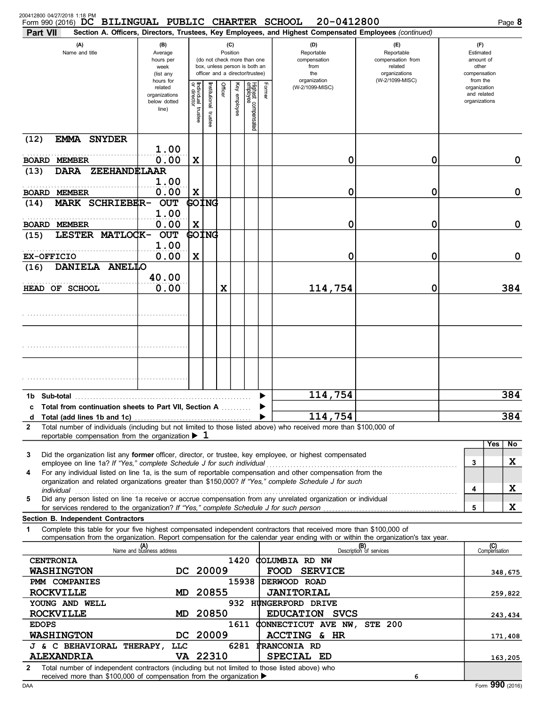| 200412800 04/27/2018 1:18 PM<br>Form 990 (2016) DC<br><b>Part VII</b>                                                                                                                                                                                                                                                                      | <b>BILINGUAL PUBLIC CHARTER SCHOOL</b>                              |                                           |                         |                                                                                                                                                     |                 |                                 |                                                                               | 20-0412800<br>Section A. Officers, Directors, Trustees, Key Employees, and Highest Compensated Employees (continued) |                                       |         |                                                               | Page 8  |
|--------------------------------------------------------------------------------------------------------------------------------------------------------------------------------------------------------------------------------------------------------------------------------------------------------------------------------------------|---------------------------------------------------------------------|-------------------------------------------|-------------------------|-----------------------------------------------------------------------------------------------------------------------------------------------------|-----------------|---------------------------------|-------------------------------------------------------------------------------|----------------------------------------------------------------------------------------------------------------------|---------------------------------------|---------|---------------------------------------------------------------|---------|
| (A)<br>Name and title                                                                                                                                                                                                                                                                                                                      | (C)<br>(B)<br>Position<br>Average<br>hours per<br>week<br>(list any |                                           |                         | (D)<br>Reportable<br>(do not check more than one<br>compensation<br>box, unless person is both an<br>from<br>officer and a director/trustee)<br>the |                 |                                 | $(\mathsf{F})$<br>Reportable<br>compensation from<br>related<br>organizations |                                                                                                                      |                                       |         | $(\Gamma)$<br>Estimated<br>amount of<br>other<br>compensation |         |
|                                                                                                                                                                                                                                                                                                                                            | hours for<br>related<br>organizations<br>below dotted<br>line)      | ٩<br>Individual<br>or director<br>trustee | nstitutional<br>trustee | Officer                                                                                                                                             | Ķey<br>employee | Highest compensated<br>employee | Former                                                                        | organization<br>(W-2/1099-MISC)                                                                                      | (W-2/1099-MISC)                       |         | from the<br>organization<br>and related<br>organizations      |         |
| (12)<br><b>EMMA SNYDER</b>                                                                                                                                                                                                                                                                                                                 |                                                                     |                                           |                         |                                                                                                                                                     |                 |                                 |                                                                               |                                                                                                                      |                                       |         |                                                               |         |
| <b>BOARD MEMBER</b>                                                                                                                                                                                                                                                                                                                        | 1.00<br>0.00                                                        | X                                         |                         |                                                                                                                                                     |                 |                                 |                                                                               | 0                                                                                                                    | 0                                     |         |                                                               | 0       |
| (13)<br>ZEEHANDELAAR<br><b>DARA</b>                                                                                                                                                                                                                                                                                                        |                                                                     |                                           |                         |                                                                                                                                                     |                 |                                 |                                                                               |                                                                                                                      |                                       |         |                                                               |         |
|                                                                                                                                                                                                                                                                                                                                            | 1.00<br>0.00                                                        |                                           |                         |                                                                                                                                                     |                 |                                 |                                                                               |                                                                                                                      |                                       |         |                                                               | 0       |
| <b>BOARD MEMBER</b><br>MARK SCHRIEBER-<br>(14)                                                                                                                                                                                                                                                                                             | <b>OUT</b>                                                          | $\mathbf x$                               | GOING                   |                                                                                                                                                     |                 |                                 |                                                                               | 0                                                                                                                    | 0                                     |         |                                                               |         |
|                                                                                                                                                                                                                                                                                                                                            | 1.00                                                                |                                           |                         |                                                                                                                                                     |                 |                                 |                                                                               |                                                                                                                      |                                       |         |                                                               |         |
| <b>BOARD MEMBER</b><br>LESTER MATLOCK-<br>(15)                                                                                                                                                                                                                                                                                             | 0.00<br><b>OUT</b>                                                  | $\mathbf x$                               | GOING                   |                                                                                                                                                     |                 |                                 |                                                                               | 0                                                                                                                    | 0                                     |         |                                                               | 0       |
|                                                                                                                                                                                                                                                                                                                                            | 1.00                                                                |                                           |                         |                                                                                                                                                     |                 |                                 |                                                                               |                                                                                                                      |                                       |         |                                                               |         |
| <b>EX-OFFICIO</b>                                                                                                                                                                                                                                                                                                                          | 0.00                                                                | X                                         |                         |                                                                                                                                                     |                 |                                 |                                                                               | 0                                                                                                                    | 0                                     |         |                                                               | 0       |
| DANIELA ANELLO<br>(16)                                                                                                                                                                                                                                                                                                                     | 40.00                                                               |                                           |                         |                                                                                                                                                     |                 |                                 |                                                                               |                                                                                                                      |                                       |         |                                                               |         |
| HEAD OF SCHOOL                                                                                                                                                                                                                                                                                                                             | 0.00                                                                |                                           |                         | X                                                                                                                                                   |                 |                                 |                                                                               | 114,754                                                                                                              | 0                                     |         |                                                               | 384     |
|                                                                                                                                                                                                                                                                                                                                            |                                                                     |                                           |                         |                                                                                                                                                     |                 |                                 |                                                                               |                                                                                                                      |                                       |         |                                                               |         |
| Sub-total<br>1b.                                                                                                                                                                                                                                                                                                                           |                                                                     |                                           |                         |                                                                                                                                                     |                 |                                 | ▶                                                                             | 114,754                                                                                                              |                                       |         |                                                               | 384     |
| <b>Total from continuation sheets to Part VII, Section A</b><br>c                                                                                                                                                                                                                                                                          |                                                                     |                                           |                         |                                                                                                                                                     |                 |                                 |                                                                               |                                                                                                                      |                                       |         |                                                               |         |
| d                                                                                                                                                                                                                                                                                                                                          |                                                                     |                                           |                         |                                                                                                                                                     |                 |                                 |                                                                               | 114,754                                                                                                              |                                       |         |                                                               | 384     |
| Total number of individuals (including but not limited to those listed above) who received more than \$100,000 of<br>$\overline{2}$<br>reportable compensation from the organization $\blacktriangleright$ 1                                                                                                                               |                                                                     |                                           |                         |                                                                                                                                                     |                 |                                 |                                                                               |                                                                                                                      |                                       |         |                                                               |         |
|                                                                                                                                                                                                                                                                                                                                            |                                                                     |                                           |                         |                                                                                                                                                     |                 |                                 |                                                                               |                                                                                                                      |                                       |         | Yes                                                           | No      |
| Did the organization list any former officer, director, or trustee, key employee, or highest compensated<br>3<br>For any individual listed on line 1a, is the sum of reportable compensation and other compensation from the<br>4<br>organization and related organizations greater than \$150,000? If "Yes," complete Schedule J for such |                                                                     |                                           |                         |                                                                                                                                                     |                 |                                 |                                                                               |                                                                                                                      |                                       |         | 3                                                             | X       |
| individual<br>Did any person listed on line 1a receive or accrue compensation from any unrelated organization or individual<br>5                                                                                                                                                                                                           |                                                                     |                                           |                         |                                                                                                                                                     |                 |                                 |                                                                               |                                                                                                                      |                                       |         | 4                                                             | X       |
|                                                                                                                                                                                                                                                                                                                                            |                                                                     |                                           |                         |                                                                                                                                                     |                 |                                 |                                                                               |                                                                                                                      |                                       |         | 5                                                             | X       |
| Section B. Independent Contractors<br>Complete this table for your five highest compensated independent contractors that received more than \$100,000 of<br>1                                                                                                                                                                              |                                                                     |                                           |                         |                                                                                                                                                     |                 |                                 |                                                                               |                                                                                                                      |                                       |         |                                                               |         |
| compensation from the organization. Report compensation for the calendar year ending with or within the organization's tax year.                                                                                                                                                                                                           |                                                                     |                                           |                         |                                                                                                                                                     |                 |                                 |                                                                               |                                                                                                                      |                                       |         |                                                               |         |
|                                                                                                                                                                                                                                                                                                                                            | (A)<br>Name and business address                                    |                                           |                         |                                                                                                                                                     |                 |                                 |                                                                               |                                                                                                                      | <b>(B)</b><br>Description of services |         | (C)<br>Compensation                                           |         |
| <b>CENTRONIA</b><br><b>WASHINGTON</b>                                                                                                                                                                                                                                                                                                      | DC 20009                                                            |                                           |                         |                                                                                                                                                     |                 |                                 |                                                                               | 1420 COLUMBIA RD NW<br>FOOD SERVICE                                                                                  |                                       |         |                                                               | 348,675 |
| PMM COMPANIES                                                                                                                                                                                                                                                                                                                              |                                                                     |                                           |                         |                                                                                                                                                     |                 |                                 |                                                                               | 15938 DERWOOD ROAD                                                                                                   |                                       |         |                                                               |         |
| <b>ROCKVILLE</b>                                                                                                                                                                                                                                                                                                                           | MD.                                                                 |                                           | 20855                   |                                                                                                                                                     |                 |                                 |                                                                               | <b>JANITORIAL</b>                                                                                                    |                                       |         |                                                               | 259,822 |
| 932 HUNGERFORD DRIVE<br>YOUNG AND WELL                                                                                                                                                                                                                                                                                                     |                                                                     |                                           |                         |                                                                                                                                                     |                 |                                 |                                                                               |                                                                                                                      |                                       |         |                                                               |         |
| EDUCATION SVCS<br><b>ROCKVILLE</b><br>20850<br>MD<br>1611 CONNECTICUT AVE NW, STE 200<br><b>EDOPS</b>                                                                                                                                                                                                                                      |                                                                     |                                           |                         |                                                                                                                                                     |                 |                                 |                                                                               |                                                                                                                      |                                       | 243,434 |                                                               |         |
| <b>WASHINGTON</b>                                                                                                                                                                                                                                                                                                                          | DC.                                                                 |                                           | 20009                   |                                                                                                                                                     |                 |                                 |                                                                               | ACCTING & HR                                                                                                         |                                       |         |                                                               | 171,408 |
| J & C BEHAVIORAL THERAPY,                                                                                                                                                                                                                                                                                                                  | LLC                                                                 |                                           |                         |                                                                                                                                                     |                 |                                 |                                                                               | 6281 FRANCONIA RD                                                                                                    |                                       |         |                                                               |         |
| <b>ALEXANDRIA</b>                                                                                                                                                                                                                                                                                                                          | VA 22310                                                            |                                           |                         |                                                                                                                                                     |                 |                                 |                                                                               | SPECIAL ED                                                                                                           |                                       |         |                                                               | 163,205 |
| Total number of independent contractors (including but not limited to those listed above) who<br>2<br>received more than \$100,000 of compensation from the organization ▶                                                                                                                                                                 |                                                                     |                                           |                         |                                                                                                                                                     |                 |                                 |                                                                               |                                                                                                                      | 6                                     |         |                                                               |         |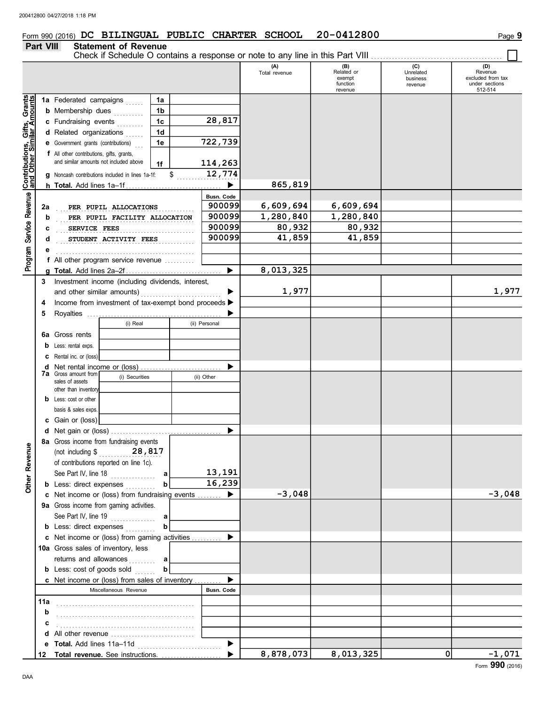## Form 990 (2016) DC BILINGUAL PUBLIC CHARTER SCHOOL 20-0412800

#### **Part VIII Statement of Revenue**

|                                                                                           |     | Check if Schedule O contains a response or note to any line in this Part VIII |              |               |                      |                                                    |                                         |                                                                  |
|-------------------------------------------------------------------------------------------|-----|-------------------------------------------------------------------------------|--------------|---------------|----------------------|----------------------------------------------------|-----------------------------------------|------------------------------------------------------------------|
|                                                                                           |     |                                                                               |              |               | (A)<br>Total revenue | (B)<br>Related or<br>exempt<br>function<br>revenue | (C)<br>Unrelated<br>business<br>revenue | (D)<br>Revenue<br>excluded from tax<br>under sections<br>512-514 |
|                                                                                           |     | 1a Federated campaigns                                                        | 1a           |               |                      |                                                    |                                         |                                                                  |
|                                                                                           |     | <b>b</b> Membership dues<br>.                                                 | 1b           |               |                      |                                                    |                                         |                                                                  |
|                                                                                           |     | c Fundraising events                                                          | 1c           | 28,817        |                      |                                                    |                                         |                                                                  |
|                                                                                           |     | d Related organizations                                                       | 1d           |               |                      |                                                    |                                         |                                                                  |
|                                                                                           |     | <b>e</b> Government grants (contributions)                                    | 1e           | 722,739       |                      |                                                    |                                         |                                                                  |
|                                                                                           |     | f All other contributions, gifts, grants,                                     |              |               |                      |                                                    |                                         |                                                                  |
|                                                                                           |     | and similar amounts not included above                                        | 1f           | 114,263       |                      |                                                    |                                         |                                                                  |
|                                                                                           |     | g Noncash contributions included in lines 1a-1f:                              | $\mathbb{S}$ | 12,774        |                      |                                                    |                                         |                                                                  |
|                                                                                           |     |                                                                               |              | ▶             | 865,819              |                                                    |                                         |                                                                  |
|                                                                                           |     |                                                                               |              | Busn. Code    |                      |                                                    |                                         |                                                                  |
|                                                                                           | 2a  | PER PUPIL ALLOCATIONS                                                         |              | 900099        | 6,609,694            | 6,609,694                                          |                                         |                                                                  |
|                                                                                           | b   | PER PUPIL FACILITY ALLOCATION                                                 |              | 900099        | 1,280,840            | 1,280,840                                          |                                         |                                                                  |
| Service Revenue Contributions, Gifts, Grants<br>Service Revenue and Other Similar Amounts | c   | SERVICE FEES                                                                  |              | 900099        | 80,932               | 80,932                                             |                                         |                                                                  |
|                                                                                           | d   | STUDENT ACTIVITY FEES                                                         |              | 900099        | 41,859               | 41,859                                             |                                         |                                                                  |
|                                                                                           |     |                                                                               |              |               |                      |                                                    |                                         |                                                                  |
| Program:                                                                                  |     | f All other program service revenue                                           |              |               |                      |                                                    |                                         |                                                                  |
|                                                                                           |     |                                                                               |              | ▶             | 8,013,325            |                                                    |                                         |                                                                  |
|                                                                                           |     | 3 Investment income (including dividends, interest,                           |              |               |                      |                                                    |                                         |                                                                  |
|                                                                                           |     | and other similar amounts)                                                    |              |               | 1,977                |                                                    |                                         | 1,977                                                            |
|                                                                                           | 4   | Income from investment of tax-exempt bond proceeds >                          |              |               |                      |                                                    |                                         |                                                                  |
|                                                                                           | 5   |                                                                               |              |               |                      |                                                    |                                         |                                                                  |
|                                                                                           |     | (i) Real                                                                      |              | (ii) Personal |                      |                                                    |                                         |                                                                  |
|                                                                                           |     | 6a Gross rents                                                                |              |               |                      |                                                    |                                         |                                                                  |
|                                                                                           | b   | Less: rental exps.                                                            |              |               |                      |                                                    |                                         |                                                                  |
|                                                                                           |     | Rental inc. or (loss)                                                         |              |               |                      |                                                    |                                         |                                                                  |
|                                                                                           | d   |                                                                               |              |               |                      |                                                    |                                         |                                                                  |
|                                                                                           |     | <b>7a</b> Gross amount from<br>(i) Securities                                 |              | (ii) Other    |                      |                                                    |                                         |                                                                  |
|                                                                                           |     | sales of assets<br>other than inventory                                       |              |               |                      |                                                    |                                         |                                                                  |
|                                                                                           |     | <b>b</b> Less: cost or other                                                  |              |               |                      |                                                    |                                         |                                                                  |
|                                                                                           |     | basis & sales exps.                                                           |              |               |                      |                                                    |                                         |                                                                  |
|                                                                                           |     | c Gain or (loss)                                                              |              |               |                      |                                                    |                                         |                                                                  |
|                                                                                           |     |                                                                               |              |               |                      |                                                    |                                         |                                                                  |
| Ф                                                                                         |     | 8a Gross income from fundraising events                                       |              |               |                      |                                                    |                                         |                                                                  |
|                                                                                           |     | (not including $$$ 28,817                                                     |              |               |                      |                                                    |                                         |                                                                  |
|                                                                                           |     | of contributions reported on line 1c).                                        |              |               |                      |                                                    |                                         |                                                                  |
|                                                                                           |     | See Part IV, line 18                                                          | a            | 13,191        |                      |                                                    |                                         |                                                                  |
| Other Revenu                                                                              |     | <b>b</b> Less: direct expenses                                                |              | 16,239        |                      |                                                    |                                         |                                                                  |
|                                                                                           |     | c Net income or (loss) from fundraising events                                |              |               | $-3,048$             |                                                    |                                         | $-3,048$                                                         |
|                                                                                           |     | 9a Gross income from gaming activities.                                       |              |               |                      |                                                    |                                         |                                                                  |
|                                                                                           |     | See Part IV, line 19                                                          | a            |               |                      |                                                    |                                         |                                                                  |
|                                                                                           |     | <b>b</b> Less: direct expenses                                                |              |               |                      |                                                    |                                         |                                                                  |
|                                                                                           |     | c Net income or (loss) from gaming activities                                 |              |               |                      |                                                    |                                         |                                                                  |
|                                                                                           |     | 10a Gross sales of inventory, less                                            |              |               |                      |                                                    |                                         |                                                                  |
|                                                                                           |     | returns and allowances                                                        | а            |               |                      |                                                    |                                         |                                                                  |
|                                                                                           |     | <b>b</b> Less: cost of goods sold                                             | b            |               |                      |                                                    |                                         |                                                                  |
|                                                                                           |     | <b>c</b> Net income or (loss) from sales of inventory                         |              |               |                      |                                                    |                                         |                                                                  |
|                                                                                           |     | Miscellaneous Revenue                                                         |              | Busn. Code    |                      |                                                    |                                         |                                                                  |
|                                                                                           | 11a |                                                                               |              |               |                      |                                                    |                                         |                                                                  |
|                                                                                           | b   |                                                                               |              |               |                      |                                                    |                                         |                                                                  |
|                                                                                           |     |                                                                               |              |               |                      |                                                    |                                         |                                                                  |
|                                                                                           |     | d All other revenue                                                           |              |               |                      |                                                    |                                         |                                                                  |
|                                                                                           |     |                                                                               |              |               |                      |                                                    |                                         |                                                                  |
|                                                                                           |     | 12 Total revenue. See instructions.                                           |              |               | 8,878,073            | 8,013,325                                          | $\Omega$                                | $-1,071$                                                         |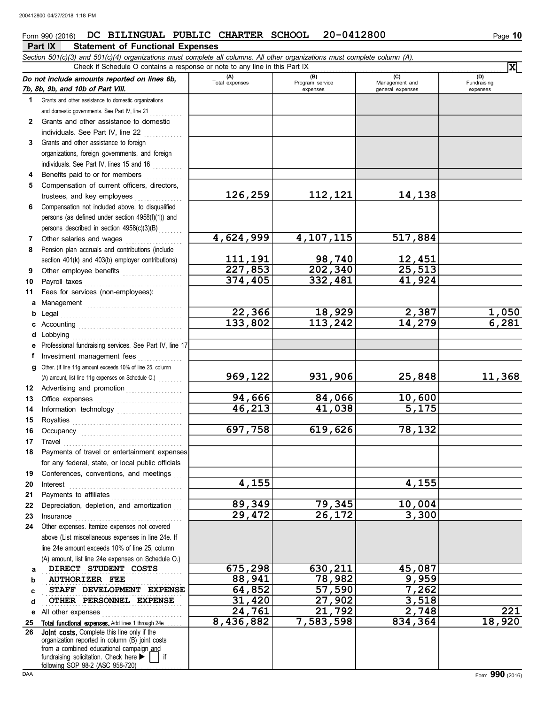#### **Part IX Statement of Functional Expenses** Form 990 (2016) DC BILINGUAL PUBLIC CHARTER SCHOOL 20-0412800

|              | Section 501(c)(3) and 501(c)(4) organizations must complete all columns. All other organizations must complete column (A).<br>Check if Schedule O contains a response or note to any line in this Part IX                            |                       |                          |                       |                       |
|--------------|--------------------------------------------------------------------------------------------------------------------------------------------------------------------------------------------------------------------------------------|-----------------------|--------------------------|-----------------------|-----------------------|
|              |                                                                                                                                                                                                                                      |                       |                          |                       | $\mathbf{x}$          |
|              | Do not include amounts reported on lines 6b,                                                                                                                                                                                         | (A)<br>Total expenses | (B)<br>Program service   | (C)<br>Management and | (D)<br>Fundraising    |
|              | 7b, 8b, 9b, and 10b of Part VIII.                                                                                                                                                                                                    |                       | expenses                 | general expenses      | expenses              |
| 1.           | Grants and other assistance to domestic organizations                                                                                                                                                                                |                       |                          |                       |                       |
|              | and domestic governments. See Part IV, line 21                                                                                                                                                                                       |                       |                          |                       |                       |
| $\mathbf{2}$ | Grants and other assistance to domestic                                                                                                                                                                                              |                       |                          |                       |                       |
|              | individuals. See Part IV, line 22                                                                                                                                                                                                    |                       |                          |                       |                       |
| 3            | Grants and other assistance to foreign                                                                                                                                                                                               |                       |                          |                       |                       |
|              | organizations, foreign governments, and foreign                                                                                                                                                                                      |                       |                          |                       |                       |
|              | individuals. See Part IV, lines 15 and 16                                                                                                                                                                                            |                       |                          |                       |                       |
|              | Benefits paid to or for members<br>Compensation of current officers, directors,                                                                                                                                                      |                       |                          |                       |                       |
| 5            | trustees, and key employees                                                                                                                                                                                                          | 126,259               | 112,121                  | 14, 138               |                       |
| 6            | Compensation not included above, to disqualified                                                                                                                                                                                     |                       |                          |                       |                       |
|              | persons (as defined under section 4958(f)(1)) and                                                                                                                                                                                    |                       |                          |                       |                       |
|              | persons described in section 4958(c)(3)(B)                                                                                                                                                                                           |                       |                          |                       |                       |
| 7            | Other salaries and wages                                                                                                                                                                                                             | 4,624,999             | 4, 107, 115              | 517,884               |                       |
| 8            | Pension plan accruals and contributions (include                                                                                                                                                                                     |                       |                          |                       |                       |
|              | section 401(k) and 403(b) employer contributions)                                                                                                                                                                                    | <u>111, 191</u>       |                          | <u>12,451</u>         |                       |
| 9            | Other employee benefits                                                                                                                                                                                                              | 227,853               | $\frac{98,740}{202,340}$ | 25,513                |                       |
| 10           | Payroll taxes                                                                                                                                                                                                                        | 374,405               | 332,481                  | 41,924                |                       |
| 11           | Fees for services (non-employees):                                                                                                                                                                                                   |                       |                          |                       |                       |
| a            |                                                                                                                                                                                                                                      |                       |                          |                       |                       |
| b            | Legal                                                                                                                                                                                                                                | 22,366                | 18,929                   | 2,387                 |                       |
|              |                                                                                                                                                                                                                                      | 133,802               | 113,242                  | 14,279                | $\frac{1,050}{6,281}$ |
|              | Lobbying                                                                                                                                                                                                                             |                       |                          |                       |                       |
|              | Professional fundraising services. See Part IV, line 17                                                                                                                                                                              |                       |                          |                       |                       |
|              | Investment management fees                                                                                                                                                                                                           |                       |                          |                       |                       |
| g            | Other. (If line 11g amount exceeds 10% of line 25, column                                                                                                                                                                            |                       |                          |                       |                       |
|              | (A) amount, list line 11g expenses on Schedule O.)                                                                                                                                                                                   | 969,122               | 931,906                  | 25,848                | 11,368                |
| 12           | Advertising and promotion                                                                                                                                                                                                            |                       |                          |                       |                       |
| 13           |                                                                                                                                                                                                                                      | 94,666                | 84,066                   | 10,600                |                       |
| 14           |                                                                                                                                                                                                                                      | 46,213                | 41,038                   | 5,175                 |                       |
| 15           |                                                                                                                                                                                                                                      |                       |                          |                       |                       |
| 16           |                                                                                                                                                                                                                                      | 697,758               | 619,626                  | 78,132                |                       |
| 17           | Travel <b>contract and the contract of the contract of the contract of the contract of the contract of the contract of the contract of the contract of the contract of the contract of the contract of the contract of the contr</b> |                       |                          |                       |                       |
|              | 18 Payments of travel or entertainment expenses                                                                                                                                                                                      |                       |                          |                       |                       |
|              | for any federal, state, or local public officials                                                                                                                                                                                    |                       |                          |                       |                       |
| 19           | Conferences, conventions, and meetings                                                                                                                                                                                               | 4,155                 |                          | 4,155                 |                       |
| 20<br>21     | Interest<br>Payments to affiliates                                                                                                                                                                                                   |                       |                          |                       |                       |
| 22           | Depreciation, depletion, and amortization                                                                                                                                                                                            | 89,349                | 79,345                   | 10,004                |                       |
| 23           | Insurance                                                                                                                                                                                                                            | 29,472                | 26,172                   | 3,300                 |                       |
| 24           | Other expenses. Itemize expenses not covered                                                                                                                                                                                         |                       |                          |                       |                       |
|              | above (List miscellaneous expenses in line 24e. If                                                                                                                                                                                   |                       |                          |                       |                       |
|              | line 24e amount exceeds 10% of line 25, column                                                                                                                                                                                       |                       |                          |                       |                       |
|              | (A) amount, list line 24e expenses on Schedule O.)                                                                                                                                                                                   |                       |                          |                       |                       |
| а            | DIRECT STUDENT COSTS                                                                                                                                                                                                                 | 675,298               | 630,211                  | 45,087                |                       |
| b            | <b>AUTHORIZER FEE</b>                                                                                                                                                                                                                | 88,941                | 78,982                   | 9,959                 |                       |
| с            | STAFF DEVELOPMENT EXPENSE                                                                                                                                                                                                            | 64,852                | 57,590                   | 7,262                 |                       |
| d            | OTHER PERSONNEL EXPENSE                                                                                                                                                                                                              | 31,420                | 27,902                   | 3,518                 |                       |
| е            | All other expenses                                                                                                                                                                                                                   | 24,761                | 21,792                   | 2,748                 | $\overline{221}$      |
| 25           | Total functional expenses. Add lines 1 through 24e                                                                                                                                                                                   | 8,436,882             | 7,583,598                | 834,364               | 18,920                |
| 26           | <b>Joint costs.</b> Complete this line only if the                                                                                                                                                                                   |                       |                          |                       |                       |
|              | organization reported in column (B) joint costs<br>from a combined educational campaign and                                                                                                                                          |                       |                          |                       |                       |
|              | fundraising solicitation. Check here<br>if                                                                                                                                                                                           |                       |                          |                       |                       |

following SOP 98-2 (ASC 958-720) . . . . . . . . . . . . . .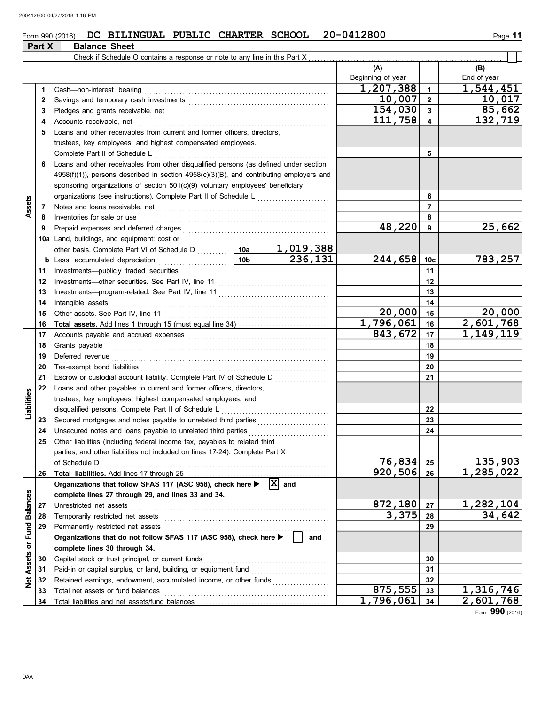## Form 990 (2016) DC BILINGUAL PUBLIC CHARTER SCHOOL 20-0412800

## **Part X Balance Sheet**

|                             |    |                                                                                               | (A)<br>Beginning of year |                         | (B)<br>End of year     |
|-----------------------------|----|-----------------------------------------------------------------------------------------------|--------------------------|-------------------------|------------------------|
|                             | 1  | Cash-non-interest bearing                                                                     | 1,207,388                | $\mathbf{1}$            | 1,544,451              |
|                             | 2  |                                                                                               | 10,007                   | $\overline{2}$          | 10,017                 |
|                             | 3  |                                                                                               | 154,030                  | $\mathbf{3}$            | 85,662                 |
|                             | 4  | Accounts receivable, net                                                                      | 111,758                  | $\overline{\mathbf{4}}$ | 132,719                |
|                             | 5  | Loans and other receivables from current and former officers, directors,                      |                          |                         |                        |
|                             |    | trustees, key employees, and highest compensated employees.                                   |                          |                         |                        |
|                             |    | Complete Part II of Schedule L                                                                |                          | 5                       |                        |
|                             | 6  | Loans and other receivables from other disqualified persons (as defined under section         |                          |                         |                        |
|                             |    | $4958(f)(1)$ ), persons described in section $4958(c)(3)(B)$ , and contributing employers and |                          |                         |                        |
|                             |    | sponsoring organizations of section 501(c)(9) voluntary employees' beneficiary                |                          |                         |                        |
|                             |    |                                                                                               |                          | 6                       |                        |
| Assets                      | 7  |                                                                                               |                          | $\overline{7}$          |                        |
|                             | 8  | Inventories for sale or use                                                                   |                          | 8                       |                        |
|                             | 9  | Prepaid expenses and deferred charges                                                         | 48,220                   | 9                       | 25,662                 |
|                             |    | 10a Land, buildings, and equipment: cost or                                                   |                          |                         |                        |
|                             |    | 1,019,388<br>other basis. Complete Part VI of Schedule D [108]                                |                          |                         |                        |
|                             |    | 236,131<br>10 <sub>b</sub><br><b>b</b> Less: accumulated depreciation<br>.                    | 244,658 10c              |                         | 783,257                |
|                             | 11 | Investments--publicly traded securities                                                       |                          | 11                      |                        |
|                             | 12 |                                                                                               |                          | 12                      |                        |
|                             | 13 |                                                                                               |                          | 13                      |                        |
|                             | 14 | Intangible assets                                                                             |                          | 14                      |                        |
|                             | 15 |                                                                                               | 20,000                   | 15                      | 20,000                 |
|                             | 16 | Total assets. Add lines 1 through 15 (must equal line 34)                                     | 1,796,061                | 16                      | $\sqrt{2,601,768}$     |
|                             | 17 |                                                                                               | 843,672                  | 17                      | 1, 149, 119            |
|                             | 18 | Grants payable                                                                                |                          | 18                      |                        |
|                             | 19 | Deferred revenue                                                                              |                          | 19                      |                        |
|                             | 20 | Tax-exempt bond liabilities                                                                   |                          | 20                      |                        |
|                             | 21 | Escrow or custodial account liability. Complete Part IV of Schedule D                         |                          | 21                      |                        |
|                             | 22 | Loans and other payables to current and former officers, directors,                           |                          |                         |                        |
| Liabilities                 |    | trustees, key employees, highest compensated employees, and                                   |                          |                         |                        |
|                             |    | disqualified persons. Complete Part II of Schedule L                                          |                          | 22                      |                        |
|                             | 23 | Secured mortgages and notes payable to unrelated third parties                                |                          | 23                      |                        |
|                             | 24 | Unsecured notes and loans payable to unrelated third parties                                  |                          | 24                      |                        |
|                             | 25 | Other liabilities (including federal income tax, payables to related third                    |                          |                         |                        |
|                             |    | parties, and other liabilities not included on lines 17-24). Complete Part X                  |                          |                         |                        |
|                             |    | of Schedule D                                                                                 | 76,834                   | 25                      | 135,903                |
|                             | 26 |                                                                                               | 920,506 26               |                         | $\overline{1,285,022}$ |
|                             |    | $ \mathbf{X} $ and<br>Organizations that follow SFAS 117 (ASC 958), check here >              |                          |                         |                        |
|                             |    | complete lines 27 through 29, and lines 33 and 34.                                            |                          |                         |                        |
|                             | 27 | Unrestricted net assets                                                                       | 872,180                  | 27                      | 1,282,104              |
|                             | 28 | Temporarily restricted net assets                                                             | 3,375                    | 28                      | 34,642                 |
|                             | 29 | Permanently restricted net assets                                                             |                          | 29                      |                        |
|                             |    | Organizations that do not follow SFAS 117 (ASC 958), check here ▶<br>and                      |                          |                         |                        |
|                             |    | complete lines 30 through 34.                                                                 |                          |                         |                        |
|                             | 30 | Capital stock or trust principal, or current funds                                            |                          | 30                      |                        |
| Net Assets or Fund Balances | 31 | Paid-in or capital surplus, or land, building, or equipment fund                              |                          | 31                      |                        |
|                             | 32 | Retained earnings, endowment, accumulated income, or other funds                              |                          | 32                      |                        |
|                             | 33 | Total net assets or fund balances                                                             | 875,555                  | 33                      | 1,316,746              |
|                             | 34 |                                                                                               | 1,796,061                | 34                      | 2,601,768              |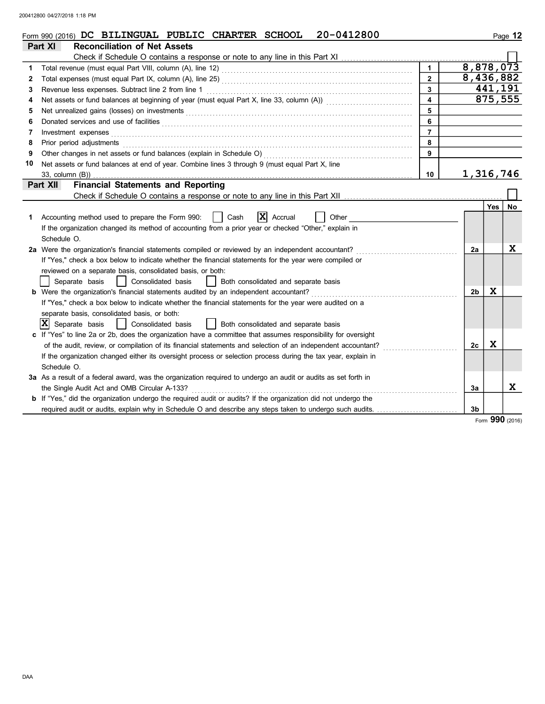|    | 20-0412800<br>Form 990 (2016) $DC$ BILINGUAL PUBLIC CHARTER SCHOOL                                                                                                                                                             |                  |                |         | Page 12     |
|----|--------------------------------------------------------------------------------------------------------------------------------------------------------------------------------------------------------------------------------|------------------|----------------|---------|-------------|
|    | <b>Reconciliation of Net Assets</b><br>Part XI                                                                                                                                                                                 |                  |                |         |             |
|    |                                                                                                                                                                                                                                |                  |                |         |             |
| 1  |                                                                                                                                                                                                                                | $\mathbf{1}$     | 8,878,073      |         |             |
| 2  |                                                                                                                                                                                                                                | $\overline{2}$   | 8,436,882      |         |             |
| 3  | Revenue less expenses. Subtract line 2 from line 1                                                                                                                                                                             | $\overline{3}$   |                | 441,191 |             |
| 4  | Net assets or fund balances at beginning of year (must equal Part X, line 33, column (A))                                                                                                                                      | $\blacktriangle$ |                |         | 875,555     |
| 5  |                                                                                                                                                                                                                                | 5                |                |         |             |
| 6  | Donated services and use of facilities <b>constructs</b> and the construction of the service of facilities <b>constructs</b>                                                                                                   | 6                |                |         |             |
| 7  | Investment expenses                                                                                                                                                                                                            | $\overline{7}$   |                |         |             |
| 8  | Prior period adjustments entertainments and a series of the series of the series of the series of the series of the series of the series of the series of the series of the series of the series of the series of the series o | 8                |                |         |             |
| 9  |                                                                                                                                                                                                                                | 9                |                |         |             |
| 10 | Net assets or fund balances at end of year. Combine lines 3 through 9 (must equal Part X, line                                                                                                                                 |                  |                |         |             |
|    |                                                                                                                                                                                                                                | 10               | 1,316,746      |         |             |
|    | <b>Financial Statements and Reporting</b><br>Part XII                                                                                                                                                                          |                  |                |         |             |
|    | Check if Schedule O contains a response or note to any line in this Part XII                                                                                                                                                   |                  |                |         |             |
|    |                                                                                                                                                                                                                                |                  |                | Yes     | No          |
| 1  | $ \mathbf{X} $ Accrual<br>Accounting method used to prepare the Form 990:<br>Cash<br>Other                                                                                                                                     |                  |                |         |             |
|    | If the organization changed its method of accounting from a prior year or checked "Other," explain in                                                                                                                          |                  |                |         |             |
|    | Schedule O.                                                                                                                                                                                                                    |                  |                |         |             |
|    | 2a Were the organization's financial statements compiled or reviewed by an independent accountant?                                                                                                                             |                  | 2a             |         | $\mathbf x$ |
|    | If "Yes," check a box below to indicate whether the financial statements for the year were compiled or                                                                                                                         |                  |                |         |             |
|    | reviewed on a separate basis, consolidated basis, or both:                                                                                                                                                                     |                  |                |         |             |
|    | Separate basis<br>  Consolidated basis<br>  Both consolidated and separate basis                                                                                                                                               |                  |                |         |             |
|    | <b>b</b> Were the organization's financial statements audited by an independent accountant?                                                                                                                                    |                  | 2 <sub>b</sub> | X       |             |
|    | If "Yes," check a box below to indicate whether the financial statements for the year were audited on a                                                                                                                        |                  |                |         |             |
|    | separate basis, consolidated basis, or both:                                                                                                                                                                                   |                  |                |         |             |
|    | $ \mathbf{X} $ Separate basis<br>  Consolidated basis<br>  Both consolidated and separate basis                                                                                                                                |                  |                |         |             |
|    | c If "Yes" to line 2a or 2b, does the organization have a committee that assumes responsibility for oversight                                                                                                                  |                  |                |         |             |
|    | of the audit, review, or compilation of its financial statements and selection of an independent accountant?                                                                                                                   |                  | 2c             | X       |             |
|    | If the organization changed either its oversight process or selection process during the tax year, explain in                                                                                                                  |                  |                |         |             |
|    | Schedule O.                                                                                                                                                                                                                    |                  |                |         |             |
|    | 3a As a result of a federal award, was the organization required to undergo an audit or audits as set forth in                                                                                                                 |                  |                |         |             |
|    | the Single Audit Act and OMB Circular A-133?                                                                                                                                                                                   |                  | За             |         | X           |
|    | b If "Yes," did the organization undergo the required audit or audits? If the organization did not undergo the                                                                                                                 |                  |                |         |             |
|    | required audit or audits, explain why in Schedule O and describe any steps taken to undergo such audits.                                                                                                                       |                  | 3 <sub>b</sub> |         |             |

Form **990** (2016)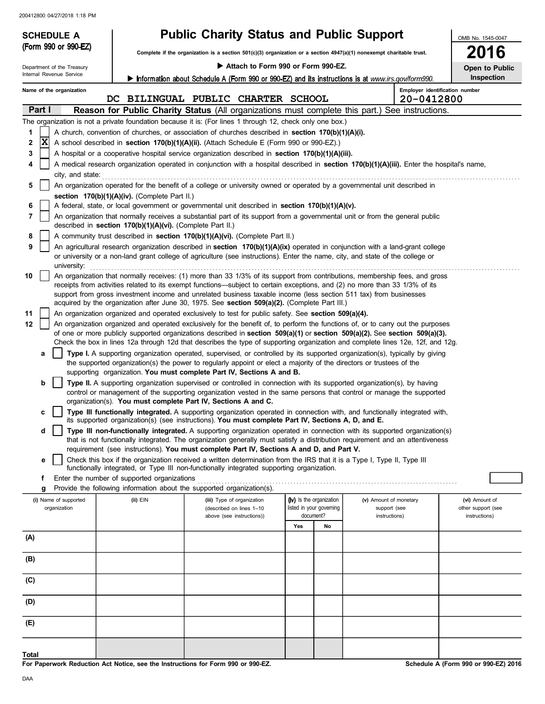| <b>SCHEDULE A</b>          |                                                                                                   | <b>Public Charity Status and Public Support</b>                                                                                                                                                                                                                 |                                       |                               |                                |                                     |
|----------------------------|---------------------------------------------------------------------------------------------------|-----------------------------------------------------------------------------------------------------------------------------------------------------------------------------------------------------------------------------------------------------------------|---------------------------------------|-------------------------------|--------------------------------|-------------------------------------|
| (Form 990 or 990-EZ)       |                                                                                                   | Complete if the organization is a section $501(c)(3)$ organization or a section $4947(a)(1)$ nonexempt charitable trust.                                                                                                                                        |                                       | 2016                          |                                |                                     |
| Department of the Treasury |                                                                                                   | Attach to Form 990 or Form 990-EZ.                                                                                                                                                                                                                              |                                       | Open to Public                |                                |                                     |
| Internal Revenue Service   | Information about Schedule A (Form 990 or 990-EZ) and its instructions is at www.irs.gov/form990. |                                                                                                                                                                                                                                                                 |                                       |                               |                                | Inspection                          |
| Name of the organization   |                                                                                                   |                                                                                                                                                                                                                                                                 |                                       |                               | Employer identification number |                                     |
|                            |                                                                                                   | DC BILINGUAL PUBLIC CHARTER SCHOOL                                                                                                                                                                                                                              |                                       |                               | 20-0412800                     |                                     |
| Part I                     |                                                                                                   | Reason for Public Charity Status (All organizations must complete this part.) See instructions.<br>The organization is not a private foundation because it is: (For lines 1 through 12, check only one box.)                                                    |                                       |                               |                                |                                     |
| 1                          |                                                                                                   | A church, convention of churches, or association of churches described in section 170(b)(1)(A)(i).                                                                                                                                                              |                                       |                               |                                |                                     |
| X<br>2                     |                                                                                                   | A school described in section 170(b)(1)(A)(ii). (Attach Schedule E (Form 990 or 990-EZ).)                                                                                                                                                                       |                                       |                               |                                |                                     |
| 3                          |                                                                                                   | A hospital or a cooperative hospital service organization described in section 170(b)(1)(A)(iii).                                                                                                                                                               |                                       |                               |                                |                                     |
| 4                          |                                                                                                   | A medical research organization operated in conjunction with a hospital described in section 170(b)(1)(A)(iii). Enter the hospital's name,                                                                                                                      |                                       |                               |                                |                                     |
| city, and state:<br>5      |                                                                                                   | An organization operated for the benefit of a college or university owned or operated by a governmental unit described in                                                                                                                                       |                                       |                               |                                |                                     |
|                            | section 170(b)(1)(A)(iv). (Complete Part II.)                                                     |                                                                                                                                                                                                                                                                 |                                       |                               |                                |                                     |
| 6                          |                                                                                                   | A federal, state, or local government or governmental unit described in section 170(b)(1)(A)(v).                                                                                                                                                                |                                       |                               |                                |                                     |
| 7                          |                                                                                                   | An organization that normally receives a substantial part of its support from a governmental unit or from the general public                                                                                                                                    |                                       |                               |                                |                                     |
| 8                          | described in section 170(b)(1)(A)(vi). (Complete Part II.)                                        | A community trust described in section 170(b)(1)(A)(vi). (Complete Part II.)                                                                                                                                                                                    |                                       |                               |                                |                                     |
| 9                          |                                                                                                   | An agricultural research organization described in section 170(b)(1)(A)(ix) operated in conjunction with a land-grant college                                                                                                                                   |                                       |                               |                                |                                     |
| university:                |                                                                                                   | or university or a non-land grant college of agriculture (see instructions). Enter the name, city, and state of the college or                                                                                                                                  |                                       |                               |                                |                                     |
| 10                         |                                                                                                   | An organization that normally receives: (1) more than 33 1/3% of its support from contributions, membership fees, and gross                                                                                                                                     |                                       |                               |                                |                                     |
|                            |                                                                                                   | receipts from activities related to its exempt functions—subject to certain exceptions, and (2) no more than 33 1/3% of its<br>support from gross investment income and unrelated business taxable income (less section 511 tax) from businesses                |                                       |                               |                                |                                     |
|                            |                                                                                                   | acquired by the organization after June 30, 1975. See section 509(a)(2). (Complete Part III.)                                                                                                                                                                   |                                       |                               |                                |                                     |
| 11                         |                                                                                                   | An organization organized and operated exclusively to test for public safety. See section 509(a)(4).                                                                                                                                                            |                                       |                               |                                |                                     |
| 12                         |                                                                                                   | An organization organized and operated exclusively for the benefit of, to perform the functions of, or to carry out the purposes<br>of one or more publicly supported organizations described in section 509(a)(1) or section 509(a)(2). See section 509(a)(3). |                                       |                               |                                |                                     |
|                            |                                                                                                   | Check the box in lines 12a through 12d that describes the type of supporting organization and complete lines 12e, 12f, and 12g.                                                                                                                                 |                                       |                               |                                |                                     |
| a                          |                                                                                                   | Type I. A supporting organization operated, supervised, or controlled by its supported organization(s), typically by giving                                                                                                                                     |                                       |                               |                                |                                     |
|                            |                                                                                                   | the supported organization(s) the power to regularly appoint or elect a majority of the directors or trustees of the<br>supporting organization. You must complete Part IV, Sections A and B.                                                                   |                                       |                               |                                |                                     |
| b                          |                                                                                                   | Type II. A supporting organization supervised or controlled in connection with its supported organization(s), by having                                                                                                                                         |                                       |                               |                                |                                     |
|                            |                                                                                                   | control or management of the supporting organization vested in the same persons that control or manage the supported                                                                                                                                            |                                       |                               |                                |                                     |
| c                          |                                                                                                   | organization(s). You must complete Part IV, Sections A and C.<br>Type III functionally integrated. A supporting organization operated in connection with, and functionally integrated with,                                                                     |                                       |                               |                                |                                     |
|                            |                                                                                                   | its supported organization(s) (see instructions). You must complete Part IV, Sections A, D, and E.                                                                                                                                                              |                                       |                               |                                |                                     |
| d                          |                                                                                                   | Type III non-functionally integrated. A supporting organization operated in connection with its supported organization(s)                                                                                                                                       |                                       |                               |                                |                                     |
|                            |                                                                                                   | that is not functionally integrated. The organization generally must satisfy a distribution requirement and an attentiveness<br>requirement (see instructions). You must complete Part IV, Sections A and D, and Part V.                                        |                                       |                               |                                |                                     |
| е                          |                                                                                                   | Check this box if the organization received a written determination from the IRS that it is a Type I, Type II, Type III                                                                                                                                         |                                       |                               |                                |                                     |
|                            |                                                                                                   | functionally integrated, or Type III non-functionally integrated supporting organization.                                                                                                                                                                       |                                       |                               |                                |                                     |
| f<br>g                     | Enter the number of supported organizations                                                       | Provide the following information about the supported organization(s).                                                                                                                                                                                          |                                       |                               |                                |                                     |
| (i) Name of supported      | (ii) EIN                                                                                          | (iii) Type of organization                                                                                                                                                                                                                                      | (iv) Is the organization              | (v) Amount of monetary        |                                | (vi) Amount of                      |
| organization               |                                                                                                   | (described on lines 1-10<br>above (see instructions))                                                                                                                                                                                                           | listed in your governing<br>document? | support (see<br>instructions) |                                | other support (see<br>instructions) |
|                            |                                                                                                   |                                                                                                                                                                                                                                                                 | Yes<br>No                             |                               |                                |                                     |
| (A)                        |                                                                                                   |                                                                                                                                                                                                                                                                 |                                       |                               |                                |                                     |
|                            |                                                                                                   |                                                                                                                                                                                                                                                                 |                                       |                               |                                |                                     |
| (B)                        |                                                                                                   |                                                                                                                                                                                                                                                                 |                                       |                               |                                |                                     |
| (C)                        |                                                                                                   |                                                                                                                                                                                                                                                                 |                                       |                               |                                |                                     |
| (D)                        |                                                                                                   |                                                                                                                                                                                                                                                                 |                                       |                               |                                |                                     |
| (E)                        |                                                                                                   |                                                                                                                                                                                                                                                                 |                                       |                               |                                |                                     |
|                            |                                                                                                   |                                                                                                                                                                                                                                                                 |                                       |                               |                                |                                     |
| Total                      |                                                                                                   |                                                                                                                                                                                                                                                                 |                                       |                               |                                |                                     |

**For Paperwork Reduction Act Notice, see the Instructions for Form 990 or 990-EZ.**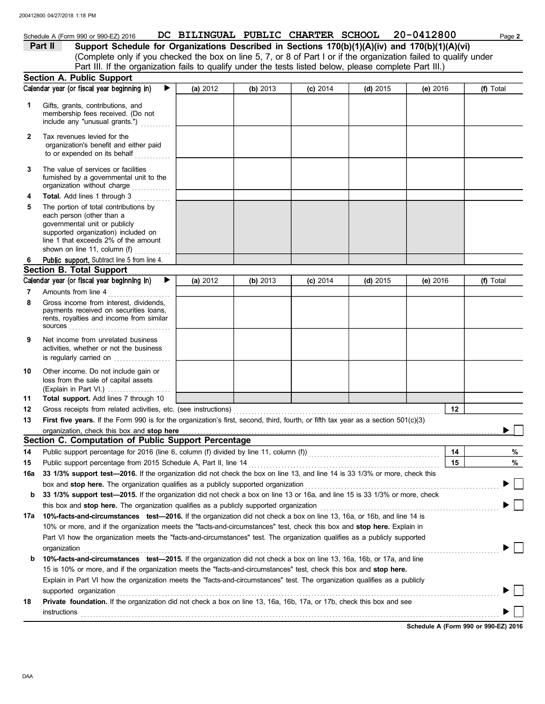## Schedule A (Form 990 or 990-EZ) 2016 **DC BILINGUAL PUBLIC CHARTER SCHOOL** 20-0412800 Page 2 **Part II** Support Schedule for Organizations Described in Sections 170(b)(1)(A)(iv) and 170(b)(1)(A)(vi)

(Complete only if you checked the box on line 5, 7, or 8 of Part I or if the organization failed to qualify under Part III. If the organization fails to qualify under the tests listed below, please complete Part III.)

|     | <b>Section A. Public Support</b>                                                                                                                                                                                                                  |          |          |            |            |            |           |
|-----|---------------------------------------------------------------------------------------------------------------------------------------------------------------------------------------------------------------------------------------------------|----------|----------|------------|------------|------------|-----------|
|     | Calendar year (or fiscal year beginning in)<br>▶                                                                                                                                                                                                  | (a) 2012 | (b) 2013 | $(c)$ 2014 | (d) $2015$ | (e) $2016$ | (f) Total |
| 1   | Gifts, grants, contributions, and<br>membership fees received. (Do not<br>include any "unusual grants.")                                                                                                                                          |          |          |            |            |            |           |
| 2   | Tax revenues levied for the<br>organization's benefit and either paid<br>to or expended on its behalf                                                                                                                                             |          |          |            |            |            |           |
| 3   | The value of services or facilities<br>furnished by a governmental unit to the<br>organization without charge                                                                                                                                     |          |          |            |            |            |           |
| 4   | Total. Add lines 1 through 3                                                                                                                                                                                                                      |          |          |            |            |            |           |
| 5   | The portion of total contributions by<br>each person (other than a<br>governmental unit or publicly<br>supported organization) included on<br>line 1 that exceeds 2% of the amount<br>shown on line 11, column (f) $\ldots$                       |          |          |            |            |            |           |
| 6   | Public support. Subtract line 5 from line 4.                                                                                                                                                                                                      |          |          |            |            |            |           |
|     | <b>Section B. Total Support</b>                                                                                                                                                                                                                   |          |          |            |            |            |           |
|     | Calendar year (or fiscal year beginning in)<br>$\blacktriangleright$                                                                                                                                                                              | (a) 2012 | (b) 2013 | $(c)$ 2014 | (d) $2015$ | (e) 2016   | (f) Total |
| 7   | Amounts from line 4                                                                                                                                                                                                                               |          |          |            |            |            |           |
| 8   | Gross income from interest, dividends,<br>payments received on securities loans,<br>rents, royalties and income from similar                                                                                                                      |          |          |            |            |            |           |
| 9   | Net income from unrelated business<br>activities, whether or not the business<br>is regularly carried on                                                                                                                                          |          |          |            |            |            |           |
| 10  | Other income. Do not include gain or<br>loss from the sale of capital assets<br>(Explain in Part VI.)                                                                                                                                             |          |          |            |            |            |           |
| 11  | Total support. Add lines 7 through 10                                                                                                                                                                                                             |          |          |            |            |            |           |
| 12  | Gross receipts from related activities, etc. (see instructions)                                                                                                                                                                                   |          |          |            |            | 12         |           |
| 13  | First five years. If the Form 990 is for the organization's first, second, third, fourth, or fifth tax year as a section 501(c)(3)                                                                                                                |          |          |            |            |            |           |
|     | organization, check this box and stop here                                                                                                                                                                                                        |          |          |            |            |            |           |
|     | Section C. Computation of Public Support Percentage                                                                                                                                                                                               |          |          |            |            |            |           |
| 14  | Public support percentage for 2016 (line 6, column (f) divided by line 11, column (f)) [[[[[[[[[[[[[[[[[[[[[[                                                                                                                                     |          |          |            |            | 14         | %         |
| 15  |                                                                                                                                                                                                                                                   |          |          |            |            | 15         | $\%$      |
| 16a | 33 1/3% support test-2016. If the organization did not check the box on line 13, and line 14 is 33 1/3% or more, check this                                                                                                                       |          |          |            |            |            |           |
|     | box and stop here. The organization qualifies as a publicly supported organization                                                                                                                                                                |          |          |            |            |            |           |
| b   | 33 1/3% support test-2015. If the organization did not check a box on line 13 or 16a, and line 15 is 33 1/3% or more, check                                                                                                                       |          |          |            |            |            |           |
|     | this box and stop here. The organization qualifies as a publicly supported organization                                                                                                                                                           |          |          |            |            |            |           |
| 17a | 10%-facts-and-circumstances test-2016. If the organization did not check a box on line 13, 16a, or 16b, and line 14 is<br>10% or more, and if the organization meets the "facts-and-circumstances" test, check this box and stop here. Explain in |          |          |            |            |            |           |
|     | Part VI how the organization meets the "facts-and-circumstances" test. The organization qualifies as a publicly supported                                                                                                                         |          |          |            |            |            |           |
|     | organization                                                                                                                                                                                                                                      |          |          |            |            |            |           |
| b   | 10%-facts-and-circumstances test-2015. If the organization did not check a box on line 13, 16a, 16b, or 17a, and line                                                                                                                             |          |          |            |            |            |           |
|     | 15 is 10% or more, and if the organization meets the "facts-and-circumstances" test, check this box and stop here.                                                                                                                                |          |          |            |            |            |           |
|     | Explain in Part VI how the organization meets the "facts-and-circumstances" test. The organization qualifies as a publicly                                                                                                                        |          |          |            |            |            |           |
|     | supported organization<br>Private foundation. If the organization did not check a box on line 13, 16a, 16b, 17a, or 17b, check this box and see                                                                                                   |          |          |            |            |            |           |
| 18  |                                                                                                                                                                                                                                                   |          |          |            |            |            |           |
|     | instructions                                                                                                                                                                                                                                      |          |          |            |            |            |           |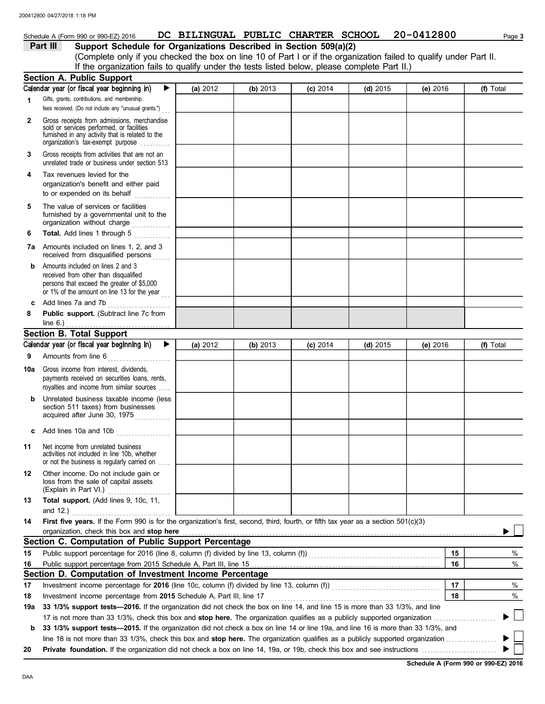## Schedule A (Form 990 or 990-EZ) 2016 **DC BILINGUAL PUBLIC CHARTER SCHOOL** 20-0412800 Page 3

**Part III** Support Schedule for Organizations Described in Section 509(a)(2)

(Complete only if you checked the box on line 10 of Part I or if the organization failed to qualify under Part II. If the organization fails to qualify under the tests listed below, please complete Part II.)

|     | <b>Section A. Public Support</b>                                                                                                                                                  |          |          |            |            |          |    |           |
|-----|-----------------------------------------------------------------------------------------------------------------------------------------------------------------------------------|----------|----------|------------|------------|----------|----|-----------|
|     | Calendar year (or fiscal year beginning in)                                                                                                                                       | (a) 2012 | (b) 2013 | $(c)$ 2014 | $(d)$ 2015 | (e) 2016 |    | (f) Total |
| 1   | Gifts, grants, contributions, and membership                                                                                                                                      |          |          |            |            |          |    |           |
|     | fees received. (Do not include any "unusual grants.")                                                                                                                             |          |          |            |            |          |    |           |
| 2   | Gross receipts from admissions, merchandise<br>sold or services performed, or facilities<br>furnished in any activity that is related to the<br>organization's tax-exempt purpose |          |          |            |            |          |    |           |
| 3   | Gross receipts from activities that are not an<br>unrelated trade or business under section 513                                                                                   |          |          |            |            |          |    |           |
| 4   | Tax revenues levied for the<br>organization's benefit and either paid<br>to or expended on its behalf<br>.                                                                        |          |          |            |            |          |    |           |
| 5   | The value of services or facilities<br>furnished by a governmental unit to the<br>organization without charge                                                                     |          |          |            |            |          |    |           |
| 6   | Total. Add lines 1 through 5                                                                                                                                                      |          |          |            |            |          |    |           |
|     | <b>7a</b> Amounts included on lines 1, 2, and 3<br>received from disqualified persons                                                                                             |          |          |            |            |          |    |           |
| b   | Amounts included on lines 2 and 3<br>received from other than disqualified<br>persons that exceed the greater of \$5,000<br>or 1% of the amount on line 13 for the year           |          |          |            |            |          |    |           |
| C   | Add lines 7a and 7b                                                                                                                                                               |          |          |            |            |          |    |           |
| 8   | Public support. (Subtract line 7c from                                                                                                                                            |          |          |            |            |          |    |           |
|     | line $6.$ )                                                                                                                                                                       |          |          |            |            |          |    |           |
|     | Section B. Total Support                                                                                                                                                          |          |          |            |            |          |    |           |
|     | Calendar year (or fiscal year beginning in)<br>▶                                                                                                                                  | (a) 2012 | (b) 2013 | $(c)$ 2014 | $(d)$ 2015 | (e) 2016 |    | (f) Total |
| 9   | Amounts from line 6                                                                                                                                                               |          |          |            |            |          |    |           |
| 10a | Gross income from interest, dividends,<br>payments received on securities loans, rents,<br>royalties and income from similar sources                                              |          |          |            |            |          |    |           |
| b   | Unrelated business taxable income (less<br>section 511 taxes) from businesses<br>acquired after June 30, 1975                                                                     |          |          |            |            |          |    |           |
|     | c Add lines 10a and 10b $\ldots$                                                                                                                                                  |          |          |            |            |          |    |           |
| 11  | Net income from unrelated business<br>activities not included in line 10b, whether<br>or not the business is regularly carried on                                                 |          |          |            |            |          |    |           |
| 12  | Other income. Do not include gain or<br>loss from the sale of capital assets<br>(Explain in Part VI.)                                                                             |          |          |            |            |          |    |           |
| 13  | Total support. (Add lines 9, 10c, 11,                                                                                                                                             |          |          |            |            |          |    |           |
|     | and $12.$ )<br>.                                                                                                                                                                  |          |          |            |            |          |    |           |
| 14  | First five years. If the Form 990 is for the organization's first, second, third, fourth, or fifth tax year as a section 501(c)(3)                                                |          |          |            |            |          |    |           |
|     | organization, check this box and stop here                                                                                                                                        |          |          |            |            |          |    |           |
|     | Section C. Computation of Public Support Percentage                                                                                                                               |          |          |            |            |          |    |           |
| 15  | Public support percentage for 2016 (line 8, column (f) divided by line 13, column (f) [[[[[[[[[[[[[[[[[[[[[[[                                                                     |          |          |            |            |          | 15 | %         |
| 16  | Public support percentage from 2015 Schedule A, Part III, line 15                                                                                                                 |          |          |            |            |          | 16 | %         |
|     | Section D. Computation of Investment Income Percentage                                                                                                                            |          |          |            |            |          |    |           |
| 17  |                                                                                                                                                                                   |          |          |            |            |          | 17 | %         |
| 18  | Investment income percentage from 2015 Schedule A, Part III, line 17                                                                                                              |          |          |            |            |          | 18 | %         |
| 19а | 33 1/3% support tests-2016. If the organization did not check the box on line 14, and line 15 is more than 33 1/3%, and line                                                      |          |          |            |            |          |    |           |
|     | 17 is not more than 33 1/3%, check this box and stop here. The organization qualifies as a publicly supported organization                                                        |          |          |            |            |          |    |           |
| b   | 33 1/3% support tests-2015. If the organization did not check a box on line 14 or line 19a, and line 16 is more than 33 1/3%, and                                                 |          |          |            |            |          |    |           |
|     | line 18 is not more than 33 1/3%, check this box and stop here. The organization qualifies as a publicly supported organization <i>[1000]</i>                                     |          |          |            |            |          |    |           |
| 20  |                                                                                                                                                                                   |          |          |            |            |          |    |           |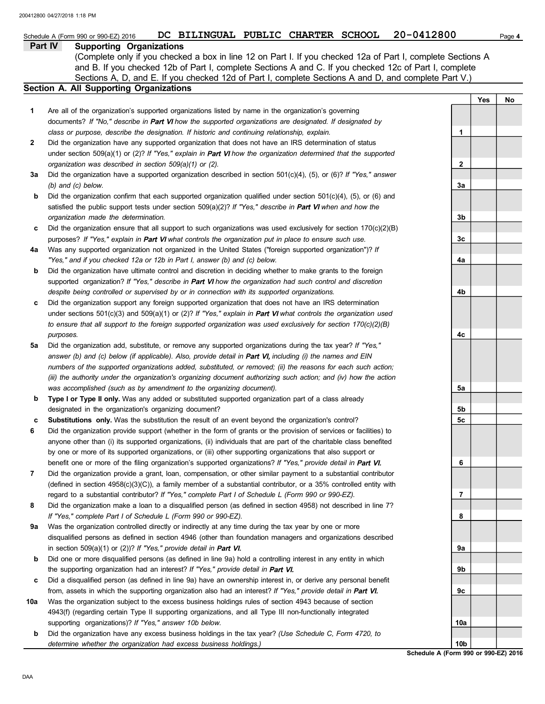|        | SCNEQUIE A (FORM 990 OF 990-EZ) 2016<br>DC BIBINGUAL FUBBIC CHARIER SCHOOL<br>ZU-041ZOUU                                                                                                                                      |     |     | Page 4 |
|--------|-------------------------------------------------------------------------------------------------------------------------------------------------------------------------------------------------------------------------------|-----|-----|--------|
|        | Part IV<br><b>Supporting Organizations</b>                                                                                                                                                                                    |     |     |        |
|        | (Complete only if you checked a box in line 12 on Part I. If you checked 12a of Part I, complete Sections A                                                                                                                   |     |     |        |
|        | and B. If you checked 12b of Part I, complete Sections A and C. If you checked 12c of Part I, complete                                                                                                                        |     |     |        |
|        | Sections A, D, and E. If you checked 12d of Part I, complete Sections A and D, and complete Part V.)                                                                                                                          |     |     |        |
|        | <b>Section A. All Supporting Organizations</b>                                                                                                                                                                                |     |     |        |
|        |                                                                                                                                                                                                                               |     | Yes | No     |
| 1      | Are all of the organization's supported organizations listed by name in the organization's governing                                                                                                                          |     |     |        |
|        | documents? If "No," describe in Part VI how the supported organizations are designated. If designated by                                                                                                                      |     |     |        |
|        | class or purpose, describe the designation. If historic and continuing relationship, explain.                                                                                                                                 | 1   |     |        |
| 2      | Did the organization have any supported organization that does not have an IRS determination of status                                                                                                                        |     |     |        |
|        | under section $509(a)(1)$ or (2)? If "Yes," explain in Part VI how the organization determined that the supported                                                                                                             |     |     |        |
|        | organization was described in section 509(a)(1) or (2).                                                                                                                                                                       | 2   |     |        |
| За     | Did the organization have a supported organization described in section $501(c)(4)$ , (5), or (6)? If "Yes," answer                                                                                                           |     |     |        |
|        | $(b)$ and $(c)$ below.                                                                                                                                                                                                        | За  |     |        |
| b      | Did the organization confirm that each supported organization qualified under section $501(c)(4)$ , $(5)$ , or $(6)$ and                                                                                                      |     |     |        |
|        | satisfied the public support tests under section $509(a)(2)?$ If "Yes," describe in Part VI when and how the                                                                                                                  |     |     |        |
|        | organization made the determination.                                                                                                                                                                                          | 3b  |     |        |
| c      | Did the organization ensure that all support to such organizations was used exclusively for section $170(c)(2)(B)$                                                                                                            |     |     |        |
|        | purposes? If "Yes," explain in Part VI what controls the organization put in place to ensure such use.                                                                                                                        | 3c  |     |        |
| 4a     | Was any supported organization not organized in the United States ("foreign supported organization")? If                                                                                                                      |     |     |        |
|        | "Yes," and if you checked 12a or 12b in Part I, answer (b) and (c) below.                                                                                                                                                     | 4a  |     |        |
| b      | Did the organization have ultimate control and discretion in deciding whether to make grants to the foreign                                                                                                                   |     |     |        |
|        | supported organization? If "Yes," describe in Part VI how the organization had such control and discretion                                                                                                                    |     |     |        |
|        | despite being controlled or supervised by or in connection with its supported organizations.                                                                                                                                  | 4b  |     |        |
| c      | Did the organization support any foreign supported organization that does not have an IRS determination                                                                                                                       |     |     |        |
|        | under sections $501(c)(3)$ and $509(a)(1)$ or (2)? If "Yes," explain in Part VI what controls the organization used                                                                                                           |     |     |        |
|        | to ensure that all support to the foreign supported organization was used exclusively for section $170(c)(2)(B)$                                                                                                              |     |     |        |
|        | purposes.                                                                                                                                                                                                                     | 4с  |     |        |
| 5а     | Did the organization add, substitute, or remove any supported organizations during the tax year? If "Yes,"                                                                                                                    |     |     |        |
|        | answer (b) and (c) below (if applicable). Also, provide detail in Part VI, including (i) the names and EIN                                                                                                                    |     |     |        |
|        | numbers of the supported organizations added, substituted, or removed; (ii) the reasons for each such action;                                                                                                                 |     |     |        |
|        | (iii) the authority under the organization's organizing document authorizing such action; and (iv) how the action                                                                                                             |     |     |        |
|        | was accomplished (such as by amendment to the organizing document).                                                                                                                                                           | 5a  |     |        |
| b      | Type I or Type II only. Was any added or substituted supported organization part of a class already                                                                                                                           |     |     |        |
|        | designated in the organization's organizing document?                                                                                                                                                                         | 5b  |     |        |
|        | Substitutions only. Was the substitution the result of an event beyond the organization's control?                                                                                                                            | 5c  |     |        |
| с<br>6 | Did the organization provide support (whether in the form of grants or the provision of services or facilities) to                                                                                                            |     |     |        |
|        | anyone other than (i) its supported organizations, (ii) individuals that are part of the charitable class benefited                                                                                                           |     |     |        |
|        |                                                                                                                                                                                                                               |     |     |        |
|        | by one or more of its supported organizations, or (iii) other supporting organizations that also support or<br>benefit one or more of the filing organization's supported organizations? If "Yes," provide detail in Part VI. | 6   |     |        |
|        |                                                                                                                                                                                                                               |     |     |        |
| 7      | Did the organization provide a grant, loan, compensation, or other similar payment to a substantial contributor                                                                                                               |     |     |        |
|        | (defined in section $4958(c)(3)(C)$ ), a family member of a substantial contributor, or a 35% controlled entity with                                                                                                          |     |     |        |
|        | regard to a substantial contributor? If "Yes," complete Part I of Schedule L (Form 990 or 990-EZ).                                                                                                                            | 7   |     |        |
| 8      | Did the organization make a loan to a disqualified person (as defined in section 4958) not described in line 7?                                                                                                               |     |     |        |
|        | If "Yes," complete Part I of Schedule L (Form 990 or 990-EZ).                                                                                                                                                                 | 8   |     |        |
| 9а     | Was the organization controlled directly or indirectly at any time during the tax year by one or more                                                                                                                         |     |     |        |
|        | disqualified persons as defined in section 4946 (other than foundation managers and organizations described                                                                                                                   |     |     |        |
|        | in section 509(a)(1) or (2))? If "Yes," provide detail in Part VI.                                                                                                                                                            | 9a  |     |        |
| b      | Did one or more disqualified persons (as defined in line 9a) hold a controlling interest in any entity in which                                                                                                               |     |     |        |
|        | the supporting organization had an interest? If "Yes," provide detail in Part VI.                                                                                                                                             | 9b  |     |        |
| c      | Did a disqualified person (as defined in line 9a) have an ownership interest in, or derive any personal benefit                                                                                                               |     |     |        |
|        | from, assets in which the supporting organization also had an interest? If "Yes," provide detail in Part VI.                                                                                                                  | 9с  |     |        |
| 10a    | Was the organization subject to the excess business holdings rules of section 4943 because of section                                                                                                                         |     |     |        |
|        | 4943(f) (regarding certain Type II supporting organizations, and all Type III non-functionally integrated                                                                                                                     |     |     |        |
|        | supporting organizations)? If "Yes," answer 10b below.                                                                                                                                                                        | 10a |     |        |
| b      | Did the organization have any excess business holdings in the tax year? (Use Schedule C, Form 4720, to                                                                                                                        |     |     |        |

**Schedule A (Form 990 or 990-EZ) 2016 10b**

*determine whether the organization had excess business holdings.)*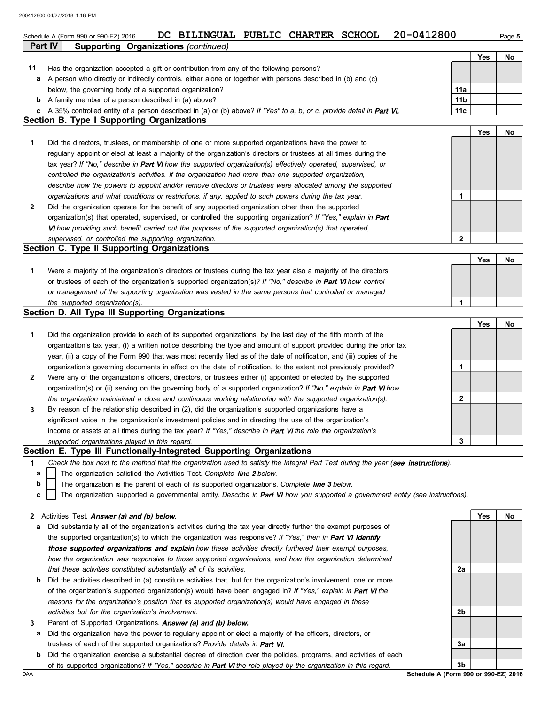|     | 20-0412800<br>DC BILINGUAL PUBLIC CHARTER SCHOOL<br>Schedule A (Form 990 or 990-EZ) 2016                                                                                                                             |             |     | Page 5 |
|-----|----------------------------------------------------------------------------------------------------------------------------------------------------------------------------------------------------------------------|-------------|-----|--------|
|     | Part IV<br>Supporting Organizations (continued)                                                                                                                                                                      |             |     |        |
|     |                                                                                                                                                                                                                      |             | Yes | No     |
| 11  | Has the organization accepted a gift or contribution from any of the following persons?                                                                                                                              |             |     |        |
| а   | A person who directly or indirectly controls, either alone or together with persons described in (b) and (c)                                                                                                         |             |     |        |
|     | below, the governing body of a supported organization?                                                                                                                                                               | 11a         |     |        |
| b   | A family member of a person described in (a) above?                                                                                                                                                                  | 11b         |     |        |
| c   | A 35% controlled entity of a person described in (a) or (b) above? If "Yes" to a, b, or c, provide detail in Part VI.<br><b>Section B. Type I Supporting Organizations</b>                                           | 11c         |     |        |
|     |                                                                                                                                                                                                                      |             | Yes | No     |
| 1   | Did the directors, trustees, or membership of one or more supported organizations have the power to                                                                                                                  |             |     |        |
|     | regularly appoint or elect at least a majority of the organization's directors or trustees at all times during the                                                                                                   |             |     |        |
|     | tax year? If "No," describe in Part VI how the supported organization(s) effectively operated, supervised, or                                                                                                        |             |     |        |
|     | controlled the organization's activities. If the organization had more than one supported organization,                                                                                                              |             |     |        |
|     | describe how the powers to appoint and/or remove directors or trustees were allocated among the supported                                                                                                            |             |     |        |
|     | organizations and what conditions or restrictions, if any, applied to such powers during the tax year.                                                                                                               | 1           |     |        |
| 2   | Did the organization operate for the benefit of any supported organization other than the supported                                                                                                                  |             |     |        |
|     | organization(s) that operated, supervised, or controlled the supporting organization? If "Yes," explain in Part                                                                                                      |             |     |        |
|     | VI how providing such benefit carried out the purposes of the supported organization(s) that operated,                                                                                                               |             |     |        |
|     | supervised, or controlled the supporting organization.                                                                                                                                                               | $\mathbf 2$ |     |        |
|     | Section C. Type II Supporting Organizations                                                                                                                                                                          |             |     |        |
|     |                                                                                                                                                                                                                      |             | Yes | No     |
| 1   | Were a majority of the organization's directors or trustees during the tax year also a majority of the directors                                                                                                     |             |     |        |
|     | or trustees of each of the organization's supported organization(s)? If "No," describe in Part VI how control                                                                                                        |             |     |        |
|     | or management of the supporting organization was vested in the same persons that controlled or managed                                                                                                               |             |     |        |
|     | the supported organization(s).                                                                                                                                                                                       | 1           |     |        |
|     | Section D. All Type III Supporting Organizations                                                                                                                                                                     |             |     |        |
|     |                                                                                                                                                                                                                      |             | Yes | No     |
| 1   | Did the organization provide to each of its supported organizations, by the last day of the fifth month of the                                                                                                       |             |     |        |
|     | organization's tax year, (i) a written notice describing the type and amount of support provided during the prior tax                                                                                                |             |     |        |
|     | year, (ii) a copy of the Form 990 that was most recently filed as of the date of notification, and (iii) copies of the                                                                                               |             |     |        |
|     | organization's governing documents in effect on the date of notification, to the extent not previously provided?                                                                                                     | 1           |     |        |
| 2   | Were any of the organization's officers, directors, or trustees either (i) appointed or elected by the supported                                                                                                     |             |     |        |
|     | organization(s) or (ii) serving on the governing body of a supported organization? If "No," explain in Part VI how                                                                                                   |             |     |        |
|     | the organization maintained a close and continuous working relationship with the supported organization(s).<br>By reason of the relationship described in (2), did the organization's supported organizations have a | 2           |     |        |
| 3   | significant voice in the organization's investment policies and in directing the use of the organization's                                                                                                           |             |     |        |
|     | income or assets at all times during the tax year? If "Yes," describe in Part VI the role the organization's                                                                                                         |             |     |        |
|     | supported organizations played in this regard.                                                                                                                                                                       | 3           |     |        |
|     | Section E. Type III Functionally-Integrated Supporting Organizations                                                                                                                                                 |             |     |        |
| 1   | Check the box next to the method that the organization used to satisfy the Integral Part Test during the year (see instructions).                                                                                    |             |     |        |
| a   | The organization satisfied the Activities Test. Complete line 2 below.                                                                                                                                               |             |     |        |
| b   | The organization is the parent of each of its supported organizations. Complete line 3 below.                                                                                                                        |             |     |        |
| c   | The organization supported a governmental entity. Describe in Part VI how you supported a government entity (see instructions).                                                                                      |             |     |        |
|     |                                                                                                                                                                                                                      |             |     |        |
| 2   | Activities Test. Answer (a) and (b) below.                                                                                                                                                                           |             | Yes | No     |
| а   | Did substantially all of the organization's activities during the tax year directly further the exempt purposes of                                                                                                   |             |     |        |
|     | the supported organization(s) to which the organization was responsive? If "Yes," then in Part VI identify                                                                                                           |             |     |        |
|     | those supported organizations and explain how these activities directly furthered their exempt purposes,                                                                                                             |             |     |        |
|     | how the organization was responsive to those supported organizations, and how the organization determined                                                                                                            |             |     |        |
|     | that these activities constituted substantially all of its activities.                                                                                                                                               | 2a          |     |        |
| b   | Did the activities described in (a) constitute activities that, but for the organization's involvement, one or more                                                                                                  |             |     |        |
|     | of the organization's supported organization(s) would have been engaged in? If "Yes," explain in Part VI the                                                                                                         |             |     |        |
|     | reasons for the organization's position that its supported organization(s) would have engaged in these                                                                                                               |             |     |        |
|     | activities but for the organization's involvement.                                                                                                                                                                   | 2b          |     |        |
| 3   | Parent of Supported Organizations. Answer (a) and (b) below.                                                                                                                                                         |             |     |        |
| а   | Did the organization have the power to regularly appoint or elect a majority of the officers, directors, or                                                                                                          |             |     |        |
|     | trustees of each of the supported organizations? Provide details in Part VI.                                                                                                                                         | За          |     |        |
| b   | Did the organization exercise a substantial degree of direction over the policies, programs, and activities of each                                                                                                  |             |     |        |
| DAA | of its supported organizations? If "Yes," describe in Part VI the role played by the organization in this regard.<br>Schedule A (Form 990 or 990-EZ) 2016                                                            | 3b          |     |        |
|     |                                                                                                                                                                                                                      |             |     |        |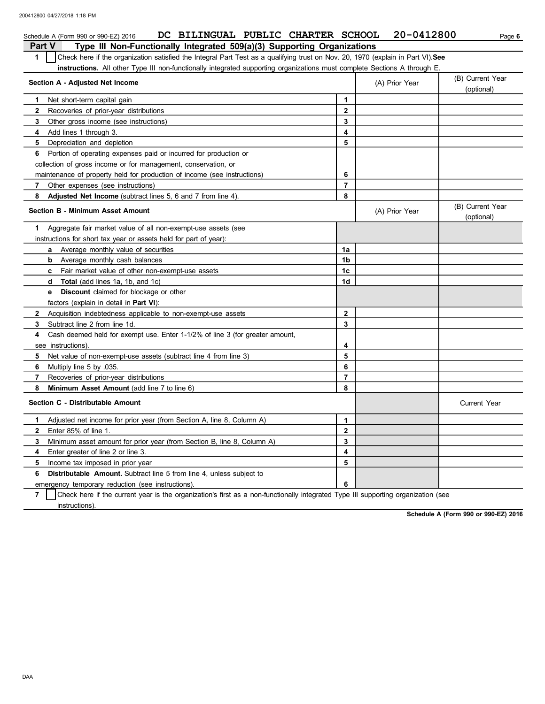| DC BILINGUAL PUBLIC CHARTER SCHOOL<br>Schedule A (Form 990 or 990-EZ) 2016                                                            |                  | 20-0412800     | Page 6                         |
|---------------------------------------------------------------------------------------------------------------------------------------|------------------|----------------|--------------------------------|
| Type III Non-Functionally Integrated 509(a)(3) Supporting Organizations<br><b>Part V</b>                                              |                  |                |                                |
| Check here if the organization satisfied the Integral Part Test as a qualifying trust on Nov. 20, 1970 (explain in Part VI). See<br>1 |                  |                |                                |
| <b>instructions.</b> All other Type III non-functionally integrated supporting organizations must complete Sections A through E.      |                  |                |                                |
| Section A - Adjusted Net Income                                                                                                       |                  | (A) Prior Year | (B) Current Year               |
|                                                                                                                                       |                  |                | (optional)                     |
| Net short-term capital gain<br>1.                                                                                                     | $\mathbf{1}$     |                |                                |
| 2<br>Recoveries of prior-year distributions                                                                                           | $\mathbf{2}$     |                |                                |
| 3<br>Other gross income (see instructions)                                                                                            | 3                |                |                                |
| Add lines 1 through 3.<br>4                                                                                                           | 4                |                |                                |
| Depreciation and depletion<br>5                                                                                                       | 5                |                |                                |
| Portion of operating expenses paid or incurred for production or<br>6                                                                 |                  |                |                                |
| collection of gross income or for management, conservation, or                                                                        |                  |                |                                |
| maintenance of property held for production of income (see instructions)                                                              | 6                |                |                                |
| $\overline{7}$<br>Other expenses (see instructions)                                                                                   | $\overline{7}$   |                |                                |
| 8<br>Adjusted Net Income (subtract lines 5, 6 and 7 from line 4).                                                                     | 8                |                |                                |
| <b>Section B - Minimum Asset Amount</b>                                                                                               |                  | (A) Prior Year | (B) Current Year<br>(optional) |
| Aggregate fair market value of all non-exempt-use assets (see<br>1.                                                                   |                  |                |                                |
| instructions for short tax year or assets held for part of year):                                                                     |                  |                |                                |
| <b>a</b> Average monthly value of securities                                                                                          | 1a               |                |                                |
| <b>b</b> Average monthly cash balances                                                                                                | 1b               |                |                                |
| <b>c</b> Fair market value of other non-exempt-use assets                                                                             | 1c               |                |                                |
| d Total (add lines 1a, 1b, and 1c)                                                                                                    | 1 <sub>d</sub>   |                |                                |
| <b>e</b> Discount claimed for blockage or other                                                                                       |                  |                |                                |
| factors (explain in detail in Part VI):                                                                                               |                  |                |                                |
| $\mathbf{2}$<br>Acquisition indebtedness applicable to non-exempt-use assets                                                          | $\mathbf{2}$     |                |                                |
| Subtract line 2 from line 1d.<br>3.                                                                                                   | 3                |                |                                |
| Cash deemed held for exempt use. Enter 1-1/2% of line 3 (for greater amount,<br>4                                                     |                  |                |                                |
| see instructions).                                                                                                                    | 4                |                |                                |
| 5<br>Net value of non-exempt-use assets (subtract line 4 from line 3)                                                                 | 5                |                |                                |
| Multiply line 5 by 035.<br>6                                                                                                          | 6                |                |                                |
| $\overline{7}$<br>Recoveries of prior-year distributions                                                                              | $\overline{7}$   |                |                                |
| Minimum Asset Amount (add line 7 to line 6)<br>8                                                                                      | 8                |                |                                |
| Section C - Distributable Amount                                                                                                      |                  |                | Current Year                   |
| Adjusted net income for prior year (from Section A, line 8, Column A)<br>1                                                            | $\mathbf 1$      |                |                                |
| Enter 85% of line 1.<br>2                                                                                                             | $\boldsymbol{2}$ |                |                                |
| 3<br>Minimum asset amount for prior year (from Section B, line 8, Column A)                                                           | 3                |                |                                |
| 4<br>Enter greater of line 2 or line 3.                                                                                               | 4                |                |                                |
| Income tax imposed in prior year<br>5                                                                                                 | 5                |                |                                |
| <b>Distributable Amount.</b> Subtract line 5 from line 4, unless subject to<br>6                                                      |                  |                |                                |
| emergency temporary reduction (see instructions).                                                                                     | 6                |                |                                |
|                                                                                                                                       |                  |                |                                |

**7** instructions). Check here if the current year is the organization's first as a non-functionally integrated Type III supporting organization (see

**Schedule A (Form 990 or 990-EZ) 2016**

DAA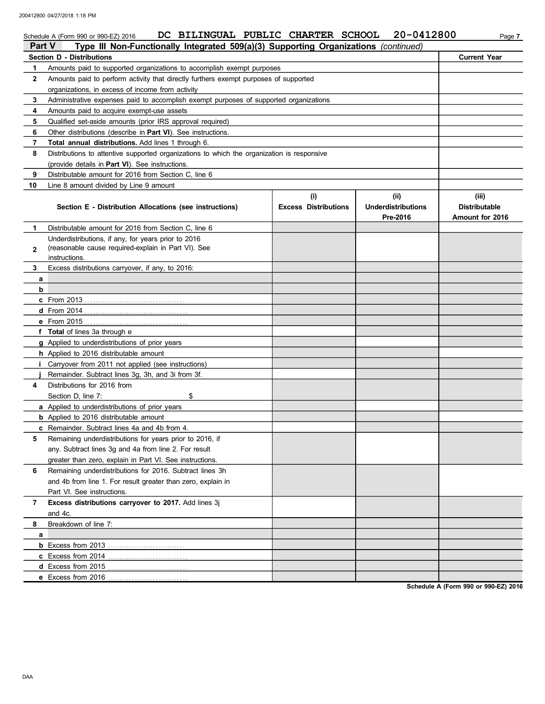|               | DC BILINGUAL PUBLIC CHARTER SCHOOL<br>Schedule A (Form 990 or 990-EZ) 2016                                                 |                             | 20-0412800                | Page 7               |
|---------------|----------------------------------------------------------------------------------------------------------------------------|-----------------------------|---------------------------|----------------------|
| <b>Part V</b> | Type III Non-Functionally Integrated 509(a)(3) Supporting Organizations (continued)                                        |                             |                           |                      |
|               | <b>Section D - Distributions</b>                                                                                           |                             |                           | <b>Current Year</b>  |
| 1             | Amounts paid to supported organizations to accomplish exempt purposes                                                      |                             |                           |                      |
| $\mathbf{2}$  | Amounts paid to perform activity that directly furthers exempt purposes of supported                                       |                             |                           |                      |
|               | organizations, in excess of income from activity                                                                           |                             |                           |                      |
| 3             | Administrative expenses paid to accomplish exempt purposes of supported organizations                                      |                             |                           |                      |
| 4             | Amounts paid to acquire exempt-use assets                                                                                  |                             |                           |                      |
| 5             | Qualified set-aside amounts (prior IRS approval required)                                                                  |                             |                           |                      |
| 6<br>7        | Other distributions (describe in <b>Part VI</b> ). See instructions.<br>Total annual distributions. Add lines 1 through 6. |                             |                           |                      |
| 8             | Distributions to attentive supported organizations to which the organization is responsive                                 |                             |                           |                      |
|               | (provide details in <b>Part VI</b> ). See instructions.                                                                    |                             |                           |                      |
| 9             | Distributable amount for 2016 from Section C, line 6                                                                       |                             |                           |                      |
| 10            | Line 8 amount divided by Line 9 amount                                                                                     |                             |                           |                      |
|               |                                                                                                                            | (i)                         | (ii)                      | (iii)                |
|               | Section E - Distribution Allocations (see instructions)                                                                    | <b>Excess Distributions</b> | <b>Underdistributions</b> | <b>Distributable</b> |
|               |                                                                                                                            |                             | Pre-2016                  | Amount for 2016      |
| 1.            | Distributable amount for 2016 from Section C, line 6                                                                       |                             |                           |                      |
|               | Underdistributions, if any, for years prior to 2016                                                                        |                             |                           |                      |
| 2             | (reasonable cause required-explain in Part VI). See                                                                        |                             |                           |                      |
|               | instructions.                                                                                                              |                             |                           |                      |
| 3             | Excess distributions carryover, if any, to 2016:                                                                           |                             |                           |                      |
| a             |                                                                                                                            |                             |                           |                      |
| b             |                                                                                                                            |                             |                           |                      |
|               |                                                                                                                            |                             |                           |                      |
|               |                                                                                                                            |                             |                           |                      |
|               |                                                                                                                            |                             |                           |                      |
|               | f Total of lines 3a through e                                                                                              |                             |                           |                      |
|               | g Applied to underdistributions of prior years                                                                             |                             |                           |                      |
| i.            | h Applied to 2016 distributable amount<br>Carryover from 2011 not applied (see instructions)                               |                             |                           |                      |
|               | Remainder. Subtract lines 3g, 3h, and 3i from 3f.                                                                          |                             |                           |                      |
| 4             | Distributions for 2016 from                                                                                                |                             |                           |                      |
|               | Section D, line 7:<br>\$                                                                                                   |                             |                           |                      |
|               | a Applied to underdistributions of prior years                                                                             |                             |                           |                      |
|               | <b>b</b> Applied to 2016 distributable amount                                                                              |                             |                           |                      |
|               | <b>c</b> Remainder. Subtract lines 4a and 4b from 4.                                                                       |                             |                           |                      |
| 5             | Remaining underdistributions for years prior to 2016, if                                                                   |                             |                           |                      |
|               | any. Subtract lines 3g and 4a from line 2. For result                                                                      |                             |                           |                      |
|               | greater than zero, explain in Part VI. See instructions.                                                                   |                             |                           |                      |
| 6             | Remaining underdistributions for 2016. Subtract lines 3h                                                                   |                             |                           |                      |
|               | and 4b from line 1. For result greater than zero, explain in                                                               |                             |                           |                      |
|               | Part VI. See instructions.                                                                                                 |                             |                           |                      |
| 7             | Excess distributions carryover to 2017. Add lines 3j                                                                       |                             |                           |                      |
|               | and 4c.                                                                                                                    |                             |                           |                      |
| 8             | Breakdown of line 7:                                                                                                       |                             |                           |                      |
| a             |                                                                                                                            |                             |                           |                      |
|               |                                                                                                                            |                             |                           |                      |
|               | c Excess from 2014                                                                                                         |                             |                           |                      |
|               |                                                                                                                            |                             |                           |                      |
|               |                                                                                                                            |                             |                           |                      |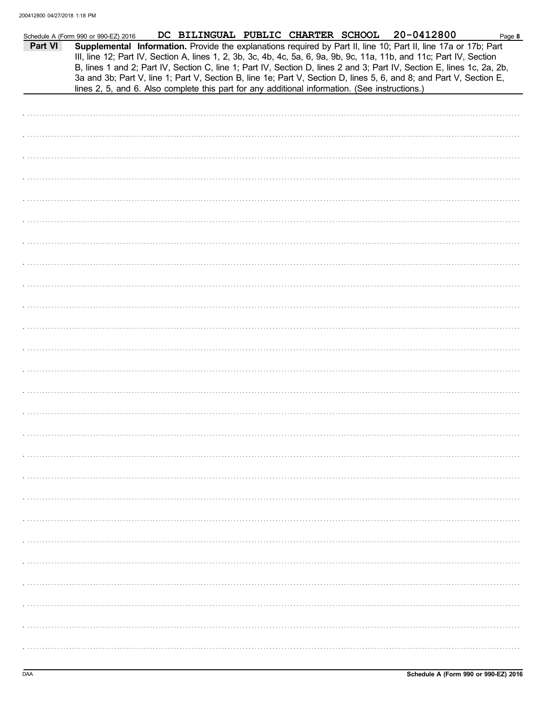| Part VI | DC BILINGUAL PUBLIC CHARTER SCHOOL 20-0412800<br>Schedule A (Form 990 or 990-EZ) 2016<br>Page 8<br>Supplemental Information. Provide the explanations required by Part II, line 10; Part II, line 17a or 17b; Part<br>III, line 12; Part IV, Section A, lines 1, 2, 3b, 3c, 4b, 4c, 5a, 6, 9a, 9b, 9c, 11a, 11b, and 11c; Part IV, Section<br>B, lines 1 and 2; Part IV, Section C, line 1; Part IV, Section D, lines 2 and 3; Part IV, Section E, lines 1c, 2a, 2b,<br>3a and 3b; Part V, line 1; Part V, Section B, line 1e; Part V, Section D, lines 5, 6, and 8; and Part V, Section E, |
|---------|---------------------------------------------------------------------------------------------------------------------------------------------------------------------------------------------------------------------------------------------------------------------------------------------------------------------------------------------------------------------------------------------------------------------------------------------------------------------------------------------------------------------------------------------------------------------------------------------|
|         | lines 2, 5, and 6. Also complete this part for any additional information. (See instructions.)                                                                                                                                                                                                                                                                                                                                                                                                                                                                                              |
|         |                                                                                                                                                                                                                                                                                                                                                                                                                                                                                                                                                                                             |
|         |                                                                                                                                                                                                                                                                                                                                                                                                                                                                                                                                                                                             |
|         |                                                                                                                                                                                                                                                                                                                                                                                                                                                                                                                                                                                             |
|         |                                                                                                                                                                                                                                                                                                                                                                                                                                                                                                                                                                                             |
|         |                                                                                                                                                                                                                                                                                                                                                                                                                                                                                                                                                                                             |
|         |                                                                                                                                                                                                                                                                                                                                                                                                                                                                                                                                                                                             |
|         |                                                                                                                                                                                                                                                                                                                                                                                                                                                                                                                                                                                             |
|         |                                                                                                                                                                                                                                                                                                                                                                                                                                                                                                                                                                                             |
|         |                                                                                                                                                                                                                                                                                                                                                                                                                                                                                                                                                                                             |
|         |                                                                                                                                                                                                                                                                                                                                                                                                                                                                                                                                                                                             |
|         |                                                                                                                                                                                                                                                                                                                                                                                                                                                                                                                                                                                             |
|         |                                                                                                                                                                                                                                                                                                                                                                                                                                                                                                                                                                                             |
|         |                                                                                                                                                                                                                                                                                                                                                                                                                                                                                                                                                                                             |
|         |                                                                                                                                                                                                                                                                                                                                                                                                                                                                                                                                                                                             |
|         |                                                                                                                                                                                                                                                                                                                                                                                                                                                                                                                                                                                             |
|         |                                                                                                                                                                                                                                                                                                                                                                                                                                                                                                                                                                                             |
|         |                                                                                                                                                                                                                                                                                                                                                                                                                                                                                                                                                                                             |
|         |                                                                                                                                                                                                                                                                                                                                                                                                                                                                                                                                                                                             |
|         |                                                                                                                                                                                                                                                                                                                                                                                                                                                                                                                                                                                             |
|         |                                                                                                                                                                                                                                                                                                                                                                                                                                                                                                                                                                                             |
|         |                                                                                                                                                                                                                                                                                                                                                                                                                                                                                                                                                                                             |
|         |                                                                                                                                                                                                                                                                                                                                                                                                                                                                                                                                                                                             |
|         |                                                                                                                                                                                                                                                                                                                                                                                                                                                                                                                                                                                             |
|         |                                                                                                                                                                                                                                                                                                                                                                                                                                                                                                                                                                                             |
|         |                                                                                                                                                                                                                                                                                                                                                                                                                                                                                                                                                                                             |
|         |                                                                                                                                                                                                                                                                                                                                                                                                                                                                                                                                                                                             |
|         |                                                                                                                                                                                                                                                                                                                                                                                                                                                                                                                                                                                             |
|         |                                                                                                                                                                                                                                                                                                                                                                                                                                                                                                                                                                                             |
|         |                                                                                                                                                                                                                                                                                                                                                                                                                                                                                                                                                                                             |
|         |                                                                                                                                                                                                                                                                                                                                                                                                                                                                                                                                                                                             |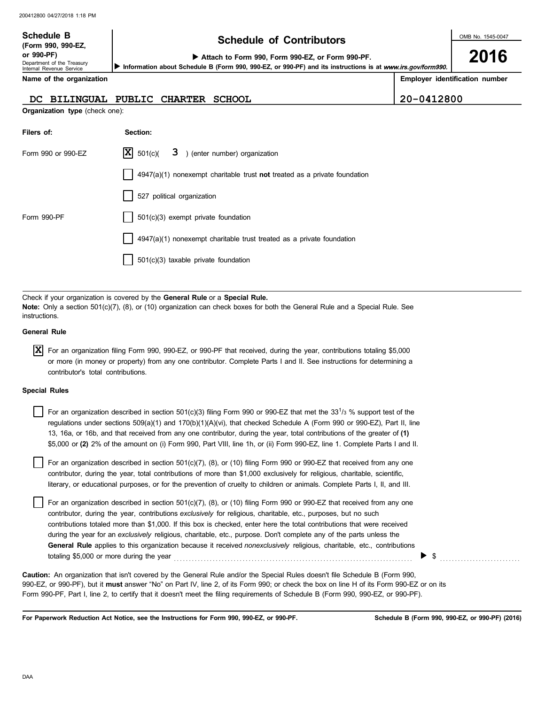| <b>Schedule B</b><br>(Form 990, 990-EZ,<br>or 990-PF)<br>Department of the Treasury<br>Internal Revenue Service | <b>Schedule of Contributors</b><br>Attach to Form 990, Form 990-EZ, or Form 990-PF.<br>Information about Schedule B (Form 990, 990-EZ, or 990-PF) and its instructions is at www.irs.gov/form990. |            |                                |
|-----------------------------------------------------------------------------------------------------------------|---------------------------------------------------------------------------------------------------------------------------------------------------------------------------------------------------|------------|--------------------------------|
| Name of the organization                                                                                        |                                                                                                                                                                                                   |            | Employer identification number |
| <b>BILINGUAL</b><br>DC.                                                                                         | PUBLIC<br><b>CHARTER</b><br><b>SCHOOL</b>                                                                                                                                                         | 20-0412800 |                                |
| <b>Organization type (check one):</b>                                                                           |                                                                                                                                                                                                   |            |                                |
| Filers of:                                                                                                      | Section:                                                                                                                                                                                          |            |                                |
| Form 990 or 990-EZ                                                                                              | X <br>501(c)<br>3<br>) (enter number) organization                                                                                                                                                |            |                                |
|                                                                                                                 | $4947(a)(1)$ nonexempt charitable trust not treated as a private foundation                                                                                                                       |            |                                |
|                                                                                                                 | 527 political organization                                                                                                                                                                        |            |                                |
| Form 990-PF                                                                                                     | $501(c)(3)$ exempt private foundation                                                                                                                                                             |            |                                |
|                                                                                                                 | $4947(a)(1)$ nonexempt charitable trust treated as a private foundation                                                                                                                           |            |                                |
|                                                                                                                 | 501(c)(3) taxable private foundation                                                                                                                                                              |            |                                |

Check if your organization is covered by the **General Rule** or a **Special Rule. Note:** Only a section 501(c)(7), (8), or (10) organization can check boxes for both the General Rule and a Special Rule. See instructions.

#### **General Rule**

For an organization filing Form 990, 990-EZ, or 990-PF that received, during the year, contributions totaling \$5,000 **X** or more (in money or property) from any one contributor. Complete Parts I and II. See instructions for determining a contributor's total contributions.

#### **Special Rules**

| For an organization described in section 501(c)(3) filing Form 990 or 990-EZ that met the 33 <sup>1</sup> /3 % support test of the |
|------------------------------------------------------------------------------------------------------------------------------------|
| regulations under sections 509(a)(1) and 170(b)(1)(A)(vi), that checked Schedule A (Form 990 or 990-EZ), Part II, line             |
| 13, 16a, or 16b, and that received from any one contributor, during the year, total contributions of the greater of (1)            |
| \$5,000 or (2) 2% of the amount on (i) Form 990, Part VIII, line 1h, or (ii) Form 990-EZ, line 1. Complete Parts I and II.         |

literary, or educational purposes, or for the prevention of cruelty to children or animals. Complete Parts I, II, and III. For an organization described in section 501(c)(7), (8), or (10) filing Form 990 or 990-EZ that received from any one contributor, during the year, total contributions of more than \$1,000 exclusively for religious, charitable, scientific,

For an organization described in section  $501(c)(7)$ ,  $(8)$ , or  $(10)$  filing Form 990 or 990-EZ that received from any one contributor, during the year, contributions *exclusively* for religious, charitable, etc., purposes, but no such contributions totaled more than \$1,000. If this box is checked, enter here the total contributions that were received during the year for an *exclusively* religious, charitable, etc., purpose. Don't complete any of the parts unless the **General Rule** applies to this organization because it received *nonexclusively* religious, charitable, etc., contributions totaling \$5,000 or more during the year  $\ldots$   $\ldots$   $\ldots$   $\ldots$   $\ldots$   $\ldots$   $\ldots$   $\ldots$   $\ldots$   $\ldots$   $\ldots$ 

990-EZ, or 990-PF), but it **must** answer "No" on Part IV, line 2, of its Form 990; or check the box on line H of its Form 990-EZ or on its Form 990-PF, Part I, line 2, to certify that it doesn't meet the filing requirements of Schedule B (Form 990, 990-EZ, or 990-PF). **Caution:** An organization that isn't covered by the General Rule and/or the Special Rules doesn't file Schedule B (Form 990,

**For Paperwork Reduction Act Notice, see the Instructions for Form 990, 990-EZ, or 990-PF.**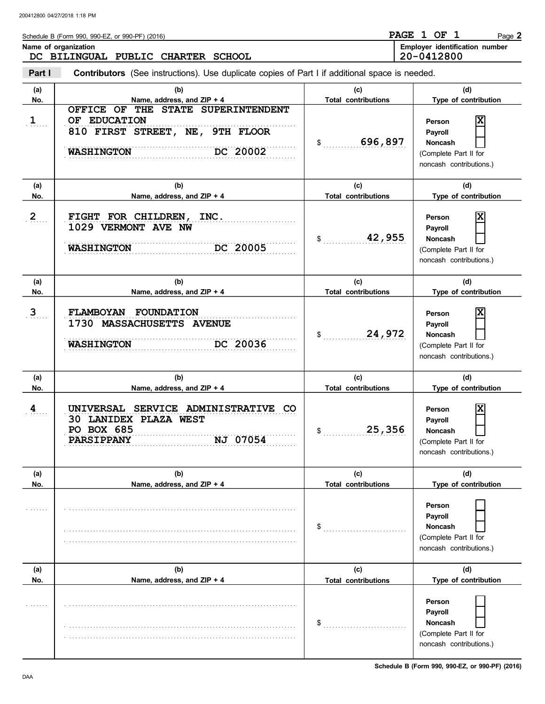| Schedule B (Form 990, 990-EZ, or 990-PF) (2016) | <b>PAGE</b> | OF. | Page $2$                              |  |
|-------------------------------------------------|-------------|-----|---------------------------------------|--|
| Name of organization                            |             |     | <b>Employer identification number</b> |  |
| DC BILINGUAL PUBLIC CHARTER SCHOOL              | 20-0412800  |     |                                       |  |

**Part I Type of contribution Person Payroll Noncash (a) (b) (c) (d)** No. No. **Name, address, and ZIP + 4 Total contributions** Type of contribution **Person Payroll Noncash (a) (b) (c) (d) No. Name, address, and ZIP + 4 Type of contribution Person Payroll Noncash (a) (b) (c) (d) No. Name, address, and ZIP + 4 Type of contribution Person Payroll Noncash** \$ . . . . . . . . . . . . . . . . . . . . . . . . . . . . **696,897** (Complete Part II for noncash contributions.)  $\frac{1}{2}$ (Complete Part II for noncash contributions.) \$ . . . . . . . . . . . . . . . . . . . . . . . . . . . . (Complete Part II for noncash contributions.)  $\mathfrak s$ (Complete Part II for noncash contributions.)  $\mathbb{S}$ (Complete Part II for noncash contributions.)  $\frac{1}{2}$ (Complete Part II for noncash contributions.) **Contributors** (See instructions). Use duplicate copies of Part I if additional space is needed. **(a) (b) (c) (d) No. Name, address, and ZIP + 4 Total contributions Type of contribution Person Payroll Noncash (a) (b) (c) (d) No. Name, address, and ZIP + 4 Type of contribution Person Payroll Noncash (a) (b) (c) (d) No. Name, address, and ZIP + 4 1**  $2 \quad .$  $3 \quad .$  $4$ .... . . . . . . . . . . . . . . . . . . . . . . . . . . . . . . . . . . . . . . . . . . . . . . . . . . . . . . . . . . . . . . . . . . . . . . . . . . . . . . . . . . . . . . . . . . . . . . . . . . . . . . . . . . . . . . . . . . . . . . . . . . . . . . . . . . . . . . . . . . . . . . . . . . . . . . . . . . . . . . . . . . . . . . . . . . . . . . . . . . . . . . . . . . . . . . . . . . . . . . . . . . . . . . . . . . . . . . . . . . . . . . . . . . . . . . . . . . . . . . . . . . . . . . . . . . . . . . . . . . . . . . . . . . . . . . . . . . . . . . . . . . . . . . . . . . . . . . . . . . . . . . . . . . . . . . . . . . . . . . . . . . . . . . . . . . . . . . . . . . . . . . . . . . . . . . . . . . . . . . . . . . . . . . . . . . . . . . . . . . . . . . . . . . . . . . . . . . . . . . . . . . . . . . . . . . . . . . . . . . . . . . . . . . . . . . . . . . . . . . . . . . . . . . . . . . . . . . . . . . . . . . . . . . . . . . . . . . . . . . . . . . . . . . . . . . . . . . . . . . . . . . . . . . . . . . . . . . . . . . . . . . . . . . . . . . . . . . . . . . . . . . . . . . . . . . . . . **PARSIPPANY NJ 07054** . . . . . . . . . . . . . . . . . . . . . . . . . . . . . . . . . . . . . . . . . . . . . . . . . . . . . . . . . . . . . . . . . . . . . . . . . . . . . **PO BOX 685** . . . . . . . . . . . . . . . . . . . . . . . . . . . . . . . . . . . . . . . . . . . . . . . . . . . . . . . . . . . . . . . . . . . . . . . . . . . . . **4 UNIVERSAL SERVICE ADMINISTRATIVE CO** . . . . . . . . . . . . . . . . . . . . . . . . . . . . . . . . . . . . . . . . . . . . . . . . . . . . . . . . . . . . . . . . . . . . . . . . . . . . . **3 FLAMBOYAN FOUNDATION** . . . . . . . . . . . . . . . . . . . . . . . . . . . . . . . . . . . . . . . . . . . . . . . . . . . . . . . . . . . . . . . . . . . . . . . . . . . . . . . . . . . . . . . . . . . . . . . . . . . . . . . . . . . . . . . . . . . . . . . . . . . . . . . . . . . . . . . . . . . . . . . . . . . . . . . . . . **WASHINGTON DC 20036** DC 20005 . . . . . . . . . . . . . . . . . . . . . . . . . . . . . . . . . . . . . . . . . . . . . . . . . . . . . . . . . . . . . . . . . . . . . . . . . . . . . . . . . . . . . . . . . . . . . . . . . . . . . . . . . . . . . . . . . . . . . . . . . . . . . . . . . . . . . . . . . . . . . . . . . . . . . . . . . . **2 FIGHT FOR CHILDREN, INC.** OF EDUCATION . . . . . . . . . . . . . . . . . . . . . . . . . . . . . . . . . . . . . . . . . . . . . . . . . . . . . . . . . . . . . . . . . . . . . . . . . . . . . . . . . . . . . . . . . . . . . . . . . . . . . . . . . . . . . . . . . . . . . . . . . . . . . . . . . . . . . . . . . . . . . . . . . . . . . . . . . . **WASHINGTON DC 20002 Total contributions Total contributions Total contributions Total contributions Total contributions OFFICE OF THE STATE SUPERINTENDENT 810 FIRST STREET, NE, 9TH FLOOR X 1029 VERMONT AVE NW WASHINGTON DC 20005 42,955 X 1730 MASSACHUSETTS AVENUE 24,972 X 30 LANIDEX PLAZA WEST 25,356 X**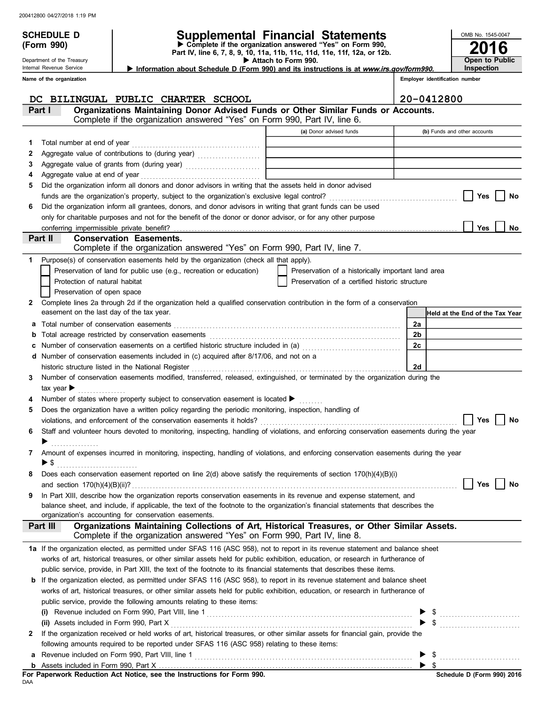Department of the Treasury Internal Revenue Service

## **SCHEDULE D Supplemental Financial Statements**

**(Form 990) Part IV, line 6, 7, 8, 9, 10, 11a, 11b, 11c, 11d, 11e, 11f, 12a, or 12b.** u **Complete if the organization answered "Yes" on Form 990,**

▶ Attach to Form 990. Information about Schedule D (Form 990) and its instructions is at www.irs.gov/form990.

**2016**

**Open to Public Inspection**

OMB No. 1545-0047

|              | Name of the organization       |                                                                                                                                                                                    | Employer identification number                     |    |                                 |  |  |
|--------------|--------------------------------|------------------------------------------------------------------------------------------------------------------------------------------------------------------------------------|----------------------------------------------------|----|---------------------------------|--|--|
|              |                                | DC BILINGUAL PUBLIC CHARTER SCHOOL                                                                                                                                                 |                                                    |    | 20-0412800                      |  |  |
|              | Part I                         | Organizations Maintaining Donor Advised Funds or Other Similar Funds or Accounts.<br>Complete if the organization answered "Yes" on Form 990, Part IV, line 6.                     |                                                    |    |                                 |  |  |
|              |                                |                                                                                                                                                                                    | (a) Donor advised funds                            |    | (b) Funds and other accounts    |  |  |
| 1.           |                                | Total number at end of year                                                                                                                                                        |                                                    |    |                                 |  |  |
| 2            |                                |                                                                                                                                                                                    |                                                    |    |                                 |  |  |
| З            |                                | Aggregate value of grants from (during year) Mathematical Mathematical Contractor Contractor Contractor Contractor                                                                 |                                                    |    |                                 |  |  |
| 4            |                                | Aggregate value at end of year                                                                                                                                                     |                                                    |    |                                 |  |  |
| 5            |                                | Did the organization inform all donors and donor advisors in writing that the assets held in donor advised                                                                         |                                                    |    |                                 |  |  |
|              |                                |                                                                                                                                                                                    |                                                    |    | Yes<br>No                       |  |  |
| 6            |                                | Did the organization inform all grantees, donors, and donor advisors in writing that grant funds can be used                                                                       |                                                    |    |                                 |  |  |
|              |                                | only for charitable purposes and not for the benefit of the donor or donor advisor, or for any other purpose                                                                       |                                                    |    |                                 |  |  |
|              |                                | conferring impermissible private benefit?                                                                                                                                          |                                                    |    | <b>No</b><br>Yes                |  |  |
|              | Part II                        | <b>Conservation Easements.</b>                                                                                                                                                     |                                                    |    |                                 |  |  |
|              |                                | Complete if the organization answered "Yes" on Form 990, Part IV, line 7.                                                                                                          |                                                    |    |                                 |  |  |
| 1            |                                | Purpose(s) of conservation easements held by the organization (check all that apply).                                                                                              |                                                    |    |                                 |  |  |
|              |                                | Preservation of land for public use (e.g., recreation or education)                                                                                                                | Preservation of a historically important land area |    |                                 |  |  |
|              |                                | Protection of natural habitat                                                                                                                                                      | Preservation of a certified historic structure     |    |                                 |  |  |
|              |                                | Preservation of open space                                                                                                                                                         |                                                    |    |                                 |  |  |
| $\mathbf{2}$ |                                | Complete lines 2a through 2d if the organization held a qualified conservation contribution in the form of a conservation                                                          |                                                    |    |                                 |  |  |
|              |                                | easement on the last day of the tax year.                                                                                                                                          |                                                    |    | Held at the End of the Tax Year |  |  |
| а            |                                | Total number of conservation easements                                                                                                                                             |                                                    | 2a |                                 |  |  |
| b            |                                |                                                                                                                                                                                    |                                                    | 2b |                                 |  |  |
| c            |                                | Number of conservation easements on a certified historic structure included in (a) [[[[[[[[[[[[[[[[[[[[[[[[[]]]]]]]                                                                |                                                    | 2c |                                 |  |  |
| d            |                                | Number of conservation easements included in (c) acquired after 8/17/06, and not on a                                                                                              |                                                    | 2d |                                 |  |  |
| 3            |                                | historic structure listed in the National Register<br>Number of conservation easements modified, transferred, released, extinguished, or terminated by the organization during the |                                                    |    |                                 |  |  |
|              | tax year $\blacktriangleright$ |                                                                                                                                                                                    |                                                    |    |                                 |  |  |
|              |                                | Number of states where property subject to conservation easement is located ▶                                                                                                      |                                                    |    |                                 |  |  |
| 5            |                                | Does the organization have a written policy regarding the periodic monitoring, inspection, handling of                                                                             |                                                    |    |                                 |  |  |
|              |                                | violations, and enforcement of the conservation easements it holds?                                                                                                                |                                                    |    | Yes<br>No                       |  |  |
| 6            |                                | Staff and volunteer hours devoted to monitoring, inspecting, handling of violations, and enforcing conservation easements during the year                                          |                                                    |    |                                 |  |  |
|              |                                |                                                                                                                                                                                    |                                                    |    |                                 |  |  |
|              |                                | Amount of expenses incurred in monitoring, inspecting, handling of violations, and enforcing conservation easements during the year                                                |                                                    |    |                                 |  |  |
|              | ▶ \$                           |                                                                                                                                                                                    |                                                    |    |                                 |  |  |
|              |                                | Does each conservation easement reported on line 2(d) above satisfy the requirements of section 170(h)(4)(B)(i)                                                                    |                                                    |    |                                 |  |  |
|              |                                | and section $170(h)(4)(B)(ii)?$                                                                                                                                                    |                                                    |    | Yes<br>No                       |  |  |
| 9            |                                | In Part XIII, describe how the organization reports conservation easements in its revenue and expense statement, and                                                               |                                                    |    |                                 |  |  |
|              |                                | balance sheet, and include, if applicable, the text of the footnote to the organization's financial statements that describes the                                                  |                                                    |    |                                 |  |  |
|              |                                | organization's accounting for conservation easements.                                                                                                                              |                                                    |    |                                 |  |  |
|              | Part III                       | Organizations Maintaining Collections of Art, Historical Treasures, or Other Similar Assets.<br>Complete if the organization answered "Yes" on Form 990, Part IV, line 8.          |                                                    |    |                                 |  |  |
|              |                                | 1a If the organization elected, as permitted under SFAS 116 (ASC 958), not to report in its revenue statement and balance sheet                                                    |                                                    |    |                                 |  |  |
|              |                                | works of art, historical treasures, or other similar assets held for public exhibition, education, or research in furtherance of                                                   |                                                    |    |                                 |  |  |
|              |                                | public service, provide, in Part XIII, the text of the footnote to its financial statements that describes these items.                                                            |                                                    |    |                                 |  |  |
|              |                                | <b>b</b> If the organization elected, as permitted under SFAS 116 (ASC 958), to report in its revenue statement and balance sheet                                                  |                                                    |    |                                 |  |  |
|              |                                | works of art, historical treasures, or other similar assets held for public exhibition, education, or research in furtherance of                                                   |                                                    |    |                                 |  |  |
|              |                                | public service, provide the following amounts relating to these items:                                                                                                             |                                                    |    |                                 |  |  |
|              |                                |                                                                                                                                                                                    |                                                    |    |                                 |  |  |
|              |                                | (ii) Assets included in Form 990, Part X                                                                                                                                           |                                                    |    | $\phi$                          |  |  |
| $\mathbf{2}$ |                                | If the organization received or held works of art, historical treasures, or other similar assets for financial gain, provide the                                                   |                                                    |    |                                 |  |  |
|              |                                | following amounts required to be reported under SFAS 116 (ASC 958) relating to these items:                                                                                        |                                                    |    |                                 |  |  |
| а            |                                |                                                                                                                                                                                    |                                                    |    |                                 |  |  |
|              |                                |                                                                                                                                                                                    |                                                    |    | $\blacktriangleright$ s         |  |  |

|     |  |  |  | For Paperwork Reduction Act Notice, see the Instructions for Form 990. |  |  |
|-----|--|--|--|------------------------------------------------------------------------|--|--|
| DAA |  |  |  |                                                                        |  |  |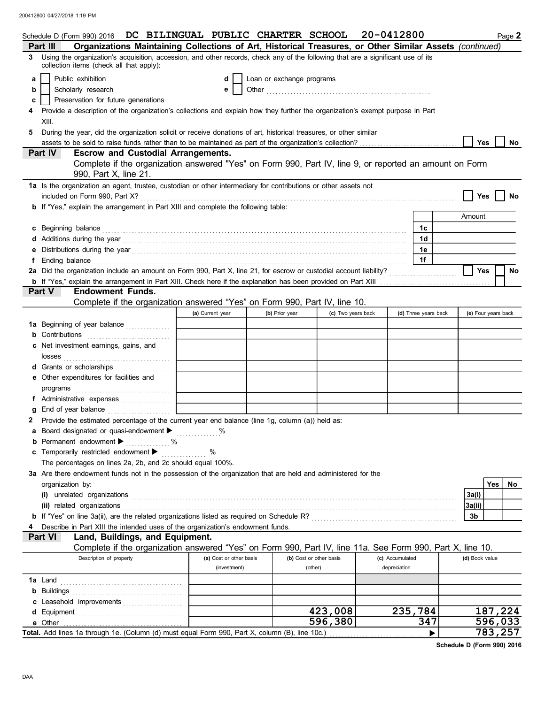|    |                                                                                                                                                      | Schedule D (Form 990) 2016 DC BILINGUAL PUBLIC CHARTER SCHOOL                                                                                                                                                                 |  |     |  |                         |                           |                |                         | 20-0412800 |                 |                      |                     | Page 2  |
|----|------------------------------------------------------------------------------------------------------------------------------------------------------|-------------------------------------------------------------------------------------------------------------------------------------------------------------------------------------------------------------------------------|--|-----|--|-------------------------|---------------------------|----------------|-------------------------|------------|-----------------|----------------------|---------------------|---------|
|    | Part III                                                                                                                                             | Organizations Maintaining Collections of Art, Historical Treasures, or Other Similar Assets (continued)                                                                                                                       |  |     |  |                         |                           |                |                         |            |                 |                      |                     |         |
| 3. |                                                                                                                                                      | Using the organization's acquisition, accession, and other records, check any of the following that are a significant use of its<br>collection items (check all that apply):                                                  |  |     |  |                         |                           |                |                         |            |                 |                      |                     |         |
| a  |                                                                                                                                                      | Public exhibition                                                                                                                                                                                                             |  |     |  | d                       | Loan or exchange programs |                |                         |            |                 |                      |                     |         |
| b  |                                                                                                                                                      | Scholarly research                                                                                                                                                                                                            |  |     |  | е                       |                           |                |                         |            |                 |                      |                     |         |
| c  |                                                                                                                                                      | Preservation for future generations                                                                                                                                                                                           |  |     |  |                         |                           |                |                         |            |                 |                      |                     |         |
|    |                                                                                                                                                      | Provide a description of the organization's collections and explain how they further the organization's exempt purpose in Part                                                                                                |  |     |  |                         |                           |                |                         |            |                 |                      |                     |         |
|    | XIII.                                                                                                                                                |                                                                                                                                                                                                                               |  |     |  |                         |                           |                |                         |            |                 |                      |                     |         |
| 5  |                                                                                                                                                      | During the year, did the organization solicit or receive donations of art, historical treasures, or other similar                                                                                                             |  |     |  |                         |                           |                |                         |            |                 |                      |                     |         |
|    |                                                                                                                                                      |                                                                                                                                                                                                                               |  |     |  |                         |                           |                |                         |            |                 |                      | <b>Yes</b>          | No      |
|    | Part IV                                                                                                                                              |                                                                                                                                                                                                                               |  |     |  |                         |                           |                |                         |            |                 |                      |                     |         |
|    | <b>Escrow and Custodial Arrangements.</b><br>Complete if the organization answered "Yes" on Form 990, Part IV, line 9, or reported an amount on Form |                                                                                                                                                                                                                               |  |     |  |                         |                           |                |                         |            |                 |                      |                     |         |
|    |                                                                                                                                                      | 990, Part X, line 21.                                                                                                                                                                                                         |  |     |  |                         |                           |                |                         |            |                 |                      |                     |         |
|    |                                                                                                                                                      | 1a Is the organization an agent, trustee, custodian or other intermediary for contributions or other assets not                                                                                                               |  |     |  |                         |                           |                |                         |            |                 |                      |                     |         |
|    |                                                                                                                                                      | included on Form 990, Part X?                                                                                                                                                                                                 |  |     |  |                         |                           |                |                         |            |                 |                      | Yes                 | No      |
|    |                                                                                                                                                      | <b>b</b> If "Yes," explain the arrangement in Part XIII and complete the following table:                                                                                                                                     |  |     |  |                         |                           |                |                         |            |                 |                      |                     |         |
|    |                                                                                                                                                      |                                                                                                                                                                                                                               |  |     |  |                         |                           |                |                         |            |                 |                      | Amount              |         |
|    |                                                                                                                                                      |                                                                                                                                                                                                                               |  |     |  |                         |                           |                |                         |            |                 |                      |                     |         |
|    | c Beginning balance                                                                                                                                  |                                                                                                                                                                                                                               |  |     |  |                         |                           |                |                         |            |                 | 1c                   |                     |         |
|    |                                                                                                                                                      |                                                                                                                                                                                                                               |  |     |  |                         |                           |                |                         |            |                 | 1d                   |                     |         |
|    |                                                                                                                                                      | Distributions during the year manufactured and contact the year manufactured was determined and the year manufactured was determined as a set of the set of the set of the set of the set of the set of the set of the set of |  |     |  |                         |                           |                |                         |            |                 | 1e                   |                     |         |
|    |                                                                                                                                                      |                                                                                                                                                                                                                               |  |     |  |                         |                           |                |                         |            |                 | 1f                   |                     |         |
|    |                                                                                                                                                      | 2a Did the organization include an amount on Form 990, Part X, line 21, for escrow or custodial account liability?                                                                                                            |  |     |  |                         |                           |                |                         |            |                 |                      | <b>Yes</b>          | No      |
|    |                                                                                                                                                      |                                                                                                                                                                                                                               |  |     |  |                         |                           |                |                         |            |                 |                      |                     |         |
|    | Part V                                                                                                                                               | <b>Endowment Funds.</b>                                                                                                                                                                                                       |  |     |  |                         |                           |                |                         |            |                 |                      |                     |         |
|    |                                                                                                                                                      | Complete if the organization answered "Yes" on Form 990, Part IV, line 10.                                                                                                                                                    |  |     |  |                         |                           |                |                         |            |                 |                      |                     |         |
|    |                                                                                                                                                      |                                                                                                                                                                                                                               |  |     |  | (a) Current year        |                           | (b) Prior year | (c) Two years back      |            |                 | (d) Three years back | (e) Four years back |         |
|    |                                                                                                                                                      | <b>1a</b> Beginning of year balance                                                                                                                                                                                           |  |     |  |                         |                           |                |                         |            |                 |                      |                     |         |
|    | Contributions                                                                                                                                        |                                                                                                                                                                                                                               |  |     |  |                         |                           |                |                         |            |                 |                      |                     |         |
|    |                                                                                                                                                      | Net investment earnings, gains, and                                                                                                                                                                                           |  |     |  |                         |                           |                |                         |            |                 |                      |                     |         |
|    | losses                                                                                                                                               |                                                                                                                                                                                                                               |  |     |  |                         |                           |                |                         |            |                 |                      |                     |         |
|    |                                                                                                                                                      | Grants or scholarships                                                                                                                                                                                                        |  |     |  |                         |                           |                |                         |            |                 |                      |                     |         |
|    |                                                                                                                                                      | Other expenditures for facilities and                                                                                                                                                                                         |  |     |  |                         |                           |                |                         |            |                 |                      |                     |         |
|    | programs                                                                                                                                             |                                                                                                                                                                                                                               |  |     |  |                         |                           |                |                         |            |                 |                      |                     |         |
|    |                                                                                                                                                      | f Administrative expenses                                                                                                                                                                                                     |  |     |  |                         |                           |                |                         |            |                 |                      |                     |         |
|    |                                                                                                                                                      | End of year balance                                                                                                                                                                                                           |  |     |  |                         |                           |                |                         |            |                 |                      |                     |         |
|    |                                                                                                                                                      | Provide the estimated percentage of the current year end balance (line 1g, column (a)) held as:                                                                                                                               |  |     |  |                         |                           |                |                         |            |                 |                      |                     |         |
|    |                                                                                                                                                      | Board designated or quasi-endowment > %                                                                                                                                                                                       |  |     |  |                         |                           |                |                         |            |                 |                      |                     |         |
|    |                                                                                                                                                      | <b>b</b> Permanent endowment $\blacktriangleright$                                                                                                                                                                            |  | . % |  |                         |                           |                |                         |            |                 |                      |                     |         |
|    |                                                                                                                                                      | Temporarily restricted endowment ▶                                                                                                                                                                                            |  |     |  | %                       |                           |                |                         |            |                 |                      |                     |         |
|    |                                                                                                                                                      | The percentages on lines 2a, 2b, and 2c should equal 100%.                                                                                                                                                                    |  |     |  |                         |                           |                |                         |            |                 |                      |                     |         |
|    |                                                                                                                                                      | 3a Are there endowment funds not in the possession of the organization that are held and administered for the                                                                                                                 |  |     |  |                         |                           |                |                         |            |                 |                      |                     |         |
|    | organization by:                                                                                                                                     |                                                                                                                                                                                                                               |  |     |  |                         |                           |                |                         |            |                 |                      | Yes                 | No      |
|    |                                                                                                                                                      | (i) unrelated organizations entertainment and a set of the contract of the contract or contract or contract or                                                                                                                |  |     |  |                         |                           |                |                         |            |                 |                      | 3a(i)               |         |
|    |                                                                                                                                                      | (ii) related organizations                                                                                                                                                                                                    |  |     |  |                         |                           |                |                         |            |                 |                      | 3a(ii)              |         |
|    |                                                                                                                                                      |                                                                                                                                                                                                                               |  |     |  |                         |                           |                |                         |            |                 |                      | 3 <sub>b</sub>      |         |
|    |                                                                                                                                                      | Describe in Part XIII the intended uses of the organization's endowment funds.                                                                                                                                                |  |     |  |                         |                           |                |                         |            |                 |                      |                     |         |
|    | Part VI                                                                                                                                              | Land, Buildings, and Equipment.                                                                                                                                                                                               |  |     |  |                         |                           |                |                         |            |                 |                      |                     |         |
|    |                                                                                                                                                      | Complete if the organization answered "Yes" on Form 990, Part IV, line 11a. See Form 990, Part X, line 10.                                                                                                                    |  |     |  |                         |                           |                |                         |            |                 |                      |                     |         |
|    |                                                                                                                                                      | Description of property                                                                                                                                                                                                       |  |     |  | (a) Cost or other basis |                           |                | (b) Cost or other basis |            | (c) Accumulated |                      | (d) Book value      |         |
|    |                                                                                                                                                      |                                                                                                                                                                                                                               |  |     |  | (investment)            |                           |                | (other)                 |            | depreciation    |                      |                     |         |
|    | 1a Land                                                                                                                                              |                                                                                                                                                                                                                               |  |     |  |                         |                           |                |                         |            |                 |                      |                     |         |
|    | <b>b</b> Buildings                                                                                                                                   |                                                                                                                                                                                                                               |  |     |  |                         |                           |                |                         |            |                 |                      |                     |         |
|    |                                                                                                                                                      | c Leasehold improvements                                                                                                                                                                                                      |  |     |  |                         |                           |                |                         |            |                 |                      |                     |         |
|    |                                                                                                                                                      |                                                                                                                                                                                                                               |  |     |  |                         |                           |                | 423,008                 |            | 235,784         |                      |                     | 187,224 |
|    | e Other                                                                                                                                              |                                                                                                                                                                                                                               |  |     |  |                         |                           |                | 596,380                 |            |                 | 347                  |                     | 596,033 |
|    |                                                                                                                                                      |                                                                                                                                                                                                                               |  |     |  |                         |                           |                |                         |            |                 | ▶                    |                     | 783,257 |

**Schedule D (Form 990) 2016**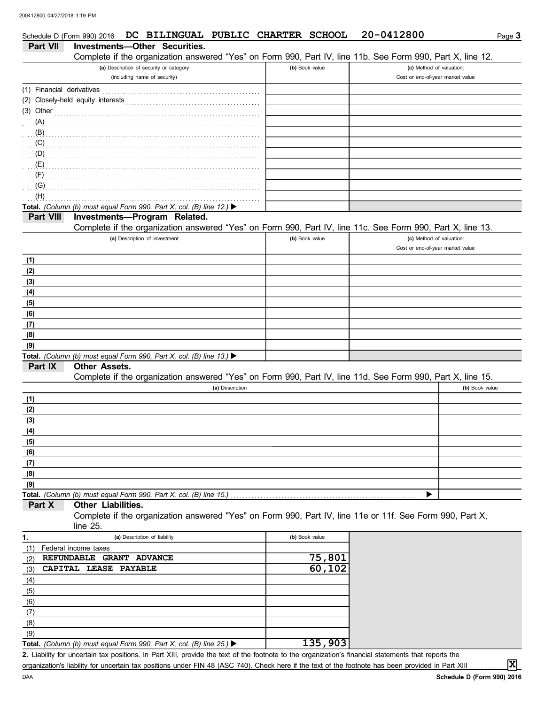|                           | DC BILINGUAL PUBLIC CHARTER SCHOOL<br>Schedule D (Form 990) 2016                                                                   |                | 20-0412800                                                   | Page $3$       |
|---------------------------|------------------------------------------------------------------------------------------------------------------------------------|----------------|--------------------------------------------------------------|----------------|
| <b>Part VII</b>           | <b>Investments-Other Securities.</b>                                                                                               |                |                                                              |                |
|                           | Complete if the organization answered "Yes" on Form 990, Part IV, line 11b. See Form 990, Part X, line 12.                         |                |                                                              |                |
|                           | (a) Description of security or category<br>(including name of security)                                                            | (b) Book value | (c) Method of valuation:<br>Cost or end-of-year market value |                |
| (1) Financial derivatives |                                                                                                                                    |                |                                                              |                |
|                           |                                                                                                                                    |                |                                                              |                |
| $(3)$ Other               |                                                                                                                                    |                |                                                              |                |
| (A)                       |                                                                                                                                    |                |                                                              |                |
| (B)                       |                                                                                                                                    |                |                                                              |                |
| (C)                       |                                                                                                                                    |                |                                                              |                |
| (E)                       | (D)                                                                                                                                |                |                                                              |                |
| (F)                       |                                                                                                                                    |                |                                                              |                |
| (G)                       |                                                                                                                                    |                |                                                              |                |
| (H)                       |                                                                                                                                    |                |                                                              |                |
|                           | Total. (Column (b) must equal Form 990, Part X, col. (B) line 12.) $\blacktriangleright$                                           |                |                                                              |                |
| Part VIII                 | Investments-Program Related.                                                                                                       |                |                                                              |                |
|                           | Complete if the organization answered "Yes" on Form 990, Part IV, line 11c. See Form 990, Part X, line 13.                         |                |                                                              |                |
|                           | (a) Description of investment                                                                                                      | (b) Book value | (c) Method of valuation:<br>Cost or end-of-year market value |                |
| (1)                       |                                                                                                                                    |                |                                                              |                |
| (2)                       |                                                                                                                                    |                |                                                              |                |
| (3)                       |                                                                                                                                    |                |                                                              |                |
| (4)                       |                                                                                                                                    |                |                                                              |                |
| (5)                       |                                                                                                                                    |                |                                                              |                |
| (6)                       |                                                                                                                                    |                |                                                              |                |
| (7)<br>(8)                |                                                                                                                                    |                |                                                              |                |
| (9)                       |                                                                                                                                    |                |                                                              |                |
|                           | Total. (Column (b) must equal Form 990, Part X, col. (B) line 13.) $\blacktriangleright$                                           |                |                                                              |                |
| Part IX                   | <b>Other Assets.</b><br>Complete if the organization answered "Yes" on Form 990, Part IV, line 11d. See Form 990, Part X, line 15. |                |                                                              |                |
|                           | (a) Description                                                                                                                    |                |                                                              | (b) Book value |
| (1)                       |                                                                                                                                    |                |                                                              |                |
| (2)                       |                                                                                                                                    |                |                                                              |                |
| (3)                       |                                                                                                                                    |                |                                                              |                |
| (4)                       |                                                                                                                                    |                |                                                              |                |
| (5)                       |                                                                                                                                    |                |                                                              |                |
| (6)                       |                                                                                                                                    |                |                                                              |                |
| (7)                       |                                                                                                                                    |                |                                                              |                |
| (8)                       |                                                                                                                                    |                |                                                              |                |
| (9)                       |                                                                                                                                    |                | ▶                                                            |                |
| Part X                    | Total. (Column (b) must equal Form 990, Part X, col. (B) line 15.)<br>Other Liabilities.                                           |                |                                                              |                |
|                           | Complete if the organization answered "Yes" on Form 990, Part IV, line 11e or 11f. See Form 990, Part X,<br>line 25.               |                |                                                              |                |
| 1.                        | (a) Description of liability                                                                                                       | (b) Book value |                                                              |                |
| (1)                       | Federal income taxes                                                                                                               |                |                                                              |                |
| (2)                       | REFUNDABLE GRANT ADVANCE                                                                                                           | 75,801         |                                                              |                |
| (3)                       | CAPITAL LEASE PAYABLE                                                                                                              | 60,102         |                                                              |                |
| (4)                       |                                                                                                                                    |                |                                                              |                |
| (5)                       |                                                                                                                                    |                |                                                              |                |
| (6)                       |                                                                                                                                    |                |                                                              |                |
| (7)                       |                                                                                                                                    |                |                                                              |                |
| (8)                       |                                                                                                                                    |                |                                                              |                |
| (9)                       |                                                                                                                                    |                |                                                              |                |
|                           | Total. (Column (b) must equal Form 990, Part X, col. (B) line 25.) $\blacktriangleright$                                           | 135,903        |                                                              |                |

Liability for uncertain tax positions. In Part XIII, provide the text of the footnote to the organization's financial statements that reports the **2.** organization's liability for uncertain tax positions under FIN 48 (ASC 740). Check here if the text of the footnote has been provided in Part XIII

**X**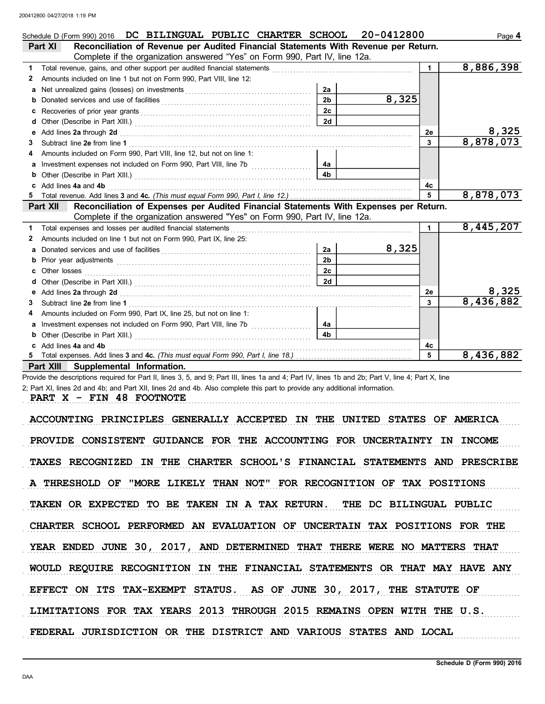|   | Schedule D (Form 990) 2016 DC BILINGUAL PUBLIC CHARTER SCHOOL                                                                                                                                                                  |                | 20-0412800 |              | Page 4    |
|---|--------------------------------------------------------------------------------------------------------------------------------------------------------------------------------------------------------------------------------|----------------|------------|--------------|-----------|
|   | Reconciliation of Revenue per Audited Financial Statements With Revenue per Return.<br>Part XI                                                                                                                                 |                |            |              |           |
|   | Complete if the organization answered "Yes" on Form 990, Part IV, line 12a.                                                                                                                                                    |                |            |              |           |
| 1 | Total revenue, gains, and other support per audited financial statements [11] [11] Total revenue, gains, and other support per audited financial statements                                                                    |                |            | $\mathbf{1}$ | 8,886,398 |
| 2 | Amounts included on line 1 but not on Form 990, Part VIII, line 12:                                                                                                                                                            |                |            |              |           |
|   |                                                                                                                                                                                                                                | 2a             |            |              |           |
| b |                                                                                                                                                                                                                                | 2 <sub>b</sub> | 8,325      |              |           |
| c |                                                                                                                                                                                                                                | 2c             |            |              |           |
| d |                                                                                                                                                                                                                                | 2d             |            |              |           |
| е | Add lines 2a through 2d [11] All and the contract of the contract of the contract of the contract of the contract of the contract of the contract of the contract of the contract of the contract of the contract of the contr |                |            | 2е           | 8,325     |
| 3 |                                                                                                                                                                                                                                |                |            | 3            | 8,878,073 |
| 4 | Amounts included on Form 990, Part VIII, line 12, but not on line 1:                                                                                                                                                           |                |            |              |           |
| a | Investment expenses not included on Form 990, Part VIII, line 7b [100] [100] [100] [100] [100] [100] [100] [100] [100] [100] [100] [100] [100] [100] [100] [100] [100] [100] [100] [100] [100] [100] [100] [100] [100] [100] [ | 4a             |            |              |           |
| b |                                                                                                                                                                                                                                | 4 <sub>b</sub> |            |              |           |
|   | Add lines 4a and 4b                                                                                                                                                                                                            |                |            | 4c           |           |
|   |                                                                                                                                                                                                                                |                |            |              | 8,878,073 |
|   | Reconciliation of Expenses per Audited Financial Statements With Expenses per Return.<br>Part XII                                                                                                                              |                |            |              |           |
|   | Complete if the organization answered "Yes" on Form 990, Part IV, line 12a.                                                                                                                                                    |                |            |              |           |
| 1 | Total expenses and losses per audited financial statements                                                                                                                                                                     |                |            | $\mathbf{1}$ | 8,445,207 |
| 2 | Amounts included on line 1 but not on Form 990, Part IX, line 25:                                                                                                                                                              |                |            |              |           |
| a |                                                                                                                                                                                                                                | 2a             | 8,325      |              |           |
| b | Prior year adjustments communications and the contract of the contract of the contract of the contract of the contract of the contract of the contract of the contract of the contract of the contract of the contract of the  | 2 <sub>b</sub> |            |              |           |
|   |                                                                                                                                                                                                                                | 2c             |            |              |           |
|   |                                                                                                                                                                                                                                | 2d             |            |              |           |
| е | Add lines 2a through 2d [11] Additional Contract of Additional Contract of Additional Contract of Additional Contract of Additional Contract of Additional Contract of Additional Contract of Additional Contract of Additiona |                |            | 2е           | 8,325     |
| 3 | Subtract line 2e from line 1                                                                                                                                                                                                   |                |            | 3            | 8,436,882 |
| 4 | Amounts included on Form 990, Part IX, line 25, but not on line 1:                                                                                                                                                             |                |            |              |           |
| а |                                                                                                                                                                                                                                | 4a             |            |              |           |
|   |                                                                                                                                                                                                                                | 4b             |            |              |           |
|   | Add lines 4a and 4b                                                                                                                                                                                                            |                |            | 4c           |           |
|   |                                                                                                                                                                                                                                |                |            | 5            | 8,436,882 |

**Part XIII Supplemental Information.**

Provide the descriptions required for Part II, lines 3, 5, and 9; Part III, lines 1a and 4; Part IV, lines 1b and 2b; Part V, line 4; Part X, line 2; Part XI, lines 2d and 4b; and Part XII, lines 2d and 4b. Also complete this part to provide any additional information.

PART X - FIN 48 FOOTNOTE

ACCOUNTING PRINCIPLES GENERALLY ACCEPTED IN THE UNITED STATES OF AMERICA PROVIDE CONSISTENT GUIDANCE FOR THE ACCOUNTING FOR UNCERTAINTY IN INCOME TAXES RECOGNIZED IN THE CHARTER SCHOOL'S FINANCIAL STATEMENTS AND PRESCRIBE A THRESHOLD OF "MORE LIKELY THAN NOT" FOR RECOGNITION OF TAX POSITIONS TAKEN OR EXPECTED TO BE TAKEN IN A TAX RETURN. THE DC BILINGUAL PUBLIC CHARTER SCHOOL PERFORMED AN EVALUATION OF UNCERTAIN TAX POSITIONS FOR THE EFFECT ON ITS TAX-EXEMPT STATUS. AS OF JUNE 30, 2017, THE STATUTE OF YEAR ENDED JUNE 30, 2017, AND DETERMINED THAT THERE WERE NO MATTERS THAT WOULD REQUIRE RECOGNITION IN THE FINANCIAL STATEMENTS OR THAT MAY HAVE ANY LIMITATIONS FOR TAX YEARS 2013 THROUGH 2015 REMAINS OPEN WITH THE U.S. FEDERAL JURISDICTION OR THE DISTRICT AND VARIOUS STATES AND LOCAL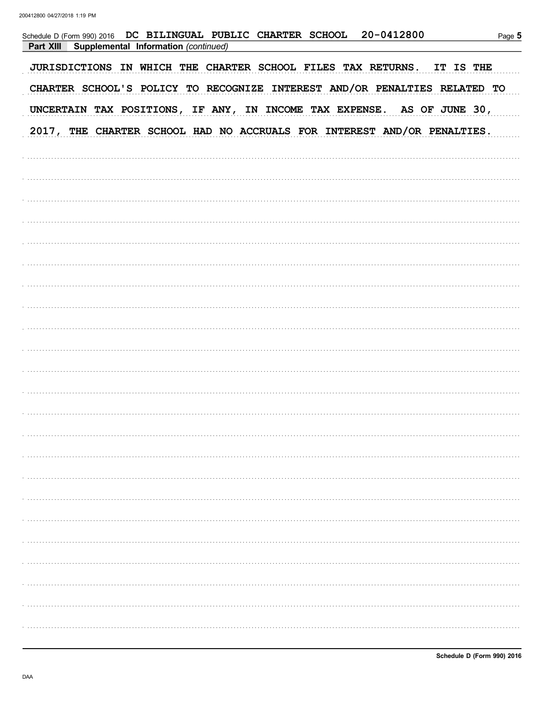| Schedule D (Form 990) 2016 DC BILINGUAL PUBLIC CHARTER SCHOOL 20-0412800<br>Part XIII<br>Supplemental Information (continued) | Page 5 |
|-------------------------------------------------------------------------------------------------------------------------------|--------|
| JURISDICTIONS IN WHICH THE CHARTER SCHOOL FILES TAX RETURNS. IT IS THE                                                        |        |
| CHARTER SCHOOL'S POLICY TO RECOGNIZE INTEREST AND/OR PENALTIES RELATED TO                                                     |        |
| UNCERTAIN TAX POSITIONS, IF ANY, IN INCOME TAX EXPENSE. AS OF JUNE 30,                                                        |        |
| 2017, THE CHARTER SCHOOL HAD NO ACCRUALS FOR INTEREST AND/OR PENALTIES.                                                       |        |
|                                                                                                                               |        |
|                                                                                                                               |        |
|                                                                                                                               |        |
|                                                                                                                               |        |
|                                                                                                                               |        |
|                                                                                                                               |        |
|                                                                                                                               |        |
|                                                                                                                               |        |
|                                                                                                                               |        |
|                                                                                                                               |        |
|                                                                                                                               |        |
|                                                                                                                               |        |
|                                                                                                                               |        |
|                                                                                                                               |        |
|                                                                                                                               |        |
|                                                                                                                               |        |
|                                                                                                                               |        |
|                                                                                                                               |        |
|                                                                                                                               |        |
|                                                                                                                               |        |
|                                                                                                                               |        |
|                                                                                                                               |        |
|                                                                                                                               |        |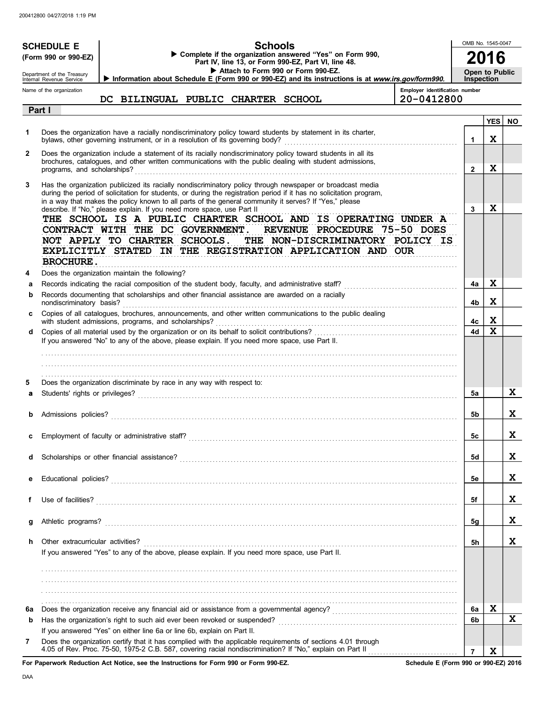|              | <b>SCHEDULE E</b><br>(Form 990 or 990-EZ)<br>Department of the Treasury<br>Internal Revenue Service | <b>Schools</b><br>Complete if the organization answered "Yes" on Form 990,<br>Part IV, line 13, or Form 990-EZ, Part VI, line 48.<br>Attach to Form 990 or Form 990-EZ.<br>Information about Schedule E (Form 990 or 990-EZ) and its instructions is at www.irs.gov/form990.                                                                 | OMB No. 1545-0047<br><b>Open to Public</b><br><b>Inspection</b> |                 |           |
|--------------|-----------------------------------------------------------------------------------------------------|----------------------------------------------------------------------------------------------------------------------------------------------------------------------------------------------------------------------------------------------------------------------------------------------------------------------------------------------|-----------------------------------------------------------------|-----------------|-----------|
|              | Name of the organization                                                                            | Employer identification number<br>DC BILINGUAL PUBLIC CHARTER SCHOOL<br>20-0412800                                                                                                                                                                                                                                                           |                                                                 |                 |           |
|              | Part I                                                                                              |                                                                                                                                                                                                                                                                                                                                              |                                                                 |                 |           |
| 1            |                                                                                                     | Does the organization have a racially nondiscriminatory policy toward students by statement in its charter,<br>bylaws, other governing instrument, or in a resolution of its governing body?                                                                                                                                                 | 1                                                               | <b>YES</b><br>X | <b>NO</b> |
| $\mathbf{2}$ | programs, and scholarships?                                                                         | Does the organization include a statement of its racially nondiscriminatory policy toward students in all its<br>brochures, catalogues, and other written communications with the public dealing with student admissions,                                                                                                                    | $\overline{2}$                                                  | X               |           |
| 3            |                                                                                                     | Has the organization publicized its racially nondiscriminatory policy through newspaper or broadcast media<br>during the period of solicitation for students, or during the registration period if it has no solicitation program,<br>in a way that makes the policy known to all parts of the general community it serves? If "Yes," please |                                                                 |                 |           |
|              | <b>BROCHURE.</b>                                                                                    | describe. If "No," please explain. If you need more space, use Part II<br>THE SCHOOL IS A PUBLIC CHARTER SCHOOL AND IS OPERATING UNDER A<br>CONTRACT WITH THE DC GOVERNMENT.<br>REVENUE PROCEDURE 75-50 DOES<br>NOT APPLY TO CHARTER SCHOOLS. THE NON-DISCRIMINATORY POLICY IS<br>EXPLICITLY STATED IN THE REGISTRATION APPLICATION AND OUR  | 3                                                               | X               |           |
| 4            |                                                                                                     | Does the organization maintain the following?                                                                                                                                                                                                                                                                                                |                                                                 |                 |           |
| а<br>b       | nondiscriminatory basis?                                                                            | Records documenting that scholarships and other financial assistance are awarded on a racially                                                                                                                                                                                                                                               | 4a<br>4b                                                        | X<br>X          |           |
|              |                                                                                                     | Copies of all catalogues, brochures, announcements, and other written communications to the public dealing<br>with student admissions, programs, and scholarships?                                                                                                                                                                           | 4с                                                              | X               |           |
| d            |                                                                                                     |                                                                                                                                                                                                                                                                                                                                              | 4d                                                              | X               |           |
|              |                                                                                                     | If you answered "No" to any of the above, please explain. If you need more space, use Part II.                                                                                                                                                                                                                                               |                                                                 |                 |           |
|              |                                                                                                     |                                                                                                                                                                                                                                                                                                                                              |                                                                 |                 |           |
| 5            |                                                                                                     | Does the organization discriminate by race in any way with respect to:                                                                                                                                                                                                                                                                       |                                                                 |                 |           |
| a            |                                                                                                     |                                                                                                                                                                                                                                                                                                                                              | 5a                                                              |                 | X.        |
|              |                                                                                                     |                                                                                                                                                                                                                                                                                                                                              | 5b                                                              |                 | X.        |
|              |                                                                                                     |                                                                                                                                                                                                                                                                                                                                              | 5C                                                              |                 | A         |
|              |                                                                                                     |                                                                                                                                                                                                                                                                                                                                              | 5d                                                              |                 | X.        |
|              |                                                                                                     |                                                                                                                                                                                                                                                                                                                                              | 5е                                                              |                 | X.        |
| f            | Use of facilities?                                                                                  |                                                                                                                                                                                                                                                                                                                                              | 5f                                                              |                 | X.        |
| g            | Athletic programs?                                                                                  |                                                                                                                                                                                                                                                                                                                                              | 5g                                                              |                 | X.        |
| h.           | Other extracurricular activities?                                                                   | If you answered "Yes" to any of the above, please explain. If you need more space, use Part II.                                                                                                                                                                                                                                              | 5h                                                              |                 | X         |
|              |                                                                                                     |                                                                                                                                                                                                                                                                                                                                              |                                                                 |                 |           |
| 6a           |                                                                                                     |                                                                                                                                                                                                                                                                                                                                              | 6a                                                              | X               |           |
| b            |                                                                                                     |                                                                                                                                                                                                                                                                                                                                              | 6b                                                              |                 | X         |
| 7            |                                                                                                     | If you answered "Yes" on either line 6a or line 6b, explain on Part II.<br>Does the organization certify that it has complied with the applicable requirements of sections 4.01 through                                                                                                                                                      |                                                                 |                 |           |
|              |                                                                                                     | 4.05 of Rev. Proc. 75-50, 1975-2 C.B. 587, covering racial nondiscrimination? If "No," explain on Part II                                                                                                                                                                                                                                    | $\overline{7}$                                                  | X               |           |

**For Paperwork Reduction Act Notice, see the Instructions for Form 990 or Form 990-EZ.**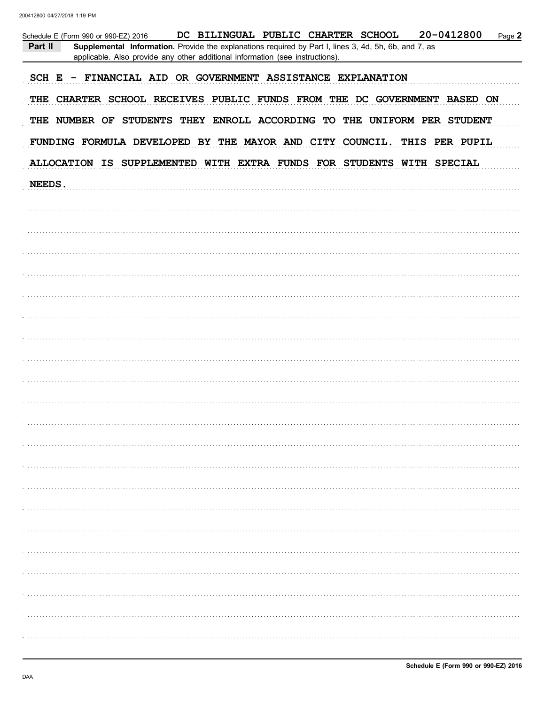| Schedule E (Form 990 or 990-EZ) 2016<br>DC BILINGUAL PUBLIC CHARTER SCHOOL<br>20-0412800<br>Page 2<br>Part II<br>Supplemental Information. Provide the explanations required by Part I, lines 3, 4d, 5h, 6b, and 7, as<br>applicable. Also provide any other additional information (see instructions). |
|---------------------------------------------------------------------------------------------------------------------------------------------------------------------------------------------------------------------------------------------------------------------------------------------------------|
| SCH E - FINANCIAL AID OR GOVERNMENT ASSISTANCE EXPLANATION                                                                                                                                                                                                                                              |
| THE CHARTER SCHOOL RECEIVES PUBLIC FUNDS FROM THE DC GOVERNMENT BASED ON                                                                                                                                                                                                                                |
| THE NUMBER OF STUDENTS THEY ENROLL ACCORDING TO THE UNIFORM PER STUDENT                                                                                                                                                                                                                                 |
| FUNDING FORMULA DEVELOPED BY THE MAYOR AND CITY COUNCIL. THIS PER PUPIL                                                                                                                                                                                                                                 |
| ALLOCATION IS SUPPLEMENTED WITH EXTRA FUNDS FOR STUDENTS WITH SPECIAL                                                                                                                                                                                                                                   |
| NEEDS.                                                                                                                                                                                                                                                                                                  |
|                                                                                                                                                                                                                                                                                                         |
|                                                                                                                                                                                                                                                                                                         |
|                                                                                                                                                                                                                                                                                                         |
|                                                                                                                                                                                                                                                                                                         |
|                                                                                                                                                                                                                                                                                                         |
|                                                                                                                                                                                                                                                                                                         |
|                                                                                                                                                                                                                                                                                                         |
|                                                                                                                                                                                                                                                                                                         |
|                                                                                                                                                                                                                                                                                                         |
|                                                                                                                                                                                                                                                                                                         |
|                                                                                                                                                                                                                                                                                                         |
|                                                                                                                                                                                                                                                                                                         |
|                                                                                                                                                                                                                                                                                                         |
|                                                                                                                                                                                                                                                                                                         |
|                                                                                                                                                                                                                                                                                                         |
|                                                                                                                                                                                                                                                                                                         |
|                                                                                                                                                                                                                                                                                                         |
|                                                                                                                                                                                                                                                                                                         |
|                                                                                                                                                                                                                                                                                                         |
|                                                                                                                                                                                                                                                                                                         |
|                                                                                                                                                                                                                                                                                                         |
|                                                                                                                                                                                                                                                                                                         |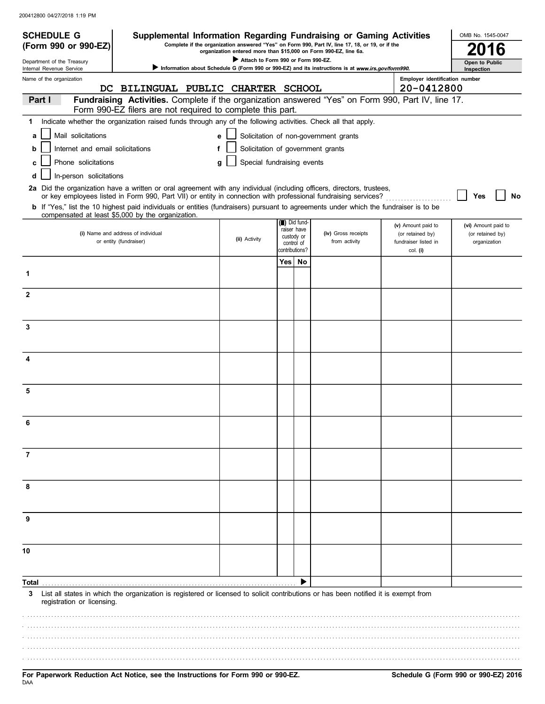| <b>SCHEDULE G</b>                                      | Supplemental Information Regarding Fundraising or Gaming Activities                                                                                                                                                                      |                                                                  |                |                                |                                                                                                   |                                              | OMB No. 1545-0047                       |
|--------------------------------------------------------|------------------------------------------------------------------------------------------------------------------------------------------------------------------------------------------------------------------------------------------|------------------------------------------------------------------|----------------|--------------------------------|---------------------------------------------------------------------------------------------------|----------------------------------------------|-----------------------------------------|
| (Form 990 or 990-EZ)                                   |                                                                                                                                                                                                                                          | organization entered more than \$15,000 on Form 990-EZ, line 6a. |                |                                | Complete if the organization answered "Yes" on Form 990, Part IV, line 17, 18, or 19, or if the   |                                              |                                         |
| Department of the Treasury<br>Internal Revenue Service |                                                                                                                                                                                                                                          | Attach to Form 990 or Form 990-EZ.                               |                |                                | Information about Schedule G (Form 990 or 990-EZ) and its instructions is at www.irs.gov/form990. |                                              | Open to Public<br>Inspection            |
| Name of the organization                               | DC BILINGUAL PUBLIC CHARTER SCHOOL                                                                                                                                                                                                       |                                                                  |                |                                |                                                                                                   | Employer identification number<br>20-0412800 |                                         |
| Part I                                                 | Fundraising Activities. Complete if the organization answered "Yes" on Form 990, Part IV, line 17.                                                                                                                                       |                                                                  |                |                                |                                                                                                   |                                              |                                         |
| 1                                                      | Form 990-EZ filers are not required to complete this part.<br>Indicate whether the organization raised funds through any of the following activities. Check all that apply.                                                              |                                                                  |                |                                |                                                                                                   |                                              |                                         |
|                                                        |                                                                                                                                                                                                                                          |                                                                  |                |                                |                                                                                                   |                                              |                                         |
| Mail solicitations<br>a                                |                                                                                                                                                                                                                                          | e                                                                |                |                                | Solicitation of non-government grants                                                             |                                              |                                         |
| Internet and email solicitations<br>b                  |                                                                                                                                                                                                                                          | f                                                                |                |                                | Solicitation of government grants                                                                 |                                              |                                         |
| Phone solicitations<br>с                               |                                                                                                                                                                                                                                          | Special fundraising events<br>g                                  |                |                                |                                                                                                   |                                              |                                         |
| In-person solicitations<br>d                           |                                                                                                                                                                                                                                          |                                                                  |                |                                |                                                                                                   |                                              |                                         |
|                                                        | 2a Did the organization have a written or oral agreement with any individual (including officers, directors, trustees,<br>or key employees listed in Form 990, Part VII) or entity in connection with professional fundraising services? |                                                                  |                |                                |                                                                                                   |                                              | Yes<br><b>No</b>                        |
|                                                        | b If "Yes," list the 10 highest paid individuals or entities (fundraisers) pursuant to agreements under which the fundraiser is to be<br>compensated at least \$5,000 by the organization.                                               |                                                                  |                |                                |                                                                                                   |                                              |                                         |
|                                                        | (i) Name and address of individual                                                                                                                                                                                                       |                                                                  |                | (iii) Did fund-<br>raiser have | (iv) Gross receipts                                                                               | (v) Amount paid to<br>(or retained by)       | (vi) Amount paid to<br>(or retained by) |
|                                                        | or entity (fundraiser)                                                                                                                                                                                                                   | (ii) Activity                                                    |                | custody or<br>control of       | from activity                                                                                     | fundraiser listed in                         | organization                            |
|                                                        |                                                                                                                                                                                                                                          |                                                                  | contributions? |                                |                                                                                                   | col. (i)                                     |                                         |
| 1                                                      |                                                                                                                                                                                                                                          |                                                                  |                | Yes   No                       |                                                                                                   |                                              |                                         |
|                                                        |                                                                                                                                                                                                                                          |                                                                  |                |                                |                                                                                                   |                                              |                                         |
| $\mathbf{2}$                                           |                                                                                                                                                                                                                                          |                                                                  |                |                                |                                                                                                   |                                              |                                         |
|                                                        |                                                                                                                                                                                                                                          |                                                                  |                |                                |                                                                                                   |                                              |                                         |
| 3                                                      |                                                                                                                                                                                                                                          |                                                                  |                |                                |                                                                                                   |                                              |                                         |
|                                                        |                                                                                                                                                                                                                                          |                                                                  |                |                                |                                                                                                   |                                              |                                         |
| 4                                                      |                                                                                                                                                                                                                                          |                                                                  |                |                                |                                                                                                   |                                              |                                         |
|                                                        |                                                                                                                                                                                                                                          |                                                                  |                |                                |                                                                                                   |                                              |                                         |
| 5                                                      |                                                                                                                                                                                                                                          |                                                                  |                |                                |                                                                                                   |                                              |                                         |
|                                                        |                                                                                                                                                                                                                                          |                                                                  |                |                                |                                                                                                   |                                              |                                         |
|                                                        |                                                                                                                                                                                                                                          |                                                                  |                |                                |                                                                                                   |                                              |                                         |
| 7                                                      |                                                                                                                                                                                                                                          |                                                                  |                |                                |                                                                                                   |                                              |                                         |
|                                                        |                                                                                                                                                                                                                                          |                                                                  |                |                                |                                                                                                   |                                              |                                         |
| 8                                                      |                                                                                                                                                                                                                                          |                                                                  |                |                                |                                                                                                   |                                              |                                         |
|                                                        |                                                                                                                                                                                                                                          |                                                                  |                |                                |                                                                                                   |                                              |                                         |
| 9                                                      |                                                                                                                                                                                                                                          |                                                                  |                |                                |                                                                                                   |                                              |                                         |
|                                                        |                                                                                                                                                                                                                                          |                                                                  |                |                                |                                                                                                   |                                              |                                         |
| 10                                                     |                                                                                                                                                                                                                                          |                                                                  |                |                                |                                                                                                   |                                              |                                         |
|                                                        |                                                                                                                                                                                                                                          |                                                                  |                |                                |                                                                                                   |                                              |                                         |
| Total                                                  |                                                                                                                                                                                                                                          |                                                                  |                |                                |                                                                                                   |                                              |                                         |
| 3<br>registration or licensing.                        | List all states in which the organization is registered or licensed to solicit contributions or has been notified it is exempt from                                                                                                      |                                                                  |                |                                |                                                                                                   |                                              |                                         |
|                                                        |                                                                                                                                                                                                                                          |                                                                  |                |                                |                                                                                                   |                                              |                                         |
|                                                        |                                                                                                                                                                                                                                          |                                                                  |                |                                |                                                                                                   |                                              |                                         |
|                                                        |                                                                                                                                                                                                                                          |                                                                  |                |                                |                                                                                                   |                                              |                                         |
|                                                        |                                                                                                                                                                                                                                          |                                                                  |                |                                |                                                                                                   |                                              |                                         |
|                                                        |                                                                                                                                                                                                                                          |                                                                  |                |                                |                                                                                                   |                                              |                                         |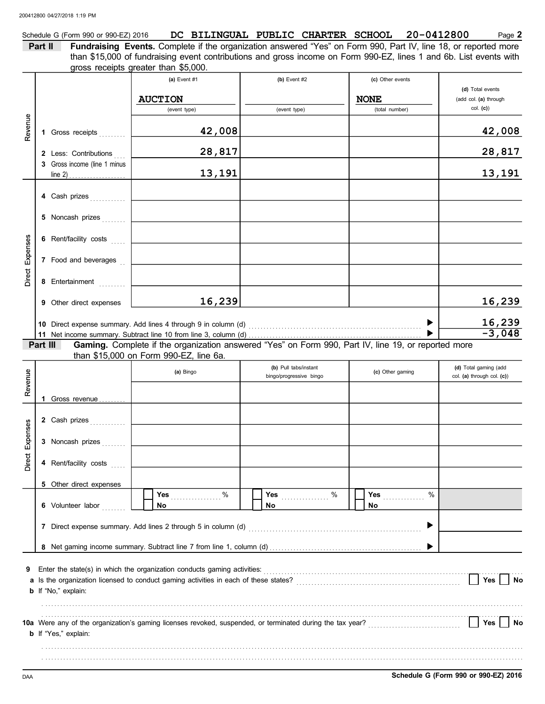|         | Schedule G (Form 990 or 990-EZ) 2016                                                                                   |  |  | DC BILINGUAL PUBLIC CHARTER SCHOOL 20-0412800 | Page 2 |
|---------|------------------------------------------------------------------------------------------------------------------------|--|--|-----------------------------------------------|--------|
| Part II | <b>Fundraising Events.</b> Complete if the organization answered "Yes" on Form 990, Part IV, line 18, or reported more |  |  |                                               |        |
|         | than \$15,000 of fundraising event contributions and gross income on Form 990-EZ, lines 1 and 6b. List events with     |  |  |                                               |        |
|         | gross receipts greater than \$5,000.                                                                                   |  |  |                                               |        |

|                 |          |                              | (a) Event #1                                                                                                                                                     | (b) Event $#2$                                                                                            | (c) Other events |                                           |
|-----------------|----------|------------------------------|------------------------------------------------------------------------------------------------------------------------------------------------------------------|-----------------------------------------------------------------------------------------------------------|------------------|-------------------------------------------|
|                 |          |                              | <b>AUCTION</b>                                                                                                                                                   |                                                                                                           | <b>NONE</b>      | (d) Total events<br>(add col. (a) through |
|                 |          |                              | (event type)                                                                                                                                                     | (event type)                                                                                              | (total number)   | col. (c)                                  |
| Revenue         |          |                              |                                                                                                                                                                  |                                                                                                           |                  |                                           |
|                 |          | 1 Gross receipts             | 42,008                                                                                                                                                           |                                                                                                           |                  | 42,008                                    |
|                 |          | 2 Less: Contributions        | 28,817                                                                                                                                                           |                                                                                                           |                  | 28,817                                    |
|                 |          | 3 Gross income (line 1 minus | 13,191                                                                                                                                                           |                                                                                                           |                  | 13,191                                    |
|                 |          | line 2)                      |                                                                                                                                                                  |                                                                                                           |                  |                                           |
|                 |          | 4 Cash prizes                |                                                                                                                                                                  |                                                                                                           |                  |                                           |
|                 |          | 5 Noncash prizes             |                                                                                                                                                                  |                                                                                                           |                  |                                           |
|                 |          |                              |                                                                                                                                                                  |                                                                                                           |                  |                                           |
|                 |          | 6 Rent/facility costs        |                                                                                                                                                                  |                                                                                                           |                  |                                           |
| Direct Expenses |          | 7 Food and beverages         |                                                                                                                                                                  |                                                                                                           |                  |                                           |
|                 |          |                              |                                                                                                                                                                  |                                                                                                           |                  |                                           |
|                 |          | 8 Entertainment              |                                                                                                                                                                  |                                                                                                           |                  |                                           |
|                 |          | 9 Other direct expenses      | 16,239                                                                                                                                                           |                                                                                                           |                  | 16,239                                    |
|                 |          |                              | 10 Direct expense summary. Add lines 4 through 9 in column (d)                                                                                                   |                                                                                                           |                  |                                           |
|                 |          |                              |                                                                                                                                                                  |                                                                                                           |                  | $\frac{16,239}{-3,048}$                   |
|                 | Part III |                              |                                                                                                                                                                  | Gaming. Complete if the organization answered "Yes" on Form 990, Part IV, line 19, or reported more       |                  |                                           |
|                 |          |                              | than \$15,000 on Form 990-EZ, line 6a.                                                                                                                           | (b) Pull tabs/instant                                                                                     |                  | (d) Total gaming (add                     |
| Revenue         |          |                              | (a) Bingo                                                                                                                                                        | bingo/progressive bingo                                                                                   | (c) Other gaming | col. (a) through col. (c))                |
|                 |          |                              |                                                                                                                                                                  |                                                                                                           |                  |                                           |
|                 |          | 1 Gross revenue              |                                                                                                                                                                  |                                                                                                           |                  |                                           |
|                 |          | 2 Cash prizes                |                                                                                                                                                                  |                                                                                                           |                  |                                           |
|                 |          | 3 Noncash prizes             |                                                                                                                                                                  |                                                                                                           |                  |                                           |
| Direct Expenses |          |                              |                                                                                                                                                                  |                                                                                                           |                  |                                           |
|                 |          | 4 Rent/facility costs        |                                                                                                                                                                  |                                                                                                           |                  |                                           |
|                 |          | 5 Other direct expenses      |                                                                                                                                                                  |                                                                                                           |                  |                                           |
|                 |          |                              | %<br>Yes                                                                                                                                                         | $\%$<br>Yes                                                                                               | Yes<br>%         |                                           |
|                 |          | 6 Volunteer labor            | No                                                                                                                                                               | No                                                                                                        | No               |                                           |
|                 |          |                              | 7 Direct expense summary. Add lines 2 through 5 in column (d)                                                                                                    |                                                                                                           |                  |                                           |
|                 |          |                              |                                                                                                                                                                  |                                                                                                           |                  |                                           |
|                 |          |                              |                                                                                                                                                                  |                                                                                                           |                  |                                           |
| 9               |          |                              | Enter the state(s) in which the organization conducts gaming activities:<br>a Is the organization licensed to conduct gaming activities in each of these states? |                                                                                                           |                  | Yes<br>No                                 |
|                 |          | b If "No," explain:          |                                                                                                                                                                  |                                                                                                           |                  |                                           |
|                 |          |                              |                                                                                                                                                                  |                                                                                                           |                  |                                           |
|                 |          |                              |                                                                                                                                                                  | 10a Were any of the organization's gaming licenses revoked, suspended, or terminated during the tax year? |                  | Yes<br>No                                 |
|                 |          | <b>b</b> If "Yes," explain:  |                                                                                                                                                                  |                                                                                                           |                  |                                           |
|                 |          |                              |                                                                                                                                                                  |                                                                                                           |                  |                                           |
|                 |          |                              |                                                                                                                                                                  |                                                                                                           |                  |                                           |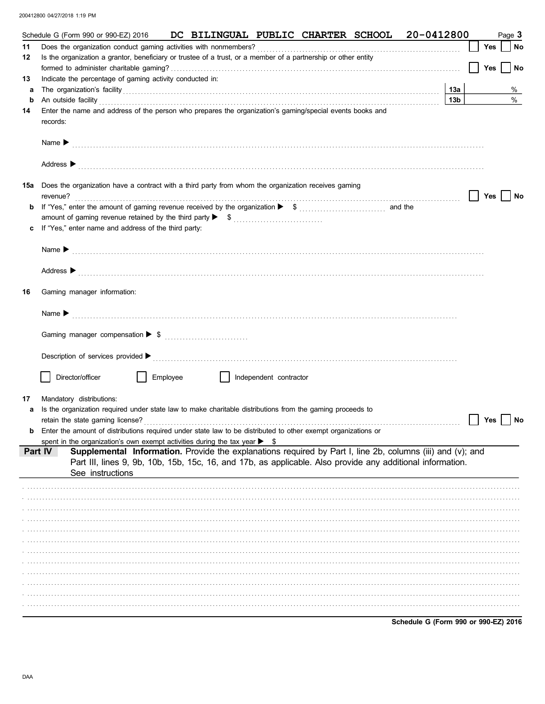|     | DC BILINGUAL PUBLIC CHARTER SCHOOL 20-0412800<br>Schedule G (Form 990 or 990-EZ) 2016                                                                                                                                                                                                                                                                                                                                              |                 |     | Page 3 |
|-----|------------------------------------------------------------------------------------------------------------------------------------------------------------------------------------------------------------------------------------------------------------------------------------------------------------------------------------------------------------------------------------------------------------------------------------|-----------------|-----|--------|
| 11  |                                                                                                                                                                                                                                                                                                                                                                                                                                    |                 | Yes | No     |
| 12  | Is the organization a grantor, beneficiary or trustee of a trust, or a member of a partnership or other entity                                                                                                                                                                                                                                                                                                                     |                 |     |        |
|     |                                                                                                                                                                                                                                                                                                                                                                                                                                    |                 | Yes | No     |
| 13  | Indicate the percentage of gaming activity conducted in:                                                                                                                                                                                                                                                                                                                                                                           |                 |     |        |
| a   | The organization's facility [11] The organization's facility [12] The organization's facility [12] The organization's facility [12] The organization's facility [12] The organization's facility [12] The organization of the                                                                                                                                                                                                      | 13a             |     | %      |
| b   | An outside facility <b>contract and the facility contract and the facility contract and the facility contract and the facility contract and the facility contract and the facility contract and the facility contr</b><br>Enter the name and address of the person who prepares the organization's gaming/special events books and                                                                                                 | 13 <sub>b</sub> |     | $\%$   |
| 14  | records:                                                                                                                                                                                                                                                                                                                                                                                                                           |                 |     |        |
|     |                                                                                                                                                                                                                                                                                                                                                                                                                                    |                 |     |        |
|     | Address > contract and the contract of the contract of the contract of the contract of the contract of the contract of the contract of the contract of the contract of the contract of the contract of the contract of the con                                                                                                                                                                                                     |                 |     |        |
| 15a | Does the organization have a contract with a third party from whom the organization receives gaming<br>revenue?                                                                                                                                                                                                                                                                                                                    |                 | Yes | No     |
| b   |                                                                                                                                                                                                                                                                                                                                                                                                                                    |                 |     |        |
|     |                                                                                                                                                                                                                                                                                                                                                                                                                                    |                 |     |        |
| c   | If "Yes," enter name and address of the third party:                                                                                                                                                                                                                                                                                                                                                                               |                 |     |        |
|     |                                                                                                                                                                                                                                                                                                                                                                                                                                    |                 |     |        |
|     | Name $\blacktriangleright$ (1) and $\blacktriangleright$ (1) and $\blacktriangleright$ (1) and $\blacktriangleright$ (1) and $\blacktriangleright$ (1) and $\blacktriangleright$ (1) and $\blacktriangleright$ (1) and $\blacktriangleright$ (1) and $\blacktriangleright$ (1) and $\blacktriangleright$ (1) and $\blacktriangleright$ (1) and $\blacktriangleright$ (1) and $\blacktriangleright$ (1) and $\blacktriangleright$ ( |                 |     |        |
|     |                                                                                                                                                                                                                                                                                                                                                                                                                                    |                 |     |        |
|     | Address > contract and the contract of the contract of the contract of the contract of the contract of the contract of the contract of the contract of the contract of the contract of the contract of the contract of the con                                                                                                                                                                                                     |                 |     |        |
| 16  | Gaming manager information:                                                                                                                                                                                                                                                                                                                                                                                                        |                 |     |        |
|     |                                                                                                                                                                                                                                                                                                                                                                                                                                    |                 |     |        |
|     |                                                                                                                                                                                                                                                                                                                                                                                                                                    |                 |     |        |
|     |                                                                                                                                                                                                                                                                                                                                                                                                                                    |                 |     |        |
|     |                                                                                                                                                                                                                                                                                                                                                                                                                                    |                 |     |        |
|     | Director/officer<br>Employee<br>Independent contractor                                                                                                                                                                                                                                                                                                                                                                             |                 |     |        |
|     |                                                                                                                                                                                                                                                                                                                                                                                                                                    |                 |     |        |
| 17  | Mandatory distributions:                                                                                                                                                                                                                                                                                                                                                                                                           |                 |     |        |
| a   | Is the organization required under state law to make charitable distributions from the gaming proceeds to                                                                                                                                                                                                                                                                                                                          |                 |     |        |
|     | retain the state gaming license?<br>Enter the amount of distributions required under state law to be distributed to other exempt organizations or                                                                                                                                                                                                                                                                                  |                 | Yes | No     |
| b   | spent in the organization's own exempt activities during the tax year $\triangleright$ \$                                                                                                                                                                                                                                                                                                                                          |                 |     |        |
|     | Supplemental Information. Provide the explanations required by Part I, line 2b, columns (iii) and (v); and<br>Part IV                                                                                                                                                                                                                                                                                                              |                 |     |        |
|     | Part III, lines 9, 9b, 10b, 15b, 15c, 16, and 17b, as applicable. Also provide any additional information.                                                                                                                                                                                                                                                                                                                         |                 |     |        |
|     | See instructions                                                                                                                                                                                                                                                                                                                                                                                                                   |                 |     |        |
|     |                                                                                                                                                                                                                                                                                                                                                                                                                                    |                 |     |        |
|     |                                                                                                                                                                                                                                                                                                                                                                                                                                    |                 |     |        |
|     |                                                                                                                                                                                                                                                                                                                                                                                                                                    |                 |     |        |
|     |                                                                                                                                                                                                                                                                                                                                                                                                                                    |                 |     |        |
|     |                                                                                                                                                                                                                                                                                                                                                                                                                                    |                 |     |        |
|     |                                                                                                                                                                                                                                                                                                                                                                                                                                    |                 |     |        |
|     |                                                                                                                                                                                                                                                                                                                                                                                                                                    |                 |     |        |
|     |                                                                                                                                                                                                                                                                                                                                                                                                                                    |                 |     |        |
|     |                                                                                                                                                                                                                                                                                                                                                                                                                                    |                 |     |        |
|     |                                                                                                                                                                                                                                                                                                                                                                                                                                    |                 |     |        |
|     |                                                                                                                                                                                                                                                                                                                                                                                                                                    |                 |     |        |
|     |                                                                                                                                                                                                                                                                                                                                                                                                                                    |                 |     |        |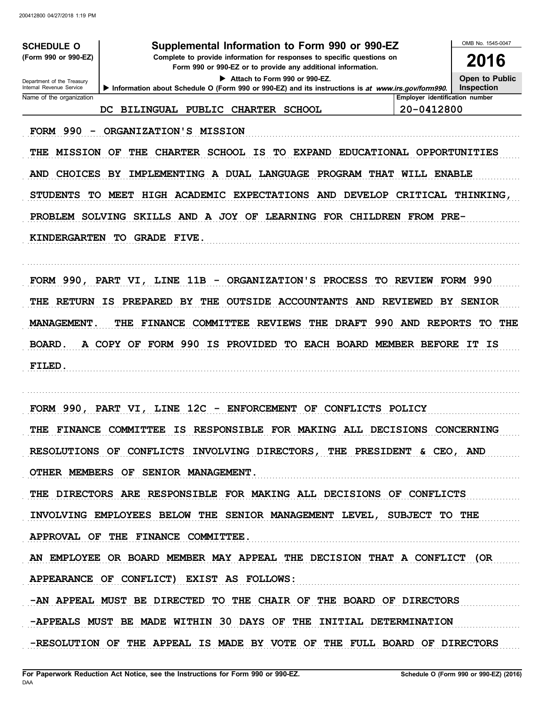| <b>SCHEDULE O</b>                                                       | Supplemental Information to Form 990 or 990-EZ                                                                                         |                                | OMB No. 1545-0047 |  |  |  |  |
|-------------------------------------------------------------------------|----------------------------------------------------------------------------------------------------------------------------------------|--------------------------------|-------------------|--|--|--|--|
| (Form 990 or 990-EZ)                                                    | Complete to provide information for responses to specific questions on<br>Form 990 or 990-EZ or to provide any additional information. |                                |                   |  |  |  |  |
| Department of the Treasury<br>Internal Revenue Service                  | Attach to Form 990 or 990-EZ.<br>Information about Schedule O (Form 990 or 990-EZ) and its instructions is at www.irs.gov/form990.     |                                |                   |  |  |  |  |
| Name of the organization                                                |                                                                                                                                        | Employer identification number | Inspection        |  |  |  |  |
|                                                                         | <b>BILINGUAL PUBLIC</b><br>CHARTER SCHOOL<br>DC.                                                                                       | 20-0412800                     |                   |  |  |  |  |
| <b>FORM 990</b>                                                         | ORGANIZATION'S MISSION                                                                                                                 |                                |                   |  |  |  |  |
| <b>MISSION</b><br>THE                                                   | <b>SCHOOL</b><br>IS<br><b>EXPAND</b><br>OF<br>THE<br><b>CHARTER</b><br>TO.                                                             | EDUCATIONAL OPPORTUNITIES      |                   |  |  |  |  |
| <b>CHOICES</b><br><b>AND</b>                                            | IMPLEMENTING A DUAL LANGUAGE<br>PROGRAM THAT<br>BY                                                                                     | WILL ENABLE                    |                   |  |  |  |  |
| <b>STUDENTS</b><br>TO.                                                  | HIGH ACADEMIC<br><b>EXPECTATIONS</b><br><b>AND</b><br><b>MEET</b><br><b>DEVELOP</b>                                                    | <b>CRITICAL</b>                | <b>THINKING,</b>  |  |  |  |  |
| PROBLEM SOLVING                                                         | SKILLS AND A JOY OF<br>LEARNING FOR CHILDREN FROM PRE-                                                                                 |                                |                   |  |  |  |  |
| <b>KINDERGARTEN</b>                                                     | <b>TO</b><br><b>GRADE FIVE.</b>                                                                                                        |                                |                   |  |  |  |  |
|                                                                         |                                                                                                                                        |                                |                   |  |  |  |  |
| FORM 990, PART VI,                                                      | LINE 11B<br>- ORGANIZATION'S PROCESS                                                                                                   | <b>TO REVIEW</b>               | <b>FORM 990</b>   |  |  |  |  |
| THE<br><b>RETURN</b>                                                    | <b>OUTSIDE ACCOUNTANTS AND</b><br>IS.<br><b>PREPARED</b><br>BY.<br>THE<br><b>REVIEWED</b><br>BY.<br><b>SENIOR</b>                      |                                |                   |  |  |  |  |
| <b>MANAGEMENT.</b>                                                      | 990<br><b>REVIEWS</b><br>THE<br><b>DRAFT</b><br>AND<br><b>REPORTS</b><br>TO THE<br>THE<br><b>FINANCE</b><br><b>COMMITTEE</b>           |                                |                   |  |  |  |  |
| <b>BOARD.</b>                                                           | A COPY OF FORM 990<br><b>IS</b><br><b>PROVIDED</b><br>TO EACH BOARD MEMBER BEFORE                                                      |                                | IT.<br>IS         |  |  |  |  |
| FILED.                                                                  |                                                                                                                                        |                                |                   |  |  |  |  |
|                                                                         |                                                                                                                                        |                                |                   |  |  |  |  |
| FORM 990,                                                               | 12 <sup>C</sup><br><b>ENFORCEMENT</b><br>OF<br><b>CONFLICTS POLICY</b><br><b>PART VI,</b><br>LINE<br>-                                 |                                |                   |  |  |  |  |
|                                                                         | THE FINANCE COMMITTEE IS RESPONSIBLE FOR MAKING ALL DECISIONS CONCERNING                                                               |                                |                   |  |  |  |  |
|                                                                         | RESOLUTIONS OF CONFLICTS INVOLVING DIRECTORS, THE PRESIDENT & CEO, AND                                                                 |                                |                   |  |  |  |  |
|                                                                         | OTHER MEMBERS OF SENIOR MANAGEMENT.                                                                                                    |                                |                   |  |  |  |  |
|                                                                         | THE DIRECTORS ARE RESPONSIBLE FOR MAKING ALL DECISIONS OF CONFLICTS                                                                    |                                |                   |  |  |  |  |
|                                                                         | INVOLVING EMPLOYEES BELOW THE SENIOR MANAGEMENT LEVEL, SUBJECT TO THE                                                                  |                                |                   |  |  |  |  |
| APPROVAL OF THE FINANCE COMMITTEE.                                      |                                                                                                                                        |                                |                   |  |  |  |  |
| AN EMPLOYEE OR BOARD MEMBER MAY APPEAL THE DECISION THAT A CONFLICT (OR |                                                                                                                                        |                                |                   |  |  |  |  |
| APPEARANCE OF CONFLICT) EXIST AS FOLLOWS:                               |                                                                                                                                        |                                |                   |  |  |  |  |
|                                                                         | -AN APPEAL MUST BE DIRECTED TO THE CHAIR OF THE BOARD OF DIRECTORS                                                                     |                                |                   |  |  |  |  |
| -APPEALS MUST BE MADE WITHIN 30 DAYS OF THE INITIAL DETERMINATION       |                                                                                                                                        |                                |                   |  |  |  |  |
|                                                                         | -RESOLUTION OF THE APPEAL IS MADE BY VOTE OF THE FULL BOARD OF DIRECTORS                                                               |                                |                   |  |  |  |  |